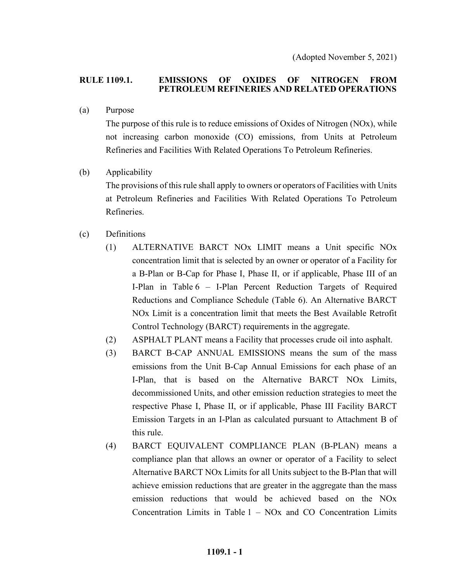(Adopted November 5, 2021)

#### **RULE 1109.1. EMISSIONS OF OXIDES OF NITROGEN FROM PETROLEUM REFINERIES AND RELATED OPERATIONS**

(a) Purpose

The purpose of this rule is to reduce emissions of Oxides of Nitrogen (NOx), while not increasing carbon monoxide (CO) emissions, from Units at Petroleum Refineries and Facilities With Related Operations To Petroleum Refineries.

(b) Applicability

The provisions of this rule shall apply to owners or operators of Facilities with Units at Petroleum Refineries and Facilities With Related Operations To Petroleum Refineries.

- (c) Definitions
	- (1) ALTERNATIVE BARCT NOx LIMIT means a Unit specific NOx concentration limit that is selected by an owner or operator of a Facility for a B-Plan or B-Cap for Phase I, Phase II, or if applicable, Phase III of an I-Plan in Table 6 – I-Plan Percent Reduction Targets of Required Reductions and Compliance Schedule (Table 6). An Alternative BARCT NOx Limit is a concentration limit that meets the Best Available Retrofit Control Technology (BARCT) requirements in the aggregate.
	- (2) ASPHALT PLANT means a Facility that processes crude oil into asphalt.
	- (3) BARCT B-CAP ANNUAL EMISSIONS means the sum of the mass emissions from the Unit B-Cap Annual Emissions for each phase of an I-Plan, that is based on the Alternative BARCT NOx Limits, decommissioned Units, and other emission reduction strategies to meet the respective Phase I, Phase II, or if applicable, Phase III Facility BARCT Emission Targets in an I-Plan as calculated pursuant to Attachment B of this rule.
	- (4) BARCT EQUIVALENT COMPLIANCE PLAN (B-PLAN) means a compliance plan that allows an owner or operator of a Facility to select Alternative BARCT NOx Limits for all Units subject to the B-Plan that will achieve emission reductions that are greater in the aggregate than the mass emission reductions that would be achieved based on the NOx Concentration Limits in Table 1 – NOx and CO Concentration Limits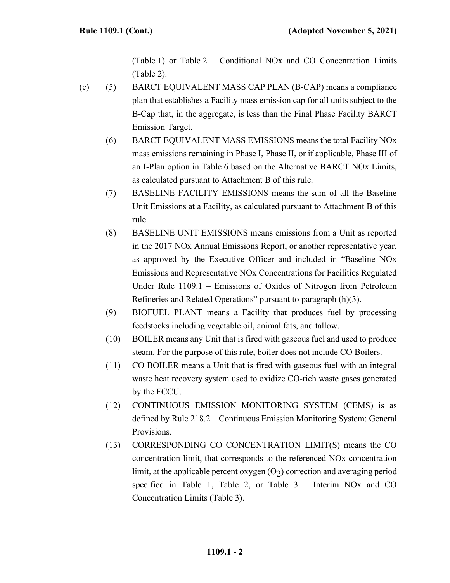(Table 1) or Table 2 – Conditional NOx and CO Concentration Limits (Table 2).

- (c) (5) BARCT EQUIVALENT MASS CAP PLAN (B-CAP) means a compliance plan that establishes a Facility mass emission cap for all units subject to the B-Cap that, in the aggregate, is less than the Final Phase Facility BARCT Emission Target.
	- (6) BARCT EQUIVALENT MASS EMISSIONS means the total Facility NOx mass emissions remaining in Phase I, Phase II, or if applicable, Phase III of an I-Plan option in Table 6 based on the Alternative BARCT NOx Limits, as calculated pursuant to Attachment B of this rule.
	- (7) BASELINE FACILITY EMISSIONS means the sum of all the Baseline Unit Emissions at a Facility, as calculated pursuant to Attachment B of this rule.
	- (8) BASELINE UNIT EMISSIONS means emissions from a Unit as reported in the 2017 NOx Annual Emissions Report, or another representative year, as approved by the Executive Officer and included in "Baseline NOx Emissions and Representative NOx Concentrations for Facilities Regulated Under Rule 1109.1 – Emissions of Oxides of Nitrogen from Petroleum Refineries and Related Operations" pursuant to paragraph (h)(3).
	- (9) BIOFUEL PLANT means a Facility that produces fuel by processing feedstocks including vegetable oil, animal fats, and tallow.
	- (10) BOILER means any Unit that is fired with gaseous fuel and used to produce steam. For the purpose of this rule, boiler does not include CO Boilers.
	- (11) CO BOILER means a Unit that is fired with gaseous fuel with an integral waste heat recovery system used to oxidize CO-rich waste gases generated by the FCCU.
	- (12) CONTINUOUS EMISSION MONITORING SYSTEM (CEMS) is as defined by Rule 218.2 – Continuous Emission Monitoring System: General Provisions.
	- (13) CORRESPONDING CO CONCENTRATION LIMIT(S) means the CO concentration limit, that corresponds to the referenced NOx concentration limit, at the applicable percent oxygen  $(O<sub>2</sub>)$  correction and averaging period specified in Table 1, Table 2, or Table 3 – Interim NOx and CO Concentration Limits (Table 3).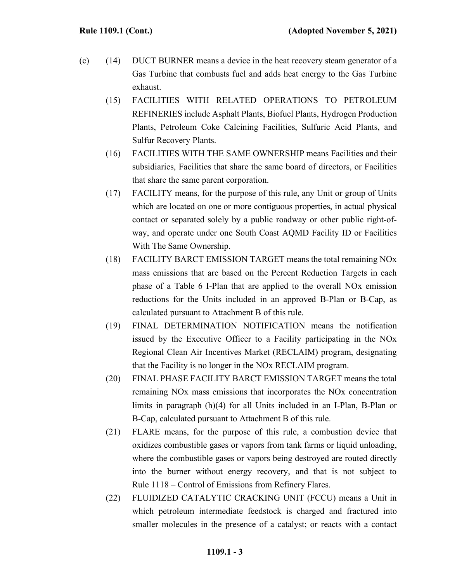- (c) (14) DUCT BURNER means a device in the heat recovery steam generator of a Gas Turbine that combusts fuel and adds heat energy to the Gas Turbine exhaust.
	- (15) FACILITIES WITH RELATED OPERATIONS TO PETROLEUM REFINERIES include Asphalt Plants, Biofuel Plants, Hydrogen Production Plants, Petroleum Coke Calcining Facilities, Sulfuric Acid Plants, and Sulfur Recovery Plants.
	- (16) FACILITIES WITH THE SAME OWNERSHIP means Facilities and their subsidiaries, Facilities that share the same board of directors, or Facilities that share the same parent corporation.
	- (17) FACILITY means, for the purpose of this rule, any Unit or group of Units which are located on one or more contiguous properties, in actual physical contact or separated solely by a public roadway or other public right-ofway, and operate under one South Coast AQMD Facility ID or Facilities With The Same Ownership.
	- (18) FACILITY BARCT EMISSION TARGET means the total remaining NOx mass emissions that are based on the Percent Reduction Targets in each phase of a Table 6 I-Plan that are applied to the overall NOx emission reductions for the Units included in an approved B-Plan or B-Cap, as calculated pursuant to Attachment B of this rule.
	- (19) FINAL DETERMINATION NOTIFICATION means the notification issued by the Executive Officer to a Facility participating in the NOx Regional Clean Air Incentives Market (RECLAIM) program, designating that the Facility is no longer in the NOx RECLAIM program.
	- (20) FINAL PHASE FACILITY BARCT EMISSION TARGET means the total remaining NOx mass emissions that incorporates the NOx concentration limits in paragraph (h)(4) for all Units included in an I-Plan, B-Plan or B-Cap, calculated pursuant to Attachment B of this rule.
	- (21) FLARE means, for the purpose of this rule, a combustion device that oxidizes combustible gases or vapors from tank farms or liquid unloading, where the combustible gases or vapors being destroyed are routed directly into the burner without energy recovery, and that is not subject to Rule 1118 – Control of Emissions from Refinery Flares.
	- (22) FLUIDIZED CATALYTIC CRACKING UNIT (FCCU) means a Unit in which petroleum intermediate feedstock is charged and fractured into smaller molecules in the presence of a catalyst; or reacts with a contact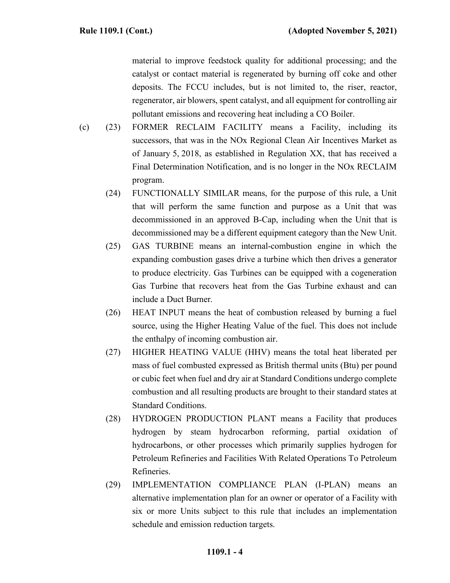material to improve feedstock quality for additional processing; and the catalyst or contact material is regenerated by burning off coke and other deposits. The FCCU includes, but is not limited to, the riser, reactor, regenerator, air blowers, spent catalyst, and all equipment for controlling air pollutant emissions and recovering heat including a CO Boiler.

- (c) (23) FORMER RECLAIM FACILITY means a Facility, including its successors, that was in the NOx Regional Clean Air Incentives Market as of January 5, 2018, as established in Regulation XX, that has received a Final Determination Notification, and is no longer in the NOx RECLAIM program.
	- (24) FUNCTIONALLY SIMILAR means, for the purpose of this rule, a Unit that will perform the same function and purpose as a Unit that was decommissioned in an approved B-Cap, including when the Unit that is decommissioned may be a different equipment category than the New Unit.
	- (25) GAS TURBINE means an internal-combustion engine in which the expanding combustion gases drive a turbine which then drives a generator to produce electricity. Gas Turbines can be equipped with a cogeneration Gas Turbine that recovers heat from the Gas Turbine exhaust and can include a Duct Burner.
	- (26) HEAT INPUT means the heat of combustion released by burning a fuel source, using the Higher Heating Value of the fuel. This does not include the enthalpy of incoming combustion air.
	- (27) HIGHER HEATING VALUE (HHV) means the total heat liberated per mass of fuel combusted expressed as British thermal units (Btu) per pound or cubic feet when fuel and dry air at Standard Conditions undergo complete combustion and all resulting products are brought to their standard states at Standard Conditions.
	- (28) HYDROGEN PRODUCTION PLANT means a Facility that produces hydrogen by steam hydrocarbon reforming, partial oxidation of hydrocarbons, or other processes which primarily supplies hydrogen for Petroleum Refineries and Facilities With Related Operations To Petroleum Refineries.
	- (29) IMPLEMENTATION COMPLIANCE PLAN (I-PLAN) means an alternative implementation plan for an owner or operator of a Facility with six or more Units subject to this rule that includes an implementation schedule and emission reduction targets.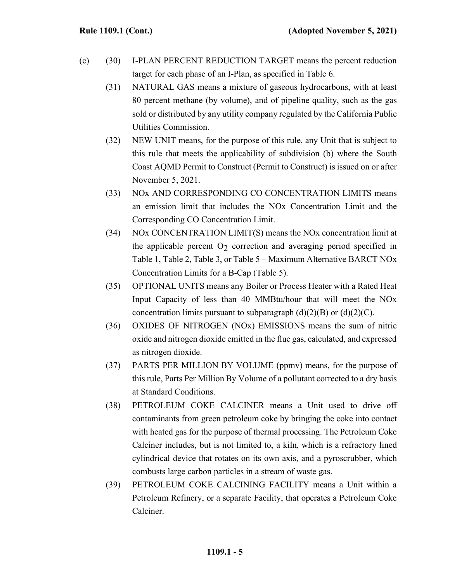- (c) (30) I-PLAN PERCENT REDUCTION TARGET means the percent reduction target for each phase of an I-Plan, as specified in Table 6.
	- (31) NATURAL GAS means a mixture of gaseous hydrocarbons, with at least 80 percent methane (by volume), and of pipeline quality, such as the gas sold or distributed by any utility company regulated by the California Public Utilities Commission.
	- (32) NEW UNIT means, for the purpose of this rule, any Unit that is subject to this rule that meets the applicability of subdivision (b) where the South Coast AQMD Permit to Construct (Permit to Construct) is issued on or after November 5, 2021.
	- (33) NOx AND CORRESPONDING CO CONCENTRATION LIMITS means an emission limit that includes the NOx Concentration Limit and the Corresponding CO Concentration Limit.
	- (34) NOx CONCENTRATION LIMIT(S) means the NOx concentration limit at the applicable percent  $O<sub>2</sub>$  correction and averaging period specified in Table 1, Table 2, Table 3, or Table 5 – Maximum Alternative BARCT NOx Concentration Limits for a B-Cap (Table 5).
	- (35) OPTIONAL UNITS means any Boiler or Process Heater with a Rated Heat Input Capacity of less than 40 MMBtu/hour that will meet the NOx concentration limits pursuant to subparagraph  $(d)(2)(B)$  or  $(d)(2)(C)$ .
	- (36) OXIDES OF NITROGEN (NOx) EMISSIONS means the sum of nitric oxide and nitrogen dioxide emitted in the flue gas, calculated, and expressed as nitrogen dioxide.
	- (37) PARTS PER MILLION BY VOLUME (ppmv) means, for the purpose of this rule, Parts Per Million By Volume of a pollutant corrected to a dry basis at Standard Conditions.
	- (38) PETROLEUM COKE CALCINER means a Unit used to drive off contaminants from green petroleum coke by bringing the coke into contact with heated gas for the purpose of thermal processing. The Petroleum Coke Calciner includes, but is not limited to, a kiln, which is a refractory lined cylindrical device that rotates on its own axis, and a pyroscrubber, which combusts large carbon particles in a stream of waste gas.
	- (39) PETROLEUM COKE CALCINING FACILITY means a Unit within a Petroleum Refinery, or a separate Facility, that operates a Petroleum Coke Calciner.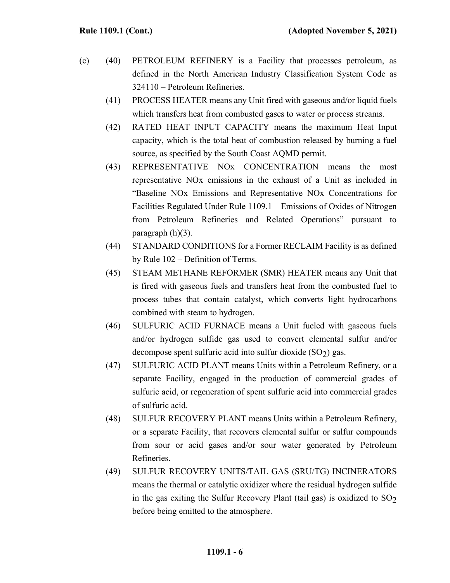- (c) (40) PETROLEUM REFINERY is a Facility that processes petroleum, as defined in the North American Industry Classification System Code as 324110 – Petroleum Refineries.
	- (41) PROCESS HEATER means any Unit fired with gaseous and/or liquid fuels which transfers heat from combusted gases to water or process streams.
	- (42) RATED HEAT INPUT CAPACITY means the maximum Heat Input capacity, which is the total heat of combustion released by burning a fuel source, as specified by the South Coast AQMD permit.
	- (43) REPRESENTATIVE NOx CONCENTRATION means the most representative NOx emissions in the exhaust of a Unit as included in "Baseline NOx Emissions and Representative NOx Concentrations for Facilities Regulated Under Rule 1109.1 – Emissions of Oxides of Nitrogen from Petroleum Refineries and Related Operations" pursuant to paragraph (h)(3).
	- (44) STANDARD CONDITIONS for a Former RECLAIM Facility is as defined by Rule 102 – Definition of Terms.
	- (45) STEAM METHANE REFORMER (SMR) HEATER means any Unit that is fired with gaseous fuels and transfers heat from the combusted fuel to process tubes that contain catalyst, which converts light hydrocarbons combined with steam to hydrogen.
	- (46) SULFURIC ACID FURNACE means a Unit fueled with gaseous fuels and/or hydrogen sulfide gas used to convert elemental sulfur and/or decompose spent sulfuric acid into sulfur dioxide  $(SO<sub>2</sub>)$  gas.
	- (47) SULFURIC ACID PLANT means Units within a Petroleum Refinery, or a separate Facility, engaged in the production of commercial grades of sulfuric acid, or regeneration of spent sulfuric acid into commercial grades of sulfuric acid.
	- (48) SULFUR RECOVERY PLANT means Units within a Petroleum Refinery, or a separate Facility, that recovers elemental sulfur or sulfur compounds from sour or acid gases and/or sour water generated by Petroleum Refineries.
	- (49) SULFUR RECOVERY UNITS/TAIL GAS (SRU/TG) INCINERATORS means the thermal or catalytic oxidizer where the residual hydrogen sulfide in the gas exiting the Sulfur Recovery Plant (tail gas) is oxidized to  $SO<sub>2</sub>$ before being emitted to the atmosphere.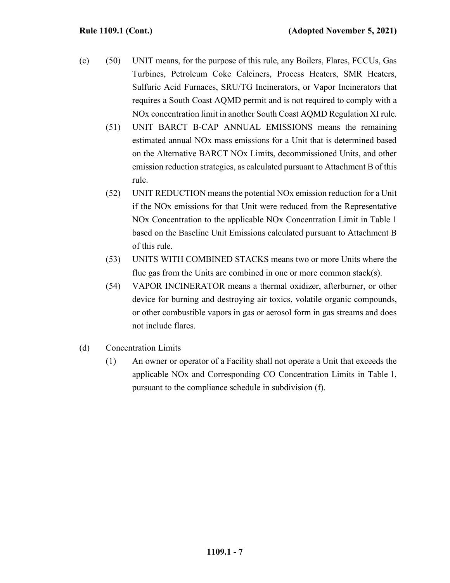- (c) (50) UNIT means, for the purpose of this rule, any Boilers, Flares, FCCUs, Gas Turbines, Petroleum Coke Calciners, Process Heaters, SMR Heaters, Sulfuric Acid Furnaces, SRU/TG Incinerators, or Vapor Incinerators that requires a South Coast AQMD permit and is not required to comply with a NOx concentration limit in another South Coast AQMD Regulation XI rule.
	- (51) UNIT BARCT B-CAP ANNUAL EMISSIONS means the remaining estimated annual NOx mass emissions for a Unit that is determined based on the Alternative BARCT NOx Limits, decommissioned Units, and other emission reduction strategies, as calculated pursuant to Attachment B of this rule.
	- (52) UNIT REDUCTION means the potential NOx emission reduction for a Unit if the NOx emissions for that Unit were reduced from the Representative NOx Concentration to the applicable NOx Concentration Limit in Table 1 based on the Baseline Unit Emissions calculated pursuant to Attachment B of this rule.
	- (53) UNITS WITH COMBINED STACKS means two or more Units where the flue gas from the Units are combined in one or more common stack(s).
	- (54) VAPOR INCINERATOR means a thermal oxidizer, afterburner, or other device for burning and destroying air toxics, volatile organic compounds, or other combustible vapors in gas or aerosol form in gas streams and does not include flares.
- (d) Concentration Limits
	- (1) An owner or operator of a Facility shall not operate a Unit that exceeds the applicable NOx and Corresponding CO Concentration Limits in Table 1, pursuant to the compliance schedule in subdivision (f).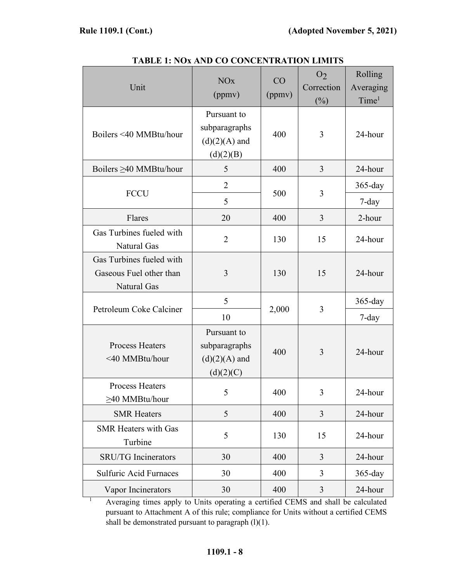| Unit                                                               | <b>NO<sub>x</sub></b><br>(ppmv)                              | CO<br>(ppmv) | O <sub>2</sub><br>Correction<br>$(\%)$ | Rolling<br>Averaging<br>Time <sup>1</sup> |
|--------------------------------------------------------------------|--------------------------------------------------------------|--------------|----------------------------------------|-------------------------------------------|
| Boilers <40 MMBtu/hour                                             | Pursuant to<br>subparagraphs<br>$(d)(2)(A)$ and<br>(d)(2)(B) | 400          | 3                                      | 24-hour                                   |
| Boilers ≥40 MMBtu/hour                                             | 5                                                            | 400          | 3                                      | 24-hour                                   |
| <b>FCCU</b>                                                        | $\overline{2}$                                               |              | 3                                      | $365$ -day                                |
|                                                                    | 5                                                            | 500          |                                        | $7$ -day                                  |
| Flares                                                             | 20                                                           | 400          | 3                                      | 2-hour                                    |
| Gas Turbines fueled with<br>Natural Gas                            | $\overline{2}$                                               | 130          | 15                                     | 24-hour                                   |
| Gas Turbines fueled with<br>Gaseous Fuel other than<br>Natural Gas | 3                                                            | 130          | 15                                     | 24-hour                                   |
|                                                                    | 5                                                            |              | 3                                      | $365$ -day                                |
| Petroleum Coke Calciner                                            | 10                                                           | 2,000        |                                        | $7$ -day                                  |
| <b>Process Heaters</b><br><40 MMBtu/hour                           | Pursuant to<br>subparagraphs<br>$(d)(2)(A)$ and<br>(d)(2)(C) | 400          | 3                                      | 24-hour                                   |
| <b>Process Heaters</b><br>≥40 MMBtu/hour                           | 5                                                            | 400          | 3                                      | 24-hour                                   |
| <b>SMR Heaters</b>                                                 | 5                                                            | 400          | $\overline{3}$                         | 24-hour                                   |
| <b>SMR Heaters with Gas</b><br>Turbine                             | 5                                                            | 130          | 15                                     | 24-hour                                   |
| <b>SRU/TG</b> Incinerators                                         | 30                                                           | 400          | $\overline{3}$                         | 24-hour                                   |
| <b>Sulfuric Acid Furnaces</b>                                      | 30                                                           | 400          | 3                                      | 365-day                                   |
| Vapor Incinerators                                                 | 30                                                           | 400          | 3                                      | 24-hour                                   |

**TABLE 1: NOx AND CO CONCENTRATION LIMITS**

<sup>1</sup> Averaging times apply to Units operating a certified CEMS and shall be calculated pursuant to Attachment A of this rule; compliance for Units without a certified CEMS shall be demonstrated pursuant to paragraph  $(l)(1)$ .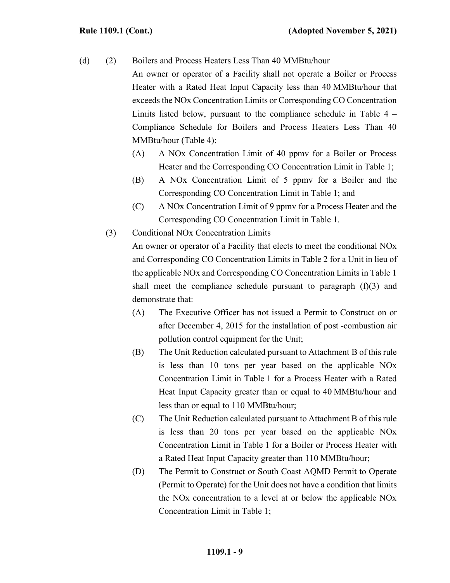- (d) (2) Boilers and Process Heaters Less Than 40 MMBtu/hour An owner or operator of a Facility shall not operate a Boiler or Process Heater with a Rated Heat Input Capacity less than 40 MMBtu/hour that exceeds the NOx Concentration Limits or Corresponding CO Concentration Limits listed below, pursuant to the compliance schedule in Table 4 – Compliance Schedule for Boilers and Process Heaters Less Than 40 MMBtu/hour (Table 4):
	- (A) A NOx Concentration Limit of 40 ppmv for a Boiler or Process Heater and the Corresponding CO Concentration Limit in Table 1;
	- (B) A NOx Concentration Limit of 5 ppmv for a Boiler and the Corresponding CO Concentration Limit in Table 1; and
	- (C) A NOx Concentration Limit of 9 ppmv for a Process Heater and the Corresponding CO Concentration Limit in Table 1.
	- (3) Conditional NOx Concentration Limits

An owner or operator of a Facility that elects to meet the conditional NOx and Corresponding CO Concentration Limits in Table 2 for a Unit in lieu of the applicable NOx and Corresponding CO Concentration Limits in Table 1 shall meet the compliance schedule pursuant to paragraph  $(f)(3)$  and demonstrate that:

- (A) The Executive Officer has not issued a Permit to Construct on or after December 4, 2015 for the installation of post -combustion air pollution control equipment for the Unit;
- (B) The Unit Reduction calculated pursuant to Attachment B of this rule is less than 10 tons per year based on the applicable NOx Concentration Limit in Table 1 for a Process Heater with a Rated Heat Input Capacity greater than or equal to 40 MMBtu/hour and less than or equal to 110 MMBtu/hour;
- (C) The Unit Reduction calculated pursuant to Attachment B of this rule is less than 20 tons per year based on the applicable NOx Concentration Limit in Table 1 for a Boiler or Process Heater with a Rated Heat Input Capacity greater than 110 MMBtu/hour;
- (D) The Permit to Construct or South Coast AQMD Permit to Operate (Permit to Operate) for the Unit does not have a condition that limits the NOx concentration to a level at or below the applicable NOx Concentration Limit in Table 1;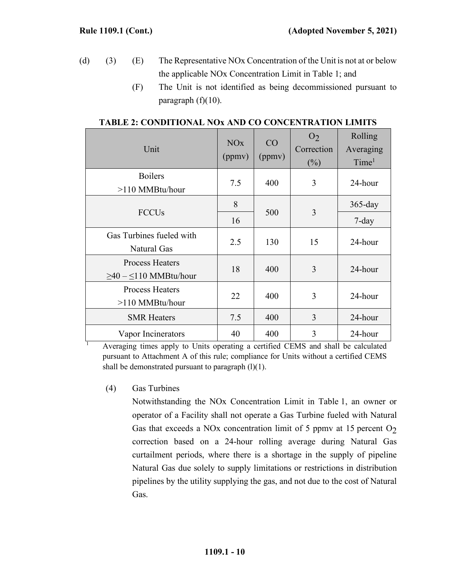- (d) (3) (E) The Representative NOx Concentration of the Unit is not at or below the applicable NOx Concentration Limit in Table 1; and
	- (F) The Unit is not identified as being decommissioned pursuant to paragraph  $(f)(10)$ .

| Unit                                                      | <b>NO<sub>x</sub></b><br>(ppmv) | CO<br>(ppmv) | O <sub>2</sub><br>Correction<br>$(\%)$ | Rolling<br>Averaging<br>Time <sup>1</sup> |
|-----------------------------------------------------------|---------------------------------|--------------|----------------------------------------|-------------------------------------------|
| <b>Boilers</b><br>$>110$ MMBtu/hour                       | 7.5                             | 400          | 3                                      | 24-hour                                   |
| <b>FCCU<sub>s</sub></b>                                   | 8                               | 500          | 3                                      | $365$ -day                                |
|                                                           | 16                              |              |                                        | $7$ -day                                  |
| Gas Turbines fueled with<br>Natural Gas                   | 2.5                             | 130          | 15                                     | 24-hour                                   |
| <b>Process Heaters</b><br>$\geq 40 - \leq 110$ MMBtu/hour | 18                              | 400          | 3                                      | 24-hour                                   |
| <b>Process Heaters</b><br>$>110$ MMBtu/hour               | 22                              | 400          | 3                                      | 24-hour                                   |
| <b>SMR Heaters</b>                                        | 7.5                             | 400          | 3                                      | 24-hour                                   |
| Vapor Incinerators                                        | 40                              | 400          | 3                                      | 24-hour                                   |

#### **TABLE 2: CONDITIONAL NOx AND CO CONCENTRATION LIMITS**

Averaging times apply to Units operating a certified CEMS and shall be calculated pursuant to Attachment A of this rule; compliance for Units without a certified CEMS shall be demonstrated pursuant to paragraph  $(l)(1)$ .

(4) Gas Turbines

Notwithstanding the NOx Concentration Limit in Table 1, an owner or operator of a Facility shall not operate a Gas Turbine fueled with Natural Gas that exceeds a NOx concentration limit of 5 ppmv at 15 percent  $O<sub>2</sub>$ correction based on a 24-hour rolling average during Natural Gas curtailment periods, where there is a shortage in the supply of pipeline Natural Gas due solely to supply limitations or restrictions in distribution pipelines by the utility supplying the gas, and not due to the cost of Natural Gas.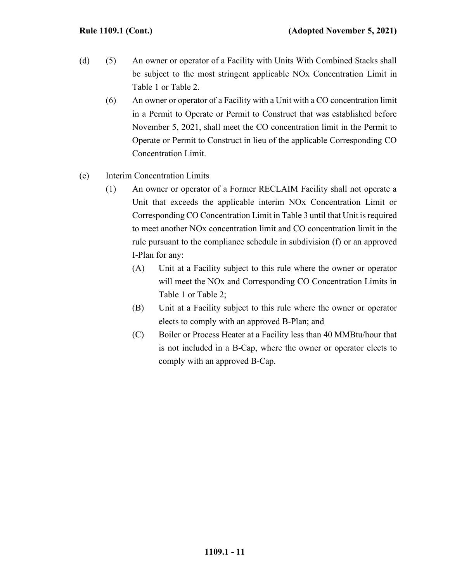- (d) (5) An owner or operator of a Facility with Units With Combined Stacks shall be subject to the most stringent applicable NOx Concentration Limit in Table 1 or Table 2.
	- (6) An owner or operator of a Facility with a Unit with a CO concentration limit in a Permit to Operate or Permit to Construct that was established before November 5, 2021, shall meet the CO concentration limit in the Permit to Operate or Permit to Construct in lieu of the applicable Corresponding CO Concentration Limit.
- (e) Interim Concentration Limits
	- (1) An owner or operator of a Former RECLAIM Facility shall not operate a Unit that exceeds the applicable interim NOx Concentration Limit or Corresponding CO Concentration Limit in Table 3 until that Unit is required to meet another NOx concentration limit and CO concentration limit in the rule pursuant to the compliance schedule in subdivision (f) or an approved I-Plan for any:
		- (A) Unit at a Facility subject to this rule where the owner or operator will meet the NOx and Corresponding CO Concentration Limits in Table 1 or Table 2;
		- (B) Unit at a Facility subject to this rule where the owner or operator elects to comply with an approved B-Plan; and
		- (C) Boiler or Process Heater at a Facility less than 40 MMBtu/hour that is not included in a B-Cap, where the owner or operator elects to comply with an approved B-Cap.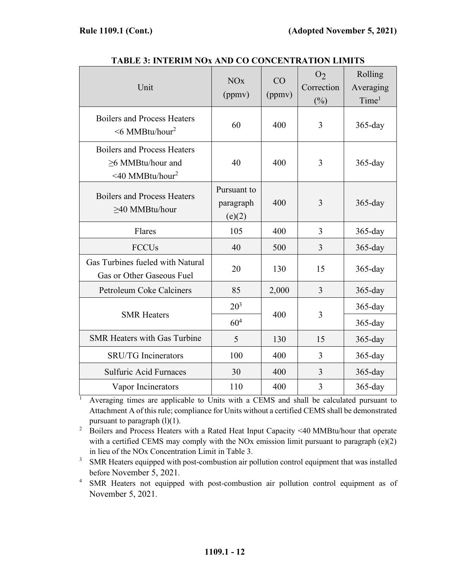| Unit                                                                                               | <b>NO<sub>x</sub></b><br>(ppmv)    | CO<br>(ppmv) | O <sub>2</sub><br>Correction<br>$(\%)$ | Rolling<br>Averaging<br>Time <sup>1</sup> |
|----------------------------------------------------------------------------------------------------|------------------------------------|--------------|----------------------------------------|-------------------------------------------|
| <b>Boilers and Process Heaters</b><br>$\leq 6$ MMBtu/hour <sup>2</sup>                             | 60                                 | 400          | 3                                      | $365$ -day                                |
| <b>Boilers and Process Heaters</b><br>$\geq$ 6 MMBtu/hour and<br>$\leq 40$ MMBtu/hour <sup>2</sup> | 40                                 | 400          | 3                                      | $365$ -day                                |
| <b>Boilers and Process Heaters</b><br>>40 MMBtu/hour                                               | Pursuant to<br>paragraph<br>(e)(2) | 400          | 3                                      | $365$ -day                                |
| Flares                                                                                             | 105                                | 400          | 3                                      | $365$ -day                                |
| <b>FCCU<sub>s</sub></b>                                                                            | 40                                 | 500          | 3                                      | $365$ -day                                |
| Gas Turbines fueled with Natural<br>Gas or Other Gaseous Fuel                                      | 20                                 | 130          | 15                                     | $365$ -day                                |
| <b>Petroleum Coke Calciners</b>                                                                    | 85                                 | 2,000        | 3                                      | 365-day                                   |
| <b>SMR</b> Heaters                                                                                 | $20^{3}$                           |              |                                        | $365$ -day                                |
|                                                                                                    | 60 <sup>4</sup>                    | 400          | 3                                      | $365$ -day                                |
| <b>SMR Heaters with Gas Turbine</b>                                                                | 5                                  | 130          | 15                                     | $365$ -day                                |
| <b>SRU/TG</b> Incinerators                                                                         | 100                                | 400          | 3                                      | $365$ -day                                |
| <b>Sulfuric Acid Furnaces</b>                                                                      | 30                                 | 400          | 3                                      | $365$ -day                                |
| Vapor Incinerators                                                                                 | 110                                | 400          | 3                                      | $365$ -day                                |

**TABLE 3: INTERIM NOx AND CO CONCENTRATION LIMITS**

<sup>1</sup> Averaging times are applicable to Units with a CEMS and shall be calculated pursuant to Attachment A of this rule; compliance for Units without a certified CEMS shall be demonstrated pursuant to paragraph  $(l)(1)$ .

<sup>2</sup> Boilers and Process Heaters with a Rated Heat Input Capacity <40 MMBtu/hour that operate with a certified CEMS may comply with the NOx emission limit pursuant to paragraph (e)(2) in lieu of the NOx Concentration Limit in Table 3.

<sup>3</sup> SMR Heaters equipped with post-combustion air pollution control equipment that was installed before November 5, 2021.

<sup>4</sup> SMR Heaters not equipped with post-combustion air pollution control equipment as of November 5, 2021.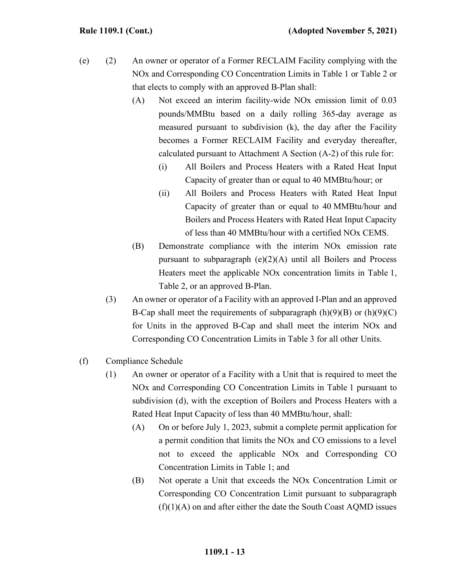- (e) (2) An owner or operator of a Former RECLAIM Facility complying with the NOx and Corresponding CO Concentration Limits in Table 1 or Table 2 or that elects to comply with an approved B-Plan shall:
	- (A) Not exceed an interim facility-wide NOx emission limit of 0.03 pounds/MMBtu based on a daily rolling 365-day average as measured pursuant to subdivision (k), the day after the Facility becomes a Former RECLAIM Facility and everyday thereafter, calculated pursuant to Attachment A Section (A-2) of this rule for:
		- (i) All Boilers and Process Heaters with a Rated Heat Input Capacity of greater than or equal to 40 MMBtu/hour; or
		- (ii) All Boilers and Process Heaters with Rated Heat Input Capacity of greater than or equal to 40 MMBtu/hour and Boilers and Process Heaters with Rated Heat Input Capacity of less than 40 MMBtu/hour with a certified NOx CEMS.
	- (B) Demonstrate compliance with the interim NOx emission rate pursuant to subparagraph  $(e)(2)(A)$  until all Boilers and Process Heaters meet the applicable NOx concentration limits in Table 1, Table 2, or an approved B-Plan.
	- (3) An owner or operator of a Facility with an approved I-Plan and an approved B-Cap shall meet the requirements of subparagraph  $(h)(9)(B)$  or  $(h)(9)(C)$ for Units in the approved B-Cap and shall meet the interim NOx and Corresponding CO Concentration Limits in Table 3 for all other Units.
- (f) Compliance Schedule
	- (1) An owner or operator of a Facility with a Unit that is required to meet the NOx and Corresponding CO Concentration Limits in Table 1 pursuant to subdivision (d), with the exception of Boilers and Process Heaters with a Rated Heat Input Capacity of less than 40 MMBtu/hour, shall:
		- (A) On or before July 1, 2023, submit a complete permit application for a permit condition that limits the NOx and CO emissions to a level not to exceed the applicable NOx and Corresponding CO Concentration Limits in Table 1; and
		- (B) Not operate a Unit that exceeds the NOx Concentration Limit or Corresponding CO Concentration Limit pursuant to subparagraph  $(f)(1)(A)$  on and after either the date the South Coast AQMD issues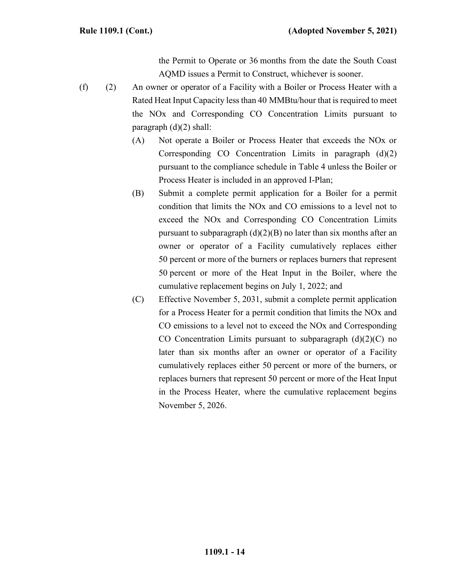the Permit to Operate or 36 months from the date the South Coast AQMD issues a Permit to Construct, whichever is sooner.

- (f) (2) An owner or operator of a Facility with a Boiler or Process Heater with a Rated Heat Input Capacity less than 40 MMBtu/hour that is required to meet the NOx and Corresponding CO Concentration Limits pursuant to paragraph (d)(2) shall:
	- (A) Not operate a Boiler or Process Heater that exceeds the NOx or Corresponding CO Concentration Limits in paragraph (d)(2) pursuant to the compliance schedule in Table 4 unless the Boiler or Process Heater is included in an approved I-Plan;
	- (B) Submit a complete permit application for a Boiler for a permit condition that limits the NOx and CO emissions to a level not to exceed the NOx and Corresponding CO Concentration Limits pursuant to subparagraph  $(d)(2)(B)$  no later than six months after an owner or operator of a Facility cumulatively replaces either 50 percent or more of the burners or replaces burners that represent 50 percent or more of the Heat Input in the Boiler, where the cumulative replacement begins on July 1, 2022; and
	- (C) Effective November 5, 2031, submit a complete permit application for a Process Heater for a permit condition that limits the NOx and CO emissions to a level not to exceed the NOx and Corresponding CO Concentration Limits pursuant to subparagraph  $(d)(2)(C)$  no later than six months after an owner or operator of a Facility cumulatively replaces either 50 percent or more of the burners, or replaces burners that represent 50 percent or more of the Heat Input in the Process Heater, where the cumulative replacement begins November 5, 2026.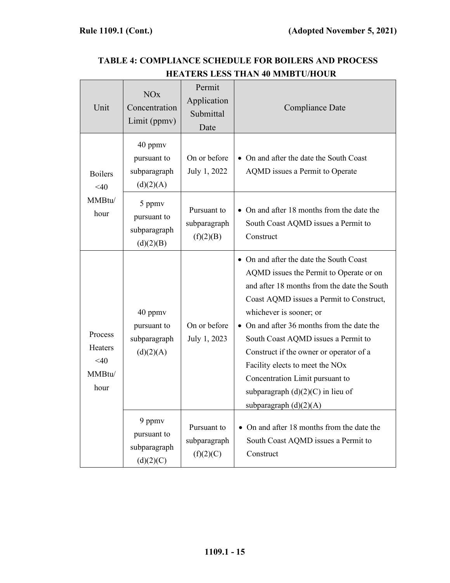#### Unit NOx Concentration Limit (ppmv) Permit Application Submittal Date Compliance Date Boilers  $<40$ MMBtu/ hour 40 ppmv pursuant to subparagraph  $(d)(2)(A)$ On or before July 1, 2022 • On and after the date the South Coast AQMD issues a Permit to Operate 5 ppmv pursuant to subparagraph  $(d)(2)(B)$ Pursuant to subparagraph  $(f)(2)(B)$ • On and after 18 months from the date the South Coast AQMD issues a Permit to Construct Process Heaters  $<40$ MMBtu/ hour 40 ppmv pursuant to subparagraph  $(d)(2)(A)$ On or before July 1, 2023 • On and after the date the South Coast AQMD issues the Permit to Operate or on and after 18 months from the date the South Coast AQMD issues a Permit to Construct, whichever is sooner; or • On and after 36 months from the date the South Coast AQMD issues a Permit to Construct if the owner or operator of a Facility elects to meet the NOx Concentration Limit pursuant to subparagraph  $(d)(2)(C)$  in lieu of subparagraph  $(d)(2)(A)$ 9 ppmv pursuant to subparagraph  $(d)(2)(C)$ Pursuant to subparagraph  $(f)(2)(C)$ • On and after 18 months from the date the South Coast AQMD issues a Permit to Construct

## **TABLE 4: COMPLIANCE SCHEDULE FOR BOILERS AND PROCESS HEATERS LESS THAN 40 MMBTU/HOUR**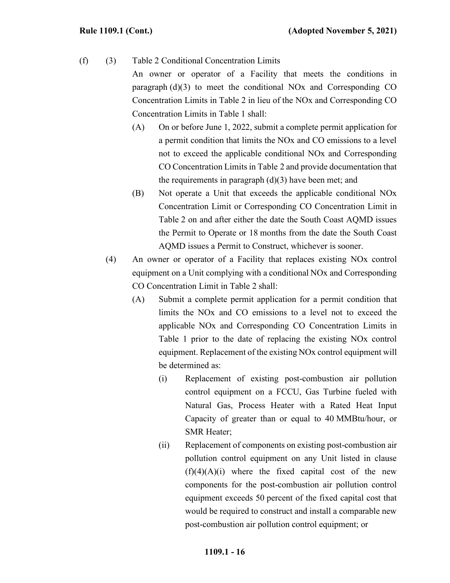# (f) (3) Table 2 Conditional Concentration Limits

An owner or operator of a Facility that meets the conditions in paragraph (d)(3) to meet the conditional NOx and Corresponding CO Concentration Limits in Table 2 in lieu of the NOx and Corresponding CO Concentration Limits in Table 1 shall:

- (A) On or before June 1, 2022, submit a complete permit application for a permit condition that limits the NOx and CO emissions to a level not to exceed the applicable conditional NOx and Corresponding CO Concentration Limits in Table 2 and provide documentation that the requirements in paragraph  $(d)(3)$  have been met; and
- (B) Not operate a Unit that exceeds the applicable conditional NOx Concentration Limit or Corresponding CO Concentration Limit in Table 2 on and after either the date the South Coast AQMD issues the Permit to Operate or 18 months from the date the South Coast AQMD issues a Permit to Construct, whichever is sooner.
- (4) An owner or operator of a Facility that replaces existing NOx control equipment on a Unit complying with a conditional NOx and Corresponding CO Concentration Limit in Table 2 shall:
	- (A) Submit a complete permit application for a permit condition that limits the NOx and CO emissions to a level not to exceed the applicable NOx and Corresponding CO Concentration Limits in Table 1 prior to the date of replacing the existing NOx control equipment. Replacement of the existing NOx control equipment will be determined as:
		- (i) Replacement of existing post-combustion air pollution control equipment on a FCCU, Gas Turbine fueled with Natural Gas, Process Heater with a Rated Heat Input Capacity of greater than or equal to 40 MMBtu/hour, or SMR Heater;
		- (ii) Replacement of components on existing post-combustion air pollution control equipment on any Unit listed in clause  $(f)(4)(A)(i)$  where the fixed capital cost of the new components for the post-combustion air pollution control equipment exceeds 50 percent of the fixed capital cost that would be required to construct and install a comparable new post-combustion air pollution control equipment; or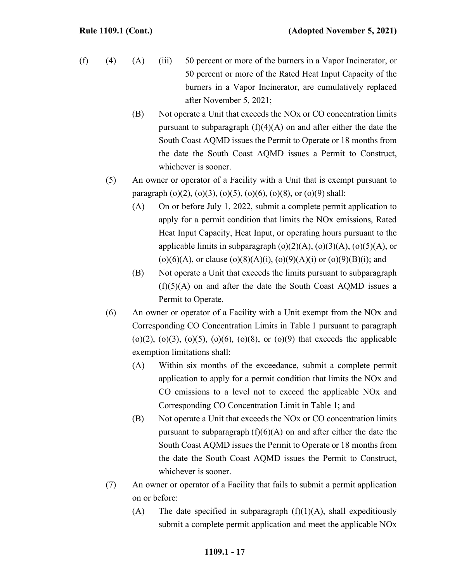- (f) (4) (A) (iii) 50 percent or more of the burners in a Vapor Incinerator, or 50 percent or more of the Rated Heat Input Capacity of the burners in a Vapor Incinerator, are cumulatively replaced after November 5, 2021;
	- (B) Not operate a Unit that exceeds the NOx or CO concentration limits pursuant to subparagraph  $(f)(4)(A)$  on and after either the date the South Coast AQMD issues the Permit to Operate or 18 months from the date the South Coast AQMD issues a Permit to Construct, whichever is sooner.
	- (5) An owner or operator of a Facility with a Unit that is exempt pursuant to paragraph  $(o)(2)$ ,  $(o)(3)$ ,  $(o)(5)$ ,  $(o)(6)$ ,  $(o)(8)$ , or  $(o)(9)$  shall:
		- (A) On or before July 1, 2022, submit a complete permit application to apply for a permit condition that limits the NOx emissions, Rated Heat Input Capacity, Heat Input, or operating hours pursuant to the applicable limits in subparagraph  $(o)(2)(A)$ ,  $(o)(3)(A)$ ,  $(o)(5)(A)$ , or (o)(6)(A), or clause (o)(8)(A)(i), (o)(9)(A)(i) or (o)(9)(B)(i); and
		- (B) Not operate a Unit that exceeds the limits pursuant to subparagraph  $(f)(5)(A)$  on and after the date the South Coast AQMD issues a Permit to Operate.
	- (6) An owner or operator of a Facility with a Unit exempt from the NOx and Corresponding CO Concentration Limits in Table 1 pursuant to paragraph (o)(2), (o)(3), (o)(5), (o)(6), (o)(8), or (o)(9) that exceeds the applicable exemption limitations shall:
		- (A) Within six months of the exceedance, submit a complete permit application to apply for a permit condition that limits the NOx and CO emissions to a level not to exceed the applicable NOx and Corresponding CO Concentration Limit in Table 1; and
		- (B) Not operate a Unit that exceeds the NOx or CO concentration limits pursuant to subparagraph  $(f)(6)(A)$  on and after either the date the South Coast AQMD issues the Permit to Operate or 18 months from the date the South Coast AQMD issues the Permit to Construct, whichever is sooner.
	- (7) An owner or operator of a Facility that fails to submit a permit application on or before:
		- (A) The date specified in subparagraph  $(f)(1)(A)$ , shall expeditiously submit a complete permit application and meet the applicable NOx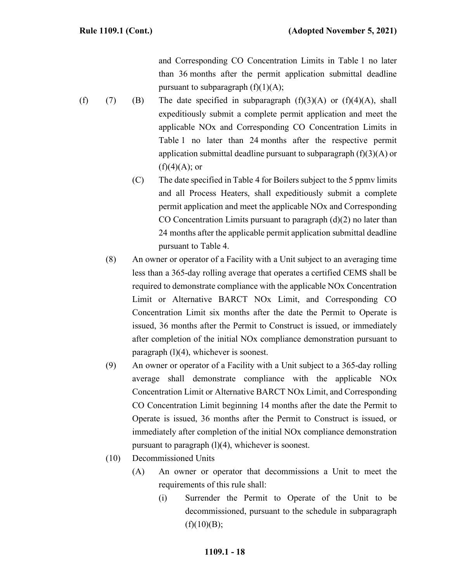and Corresponding CO Concentration Limits in Table 1 no later than 36 months after the permit application submittal deadline pursuant to subparagraph  $(f)(1)(A);$ 

- (f) (7) (B) The date specified in subparagraph  $(f)(3)(A)$  or  $(f)(4)(A)$ , shall expeditiously submit a complete permit application and meet the applicable NOx and Corresponding CO Concentration Limits in Table 1 no later than 24 months after the respective permit application submittal deadline pursuant to subparagraph  $(f)(3)(A)$  or  $(f)(4)(A);$  or
	- (C) The date specified in Table 4 for Boilers subject to the 5 ppmv limits and all Process Heaters, shall expeditiously submit a complete permit application and meet the applicable NOx and Corresponding CO Concentration Limits pursuant to paragraph (d)(2) no later than 24 months after the applicable permit application submittal deadline pursuant to Table 4.
	- (8) An owner or operator of a Facility with a Unit subject to an averaging time less than a 365-day rolling average that operates a certified CEMS shall be required to demonstrate compliance with the applicable NOx Concentration Limit or Alternative BARCT NOx Limit, and Corresponding CO Concentration Limit six months after the date the Permit to Operate is issued, 36 months after the Permit to Construct is issued, or immediately after completion of the initial NOx compliance demonstration pursuant to paragraph (l)(4), whichever is soonest.
	- (9) An owner or operator of a Facility with a Unit subject to a 365-day rolling average shall demonstrate compliance with the applicable NOx Concentration Limit or Alternative BARCT NOx Limit, and Corresponding CO Concentration Limit beginning 14 months after the date the Permit to Operate is issued, 36 months after the Permit to Construct is issued, or immediately after completion of the initial NOx compliance demonstration pursuant to paragraph (l)(4), whichever is soonest.
	- (10) Decommissioned Units
		- (A) An owner or operator that decommissions a Unit to meet the requirements of this rule shall:
			- (i) Surrender the Permit to Operate of the Unit to be decommissioned, pursuant to the schedule in subparagraph  $(f)(10)(B);$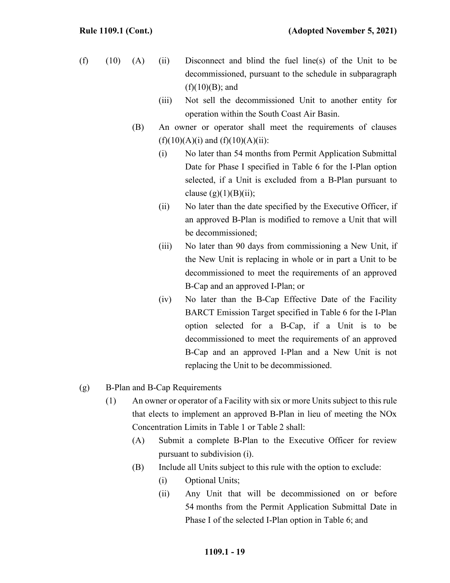- $(f)$  (10) (A) (ii) Disconnect and blind the fuel line(s) of the Unit to be decommissioned, pursuant to the schedule in subparagraph  $(f)(10)(B)$ ; and
	- (iii) Not sell the decommissioned Unit to another entity for operation within the South Coast Air Basin.
	- (B) An owner or operator shall meet the requirements of clauses  $(f)(10)(A)(i)$  and  $(f)(10)(A)(ii)$ :
		- (i) No later than 54 months from Permit Application Submittal Date for Phase I specified in Table 6 for the I-Plan option selected, if a Unit is excluded from a B-Plan pursuant to clause  $(g)(1)(B)(ii)$ ;
		- (ii) No later than the date specified by the Executive Officer, if an approved B-Plan is modified to remove a Unit that will be decommissioned;
		- (iii) No later than 90 days from commissioning a New Unit, if the New Unit is replacing in whole or in part a Unit to be decommissioned to meet the requirements of an approved B-Cap and an approved I-Plan; or
		- (iv) No later than the B-Cap Effective Date of the Facility BARCT Emission Target specified in Table 6 for the I-Plan option selected for a B-Cap, if a Unit is to be decommissioned to meet the requirements of an approved B-Cap and an approved I-Plan and a New Unit is not replacing the Unit to be decommissioned.

### (g) B-Plan and B-Cap Requirements

- (1) An owner or operator of a Facility with six or more Units subject to this rule that elects to implement an approved B-Plan in lieu of meeting the NOx Concentration Limits in Table 1 or Table 2 shall:
	- (A) Submit a complete B-Plan to the Executive Officer for review pursuant to subdivision (i).
	- (B) Include all Units subject to this rule with the option to exclude:
		- (i) Optional Units;
		- (ii) Any Unit that will be decommissioned on or before 54 months from the Permit Application Submittal Date in Phase I of the selected I-Plan option in Table 6; and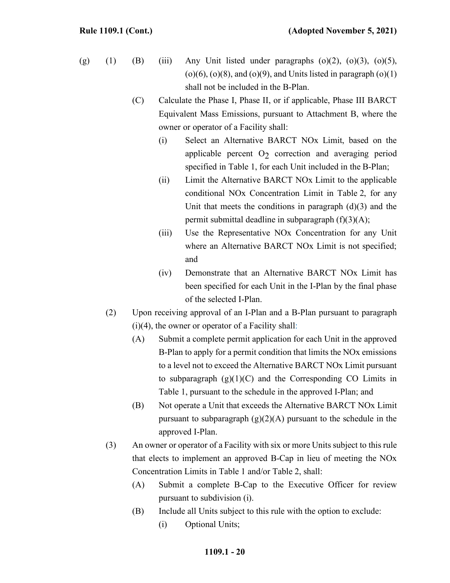- (g) (1) (B) (iii) Any Unit listed under paragraphs  $\alpha$  (o)(2),  $\alpha$ (o)(3),  $\alpha$ (o)(5),  $(o)(6)$ ,  $(o)(8)$ , and  $(o)(9)$ , and Units listed in paragraph  $(o)(1)$ shall not be included in the B-Plan.
	- (C) Calculate the Phase I, Phase II, or if applicable, Phase III BARCT Equivalent Mass Emissions, pursuant to Attachment B, where the owner or operator of a Facility shall:
		- (i) Select an Alternative BARCT NOx Limit, based on the applicable percent  $O<sub>2</sub>$  correction and averaging period specified in Table 1, for each Unit included in the B-Plan;
		- (ii) Limit the Alternative BARCT NOx Limit to the applicable conditional NOx Concentration Limit in Table 2, for any Unit that meets the conditions in paragraph  $(d)(3)$  and the permit submittal deadline in subparagraph  $(f)(3)(A)$ ;
		- (iii) Use the Representative NOx Concentration for any Unit where an Alternative BARCT NOx Limit is not specified; and
		- (iv) Demonstrate that an Alternative BARCT NOx Limit has been specified for each Unit in the I-Plan by the final phase of the selected I-Plan.
	- (2) Upon receiving approval of an I-Plan and a B-Plan pursuant to paragraph  $(i)(4)$ , the owner or operator of a Facility shall:
		- (A) Submit a complete permit application for each Unit in the approved B-Plan to apply for a permit condition that limits the NOx emissions to a level not to exceed the Alternative BARCT NOx Limit pursuant to subparagraph  $(g)(1)(C)$  and the Corresponding CO Limits in Table 1, pursuant to the schedule in the approved I-Plan; and
		- (B) Not operate a Unit that exceeds the Alternative BARCT NOx Limit pursuant to subparagraph  $(g)(2)(A)$  pursuant to the schedule in the approved I-Plan.
	- (3) An owner or operator of a Facility with six or more Units subject to this rule that elects to implement an approved B-Cap in lieu of meeting the NOx Concentration Limits in Table 1 and/or Table 2, shall:
		- (A) Submit a complete B-Cap to the Executive Officer for review pursuant to subdivision (i).
		- (B) Include all Units subject to this rule with the option to exclude: (i) Optional Units;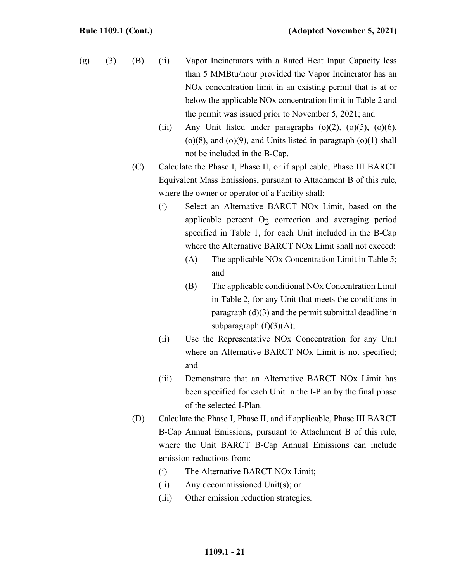- (g) (3) (B) (ii) Vapor Incinerators with a Rated Heat Input Capacity less than 5 MMBtu/hour provided the Vapor Incinerator has an NOx concentration limit in an existing permit that is at or below the applicable NOx concentration limit in Table 2 and the permit was issued prior to November 5, 2021; and
	- (iii) Any Unit listed under paragraphs  $(o)(2)$ ,  $(o)(5)$ ,  $(o)(6)$ ,  $(o)(8)$ , and  $(o)(9)$ , and Units listed in paragraph  $(o)(1)$  shall not be included in the B-Cap.
	- (C) Calculate the Phase I, Phase II, or if applicable, Phase III BARCT Equivalent Mass Emissions, pursuant to Attachment B of this rule, where the owner or operator of a Facility shall:
		- (i) Select an Alternative BARCT NOx Limit, based on the applicable percent  $O<sub>2</sub>$  correction and averaging period specified in Table 1, for each Unit included in the B-Cap where the Alternative BARCT NOx Limit shall not exceed:
			- (A) The applicable NOx Concentration Limit in Table 5; and
			- (B) The applicable conditional NOx Concentration Limit in Table 2, for any Unit that meets the conditions in paragraph (d)(3) and the permit submittal deadline in subparagraph  $(f)(3)(A);$
		- (ii) Use the Representative NOx Concentration for any Unit where an Alternative BARCT NOx Limit is not specified; and
		- (iii) Demonstrate that an Alternative BARCT NOx Limit has been specified for each Unit in the I-Plan by the final phase of the selected I-Plan.
	- (D) Calculate the Phase I, Phase II, and if applicable, Phase III BARCT B-Cap Annual Emissions, pursuant to Attachment B of this rule, where the Unit BARCT B-Cap Annual Emissions can include emission reductions from:
		- (i) The Alternative BARCT NOx Limit;
		- (ii) Any decommissioned Unit(s); or
		- (iii) Other emission reduction strategies.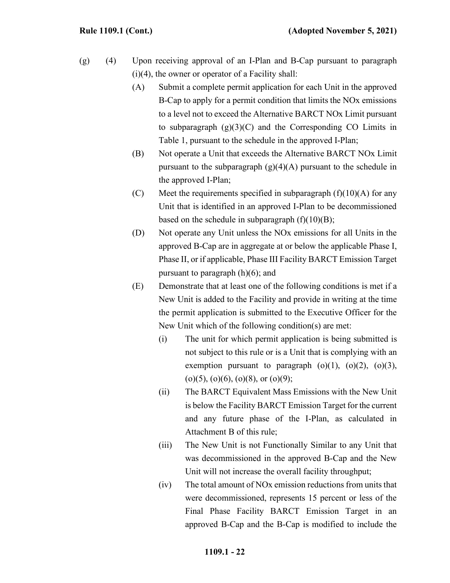- (g) (4) Upon receiving approval of an I-Plan and B-Cap pursuant to paragraph (i)(4), the owner or operator of a Facility shall:
	- (A) Submit a complete permit application for each Unit in the approved B-Cap to apply for a permit condition that limits the NOx emissions to a level not to exceed the Alternative BARCT NOx Limit pursuant to subparagraph  $(g)(3)(C)$  and the Corresponding CO Limits in Table 1, pursuant to the schedule in the approved I-Plan;
	- (B) Not operate a Unit that exceeds the Alternative BARCT NOx Limit pursuant to the subparagraph  $(g)(4)(A)$  pursuant to the schedule in the approved I-Plan;
	- (C) Meet the requirements specified in subparagraph  $(f)(10)(A)$  for any Unit that is identified in an approved I-Plan to be decommissioned based on the schedule in subparagraph  $(f)(10)(B)$ ;
	- (D) Not operate any Unit unless the NOx emissions for all Units in the approved B-Cap are in aggregate at or below the applicable Phase I, Phase II, or if applicable, Phase III Facility BARCT Emission Target pursuant to paragraph (h)(6); and
	- (E) Demonstrate that at least one of the following conditions is met if a New Unit is added to the Facility and provide in writing at the time the permit application is submitted to the Executive Officer for the New Unit which of the following condition(s) are met:
		- (i) The unit for which permit application is being submitted is not subject to this rule or is a Unit that is complying with an exemption pursuant to paragraph  $(o)(1)$ ,  $(o)(2)$ ,  $(o)(3)$ ,  $(o)(5)$ ,  $(o)(6)$ ,  $(o)(8)$ , or  $(o)(9)$ ;
		- (ii) The BARCT Equivalent Mass Emissions with the New Unit is below the Facility BARCT Emission Target for the current and any future phase of the I-Plan, as calculated in Attachment B of this rule;
		- (iii) The New Unit is not Functionally Similar to any Unit that was decommissioned in the approved B-Cap and the New Unit will not increase the overall facility throughput;
		- (iv) The total amount of NOx emission reductions from units that were decommissioned, represents 15 percent or less of the Final Phase Facility BARCT Emission Target in an approved B-Cap and the B-Cap is modified to include the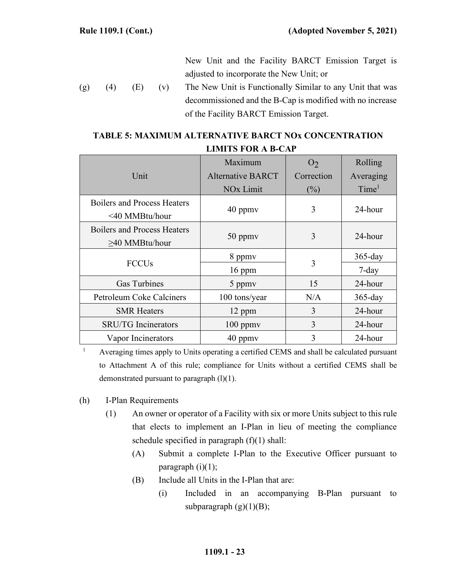New Unit and the Facility BARCT Emission Target is adjusted to incorporate the New Unit; or

(g)  $(4)$   $(E)$   $(v)$  The New Unit is Functionally Similar to any Unit that was decommissioned and the B-Cap is modified with no increase of the Facility BARCT Emission Target.

## **TABLE 5: MAXIMUM ALTERNATIVE BARCT NOx CONCENTRATION LIMITS FOR A B-CAP**

|                                                      | Maximum                  | O <sub>2</sub> | Rolling           |
|------------------------------------------------------|--------------------------|----------------|-------------------|
| Unit                                                 | <b>Alternative BARCT</b> | Correction     | Averaging         |
|                                                      | NO <sub>x</sub> Limit    | (%)            | Time <sup>1</sup> |
| <b>Boilers and Process Heaters</b><br><40 MMBtu/hour | $40$ ppm $v$             | 3              | 24-hour           |
| Boilers and Process Heaters<br>$\geq$ 40 MMBtu/hour  | $50$ ppm $v$             | 3              | 24-hour           |
| <b>FCCU<sub>s</sub></b>                              | 8 ppmv                   | 3              | $365$ -day        |
|                                                      | $16$ ppm                 |                | $7$ -day          |
| <b>Gas Turbines</b>                                  | 5 ppmy                   | 15             | 24-hour           |
| Petroleum Coke Calciners                             | 100 tons/year            | N/A            | $365$ -day        |
| <b>SMR Heaters</b>                                   | 12 ppm                   | 3              | 24-hour           |
| <b>SRU/TG</b> Incinerators                           | $100$ ppm $v$            | 3              | 24-hour           |
| Vapor Incinerators                                   | $40$ ppm $v$             | 3              | 24-hour           |

<sup>1</sup> Averaging times apply to Units operating a certified CEMS and shall be calculated pursuant to Attachment A of this rule; compliance for Units without a certified CEMS shall be demonstrated pursuant to paragraph  $(l)(1)$ .

- (h) I-Plan Requirements
	- (1) An owner or operator of a Facility with six or more Units subject to this rule that elects to implement an I-Plan in lieu of meeting the compliance schedule specified in paragraph (f)(1) shall:
		- (A) Submit a complete I-Plan to the Executive Officer pursuant to paragraph  $(i)(1)$ ;
		- (B) Include all Units in the I-Plan that are:
			- (i) Included in an accompanying B-Plan pursuant to subparagraph  $(g)(1)(B);$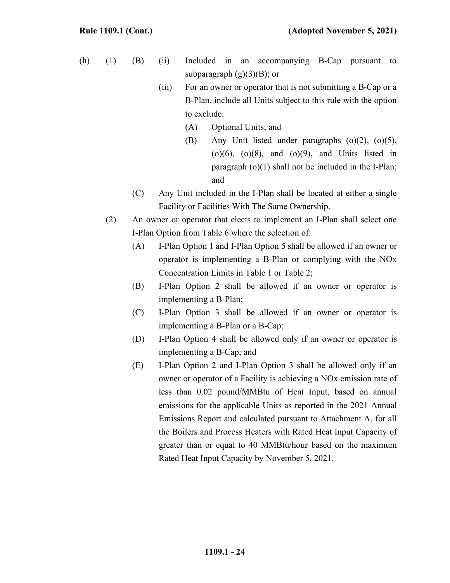- (h) (1) (B) (ii) Included in an accompanying B-Cap pursuant to subparagraph  $(g)(3)(B)$ ; or
	- (iii) For an owner or operator that is not submitting a B-Cap or a B-Plan, include all Units subject to this rule with the option to exclude:
		- (A) Optional Units; and
		- (B) Any Unit listed under paragraphs (o)(2), (o)(5),  $(o)(6)$ ,  $(o)(8)$ , and  $(o)(9)$ , and Units listed in paragraph (o)(1) shall not be included in the I-Plan; and
	- (C) Any Unit included in the I-Plan shall be located at either a single Facility or Facilities With The Same Ownership.
	- (2) An owner or operator that elects to implement an I-Plan shall select one I-Plan Option from Table 6 where the selection of:
		- (A) I-Plan Option 1 and I-Plan Option 5 shall be allowed if an owner or operator is implementing a B-Plan or complying with the NOx Concentration Limits in Table 1 or Table 2;
		- (B) I-Plan Option 2 shall be allowed if an owner or operator is implementing a B-Plan;
		- (C) I-Plan Option 3 shall be allowed if an owner or operator is implementing a B-Plan or a B-Cap;
		- (D) I-Plan Option 4 shall be allowed only if an owner or operator is implementing a B-Cap; and
		- (E) I-Plan Option 2 and I-Plan Option 3 shall be allowed only if an owner or operator of a Facility is achieving a NOx emission rate of less than 0.02 pound/MMBtu of Heat Input, based on annual emissions for the applicable Units as reported in the 2021 Annual Emissions Report and calculated pursuant to Attachment A, for all the Boilers and Process Heaters with Rated Heat Input Capacity of greater than or equal to 40 MMBtu/hour based on the maximum Rated Heat Input Capacity by November 5, 2021.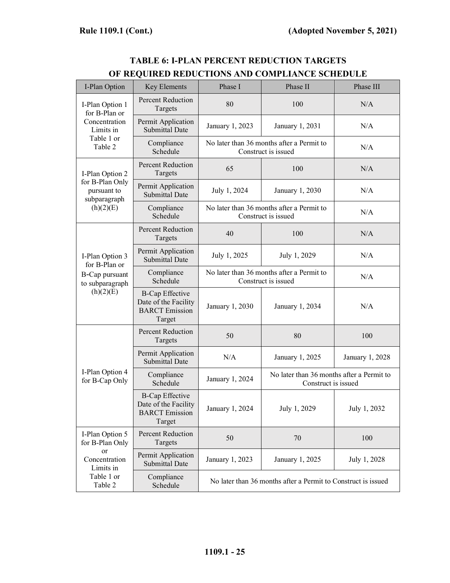| I-Plan Option                                                                      | <b>Key Elements</b>                                                               | Phase I                                                          | Phase II                                                         | Phase III       |  |
|------------------------------------------------------------------------------------|-----------------------------------------------------------------------------------|------------------------------------------------------------------|------------------------------------------------------------------|-----------------|--|
| I-Plan Option 1<br>for B-Plan or                                                   | <b>Percent Reduction</b><br>Targets                                               | 80                                                               | 100                                                              | N/A             |  |
| Concentration<br>Limits in<br>Table 1 or<br>Table 2                                | Permit Application<br><b>Submittal Date</b>                                       | January 1, 2023                                                  | January 1, 2031                                                  | N/A             |  |
|                                                                                    | Compliance<br>Schedule                                                            | No later than 36 months after a Permit to<br>Construct is issued |                                                                  | N/A             |  |
| I-Plan Option 2<br>for B-Plan Only<br>pursuant to<br>subparagraph<br>(h)(2)(E)     | <b>Percent Reduction</b><br>Targets                                               | 65                                                               | 100                                                              | N/A             |  |
|                                                                                    | Permit Application<br><b>Submittal Date</b>                                       | July 1, 2024                                                     | January 1, 2030                                                  | N/A             |  |
|                                                                                    | Compliance<br>Schedule                                                            | No later than 36 months after a Permit to<br>Construct is issued |                                                                  | N/A             |  |
| I-Plan Option 3<br>for B-Plan or<br>B-Cap pursuant<br>to subparagraph<br>(h)(2)(E) | Percent Reduction<br>Targets                                                      | 40                                                               | 100                                                              | N/A             |  |
|                                                                                    | Permit Application<br><b>Submittal Date</b>                                       | July 1, 2025                                                     | July 1, 2029                                                     | N/A             |  |
|                                                                                    | Compliance<br>Schedule                                                            | No later than 36 months after a Permit to<br>Construct is issued |                                                                  | N/A             |  |
|                                                                                    | <b>B-Cap Effective</b><br>Date of the Facility<br><b>BARCT</b> Emission<br>Target | January 1, 2030                                                  | January 1, 2034                                                  | N/A             |  |
|                                                                                    | <b>Percent Reduction</b><br>Targets                                               | 50                                                               | 80                                                               | 100             |  |
| I-Plan Option 4<br>for B-Cap Only                                                  | Permit Application<br><b>Submittal Date</b>                                       | N/A                                                              | January 1, 2025                                                  | January 1, 2028 |  |
|                                                                                    | Compliance<br>Schedule                                                            | January 1, 2024                                                  | No later than 36 months after a Permit to<br>Construct is issued |                 |  |
|                                                                                    | <b>B-Cap Effective</b><br>Date of the Facility<br><b>BARCT</b> Emission<br>Target | January 1, 2024                                                  | July 1, 2029                                                     | July 1, 2032    |  |
| I-Plan Option 5<br>for B-Plan Only                                                 | <b>Percent Reduction</b><br>Targets                                               | 50                                                               | 70                                                               | 100             |  |
| <b>or</b><br>Concentration<br>Limits in                                            | Permit Application<br><b>Submittal Date</b>                                       | January 1, 2023                                                  | January 1, 2025                                                  | July 1, 2028    |  |
| Table 1 or<br>Table 2                                                              | Compliance<br>Schedule                                                            | No later than 36 months after a Permit to Construct is issued    |                                                                  |                 |  |

# **TABLE 6: I-PLAN PERCENT REDUCTION TARGETS OF REQUIRED REDUCTIONS AND COMPLIANCE SCHEDULE**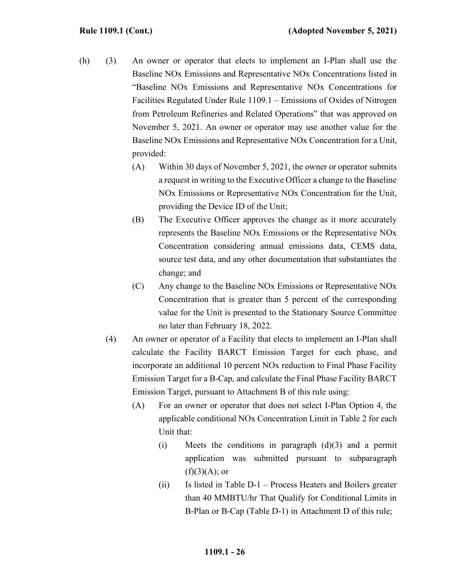- (h) (3) An owner or operator that elects to implement an I-Plan shall use the Baseline NOx Emissions and Representative NOx Concentrations listed in "Baseline NOx Emissions and Representative NOx Concentrations for Facilities Regulated Under Rule 1109.1 – Emissions of Oxides of Nitrogen from Petroleum Refineries and Related Operations" that was approved on November 5, 2021. An owner or operator may use another value for the Baseline NOx Emissions and Representative NOx Concentration for a Unit, provided:
	- (A) Within 30 days of November 5, 2021, the owner or operator submits a request in writing to the Executive Officer a change to the Baseline NOx Emissions or Representative NOx Concentration for the Unit, providing the Device ID of the Unit;
	- (B) The Executive Officer approves the change as it more accurately represents the Baseline NOx Emissions or the Representative NOx Concentration considering annual emissions data, CEMS data, source test data, and any other documentation that substantiates the change; and
	- (C) Any change to the Baseline NOx Emissions or Representative NOx Concentration that is greater than 5 percent of the corresponding value for the Unit is presented to the Stationary Source Committee no later than February 18, 2022.
	- (4) An owner or operator of a Facility that elects to implement an I-Plan shall calculate the Facility BARCT Emission Target for each phase, and incorporate an additional 10 percent NOx reduction to Final Phase Facility Emission Target for a B-Cap, and calculate the Final Phase Facility BARCT Emission Target, pursuant to Attachment B of this rule using:
		- (A) For an owner or operator that does not select I-Plan Option 4, the applicable conditional NOx Concentration Limit in Table 2 for each Unit that:
			- (i) Meets the conditions in paragraph  $(d)(3)$  and a permit application was submitted pursuant to subparagraph  $(f)(3)(A);$  or
			- $(ii)$  Is listed in Table D-1 Process Heaters and Boilers greater than 40 MMBTU/hr That Qualify for Conditional Limits in B-Plan or B-Cap (Table D-1) in Attachment D of this rule;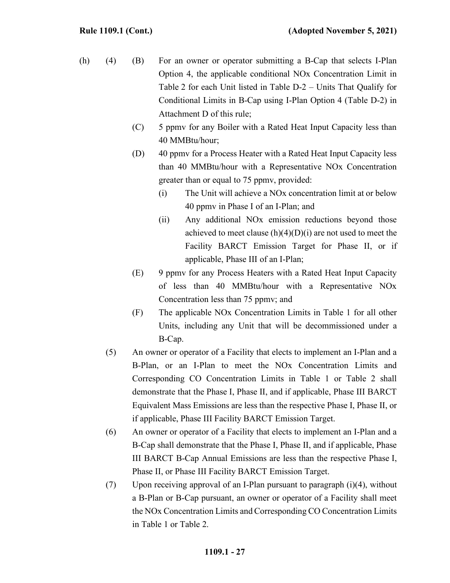- (h) (4) (B) For an owner or operator submitting a B-Cap that selects I-Plan Option 4, the applicable conditional NOx Concentration Limit in Table 2 for each Unit listed in Table D-2 – Units That Qualify for Conditional Limits in B-Cap using I-Plan Option 4 (Table D-2) in Attachment D of this rule;
	- (C) 5 ppmv for any Boiler with a Rated Heat Input Capacity less than 40 MMBtu/hour;
	- (D) 40 ppmv for a Process Heater with a Rated Heat Input Capacity less than 40 MMBtu/hour with a Representative NOx Concentration greater than or equal to 75 ppmv, provided:
		- (i) The Unit will achieve a NOx concentration limit at or below 40 ppmv in Phase I of an I-Plan; and
		- (ii) Any additional NOx emission reductions beyond those achieved to meet clause  $(h)(4)(D)(i)$  are not used to meet the Facility BARCT Emission Target for Phase II, or if applicable, Phase III of an I-Plan;
	- (E) 9 ppmv for any Process Heaters with a Rated Heat Input Capacity of less than 40 MMBtu/hour with a Representative NOx Concentration less than 75 ppmv; and
	- (F) The applicable NOx Concentration Limits in Table 1 for all other Units, including any Unit that will be decommissioned under a B-Cap.
	- (5) An owner or operator of a Facility that elects to implement an I-Plan and a B-Plan, or an I-Plan to meet the NOx Concentration Limits and Corresponding CO Concentration Limits in Table 1 or Table 2 shall demonstrate that the Phase I, Phase II, and if applicable, Phase III BARCT Equivalent Mass Emissions are less than the respective Phase I, Phase II, or if applicable, Phase III Facility BARCT Emission Target.
	- (6) An owner or operator of a Facility that elects to implement an I-Plan and a B-Cap shall demonstrate that the Phase I, Phase II, and if applicable, Phase III BARCT B-Cap Annual Emissions are less than the respective Phase I, Phase II, or Phase III Facility BARCT Emission Target.
	- (7) Upon receiving approval of an I-Plan pursuant to paragraph (i)(4), without a B-Plan or B-Cap pursuant, an owner or operator of a Facility shall meet the NOx Concentration Limits and Corresponding CO Concentration Limits in Table 1 or Table 2.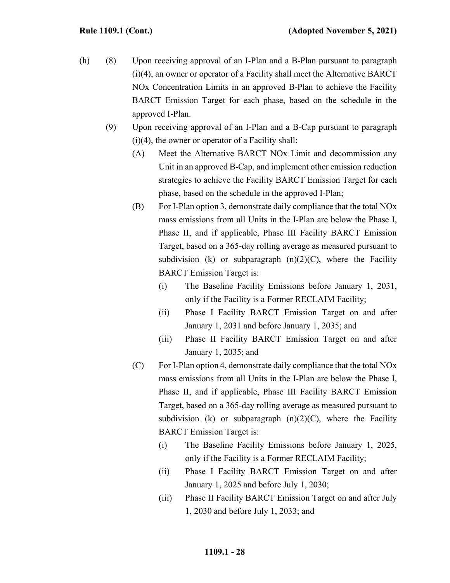- (h) (8) Upon receiving approval of an I-Plan and a B-Plan pursuant to paragraph (i)(4), an owner or operator of a Facility shall meet the Alternative BARCT NOx Concentration Limits in an approved B-Plan to achieve the Facility BARCT Emission Target for each phase, based on the schedule in the approved I-Plan.
	- (9) Upon receiving approval of an I-Plan and a B-Cap pursuant to paragraph (i)(4), the owner or operator of a Facility shall:
		- (A) Meet the Alternative BARCT NOx Limit and decommission any Unit in an approved B-Cap, and implement other emission reduction strategies to achieve the Facility BARCT Emission Target for each phase, based on the schedule in the approved I-Plan;
		- (B) For I-Plan option 3, demonstrate daily compliance that the total NOx mass emissions from all Units in the I-Plan are below the Phase I, Phase II, and if applicable, Phase III Facility BARCT Emission Target, based on a 365-day rolling average as measured pursuant to subdivision (k) or subparagraph  $(n)(2)(C)$ , where the Facility BARCT Emission Target is:
			- (i) The Baseline Facility Emissions before January 1, 2031, only if the Facility is a Former RECLAIM Facility;
			- (ii) Phase I Facility BARCT Emission Target on and after January 1, 2031 and before January 1, 2035; and
			- (iii) Phase II Facility BARCT Emission Target on and after January 1, 2035; and
		- (C) For I-Plan option 4, demonstrate daily compliance that the total NOx mass emissions from all Units in the I-Plan are below the Phase I, Phase II, and if applicable, Phase III Facility BARCT Emission Target, based on a 365-day rolling average as measured pursuant to subdivision (k) or subparagraph  $(n)(2)(C)$ , where the Facility BARCT Emission Target is:
			- (i) The Baseline Facility Emissions before January 1, 2025, only if the Facility is a Former RECLAIM Facility;
			- (ii) Phase I Facility BARCT Emission Target on and after January 1, 2025 and before July 1, 2030;
			- (iii) Phase II Facility BARCT Emission Target on and after July 1, 2030 and before July 1, 2033; and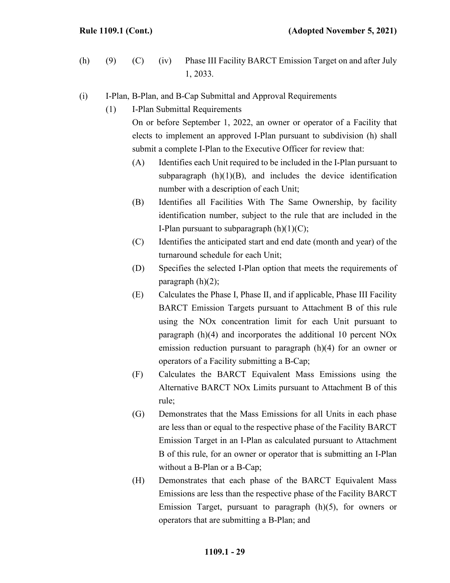- (h) (9) (C) (iv) Phase III Facility BARCT Emission Target on and after July 1, 2033.
- (i) I-Plan, B-Plan, and B-Cap Submittal and Approval Requirements
	- (1) I-Plan Submittal Requirements

On or before September 1, 2022, an owner or operator of a Facility that elects to implement an approved I-Plan pursuant to subdivision (h) shall submit a complete I-Plan to the Executive Officer for review that:

- (A) Identifies each Unit required to be included in the I-Plan pursuant to subparagraph  $(h)(1)(B)$ , and includes the device identification number with a description of each Unit;
- (B) Identifies all Facilities With The Same Ownership, by facility identification number, subject to the rule that are included in the I-Plan pursuant to subparagraph  $(h)(1)(C)$ ;
- (C) Identifies the anticipated start and end date (month and year) of the turnaround schedule for each Unit;
- (D) Specifies the selected I-Plan option that meets the requirements of paragraph  $(h)(2)$ ;
- (E) Calculates the Phase I, Phase II, and if applicable, Phase III Facility BARCT Emission Targets pursuant to Attachment B of this rule using the NOx concentration limit for each Unit pursuant to paragraph (h)(4) and incorporates the additional 10 percent NOx emission reduction pursuant to paragraph (h)(4) for an owner or operators of a Facility submitting a B-Cap;
- (F) Calculates the BARCT Equivalent Mass Emissions using the Alternative BARCT NOx Limits pursuant to Attachment B of this rule;
- (G) Demonstrates that the Mass Emissions for all Units in each phase are less than or equal to the respective phase of the Facility BARCT Emission Target in an I-Plan as calculated pursuant to Attachment B of this rule, for an owner or operator that is submitting an I-Plan without a B-Plan or a B-Cap;
- (H) Demonstrates that each phase of the BARCT Equivalent Mass Emissions are less than the respective phase of the Facility BARCT Emission Target, pursuant to paragraph (h)(5), for owners or operators that are submitting a B-Plan; and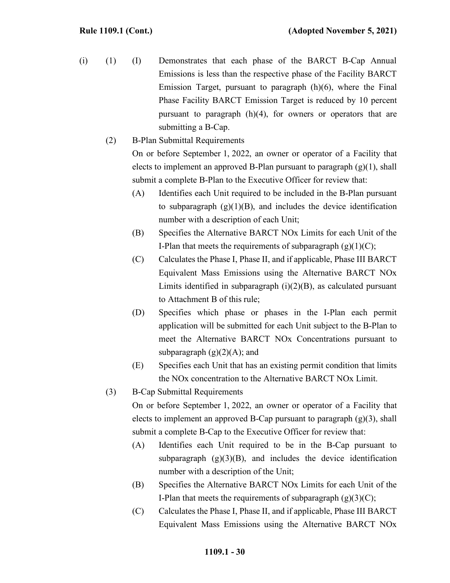- (i) (1) (I) Demonstrates that each phase of the BARCT B-Cap Annual Emissions is less than the respective phase of the Facility BARCT Emission Target, pursuant to paragraph (h)(6), where the Final Phase Facility BARCT Emission Target is reduced by 10 percent pursuant to paragraph (h)(4), for owners or operators that are submitting a B-Cap.
	- (2) B-Plan Submittal Requirements On or before September 1, 2022, an owner or operator of a Facility that elects to implement an approved B-Plan pursuant to paragraph  $(g)(1)$ , shall submit a complete B-Plan to the Executive Officer for review that:
		- (A) Identifies each Unit required to be included in the B-Plan pursuant to subparagraph  $(g)(1)(B)$ , and includes the device identification number with a description of each Unit;
		- (B) Specifies the Alternative BARCT NOx Limits for each Unit of the I-Plan that meets the requirements of subparagraph  $(g)(1)(C)$ ;
		- (C) Calculates the Phase I, Phase II, and if applicable, Phase III BARCT Equivalent Mass Emissions using the Alternative BARCT NOx Limits identified in subparagraph  $(i)(2)(B)$ , as calculated pursuant to Attachment B of this rule;
		- (D) Specifies which phase or phases in the I-Plan each permit application will be submitted for each Unit subject to the B-Plan to meet the Alternative BARCT NOx Concentrations pursuant to subparagraph  $(g)(2)(A)$ ; and
		- (E) Specifies each Unit that has an existing permit condition that limits the NOx concentration to the Alternative BARCT NOx Limit.
	- (3) B-Cap Submittal Requirements

On or before September 1, 2022, an owner or operator of a Facility that elects to implement an approved B-Cap pursuant to paragraph  $(g)(3)$ , shall submit a complete B-Cap to the Executive Officer for review that:

- (A) Identifies each Unit required to be in the B-Cap pursuant to subparagraph  $(g)(3)(B)$ , and includes the device identification number with a description of the Unit;
- (B) Specifies the Alternative BARCT NOx Limits for each Unit of the I-Plan that meets the requirements of subparagraph  $(g)(3)(C)$ ;
- (C) Calculates the Phase I, Phase II, and if applicable, Phase III BARCT Equivalent Mass Emissions using the Alternative BARCT NOx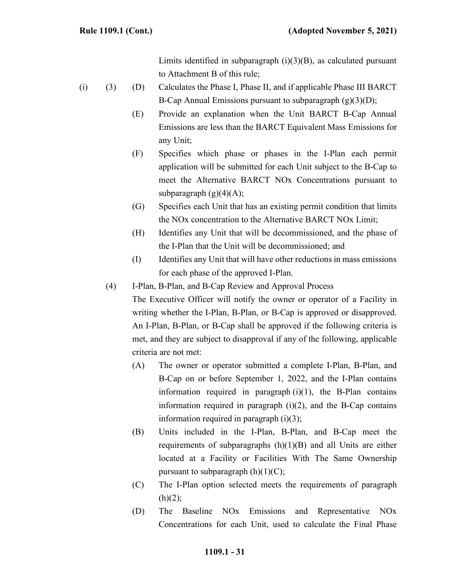Limits identified in subparagraph  $(i)(3)(B)$ , as calculated pursuant to Attachment B of this rule;

- (i) (3) (D) Calculates the Phase I, Phase II, and if applicable Phase III BARCT B-Cap Annual Emissions pursuant to subparagraph  $(g)(3)(D)$ ;
	- (E) Provide an explanation when the Unit BARCT B-Cap Annual Emissions are less than the BARCT Equivalent Mass Emissions for any Unit;
	- (F) Specifies which phase or phases in the I-Plan each permit application will be submitted for each Unit subject to the B-Cap to meet the Alternative BARCT NOx Concentrations pursuant to subparagraph  $(g)(4)(A);$
	- (G) Specifies each Unit that has an existing permit condition that limits the NOx concentration to the Alternative BARCT NOx Limit;
	- (H) Identifies any Unit that will be decommissioned, and the phase of the I-Plan that the Unit will be decommissioned; and
	- (I) Identifies any Unit that will have other reductions in mass emissions for each phase of the approved I-Plan.
	- (4) I-Plan, B-Plan, and B-Cap Review and Approval Process

The Executive Officer will notify the owner or operator of a Facility in writing whether the I-Plan, B-Plan, or B-Cap is approved or disapproved. An I-Plan, B-Plan, or B-Cap shall be approved if the following criteria is met, and they are subject to disapproval if any of the following, applicable criteria are not met:

- (A) The owner or operator submitted a complete I-Plan, B-Plan, and B-Cap on or before September 1, 2022, and the I-Plan contains information required in paragraph  $(i)(1)$ , the B-Plan contains information required in paragraph  $(i)(2)$ , and the B-Cap contains information required in paragraph  $(i)(3)$ ;
- (B) Units included in the I-Plan, B-Plan, and B-Cap meet the requirements of subparagraphs  $(h)(1)(B)$  and all Units are either located at a Facility or Facilities With The Same Ownership pursuant to subparagraph  $(h)(1)(C)$ ;
- (C) The I-Plan option selected meets the requirements of paragraph  $(h)(2);$
- (D) The Baseline NOx Emissions and Representative NOx Concentrations for each Unit, used to calculate the Final Phase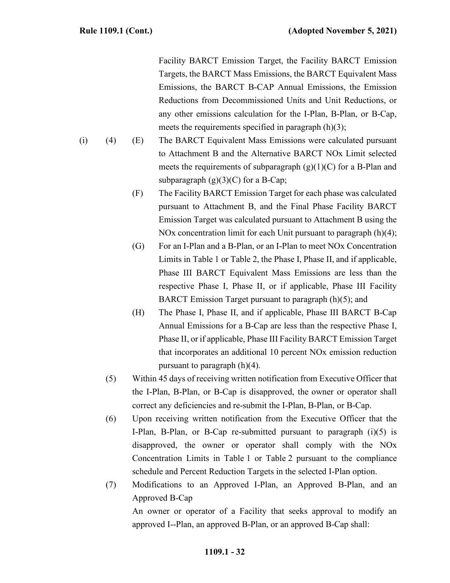Facility BARCT Emission Target, the Facility BARCT Emission Targets, the BARCT Mass Emissions, the BARCT Equivalent Mass Emissions, the BARCT B-CAP Annual Emissions, the Emission Reductions from Decommissioned Units and Unit Reductions, or any other emissions calculation for the I-Plan, B-Plan, or B-Cap, meets the requirements specified in paragraph (h)(3);

- (i) (4) (E) The BARCT Equivalent Mass Emissions were calculated pursuant to Attachment B and the Alternative BARCT NOx Limit selected meets the requirements of subparagraph  $(g)(1)(C)$  for a B-Plan and subparagraph  $(g)(3)(C)$  for a B-Cap;
	- (F) The Facility BARCT Emission Target for each phase was calculated pursuant to Attachment B, and the Final Phase Facility BARCT Emission Target was calculated pursuant to Attachment B using the NOx concentration limit for each Unit pursuant to paragraph (h)(4);
	- (G) For an I-Plan and a B-Plan, or an I-Plan to meet NOx Concentration Limits in Table 1 or Table 2, the Phase I, Phase II, and if applicable, Phase III BARCT Equivalent Mass Emissions are less than the respective Phase I, Phase II, or if applicable, Phase III Facility BARCT Emission Target pursuant to paragraph (h)(5); and
	- (H) The Phase I, Phase II, and if applicable, Phase III BARCT B-Cap Annual Emissions for a B-Cap are less than the respective Phase I, Phase II, or if applicable, Phase III Facility BARCT Emission Target that incorporates an additional 10 percent NOx emission reduction pursuant to paragraph (h)(4).
	- (5) Within 45 days of receiving written notification from Executive Officer that the I-Plan, B-Plan, or B-Cap is disapproved, the owner or operator shall correct any deficiencies and re-submit the I-Plan, B-Plan, or B-Cap.
	- (6) Upon receiving written notification from the Executive Officer that the I-Plan, B-Plan, or B-Cap re-submitted pursuant to paragraph  $(i)(5)$  is disapproved, the owner or operator shall comply with the NOx Concentration Limits in Table 1 or Table 2 pursuant to the compliance schedule and Percent Reduction Targets in the selected I-Plan option.
	- (7) Modifications to an Approved I-Plan, an Approved B-Plan, and an Approved B-Cap An owner or operator of a Facility that seeks approval to modify an approved I--Plan, an approved B-Plan, or an approved B-Cap shall: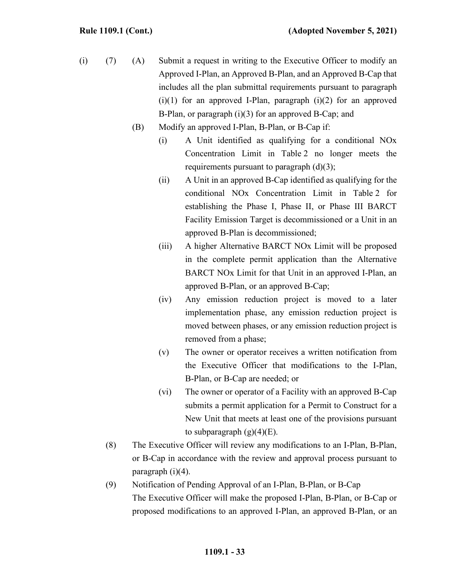- (i) (7) (A) Submit a request in writing to the Executive Officer to modify an Approved I-Plan, an Approved B-Plan, and an Approved B-Cap that includes all the plan submittal requirements pursuant to paragraph  $(i)(1)$  for an approved I-Plan, paragraph  $(i)(2)$  for an approved B-Plan, or paragraph (i)(3) for an approved B-Cap; and
	- (B) Modify an approved I-Plan, B-Plan, or B-Cap if:
		- (i) A Unit identified as qualifying for a conditional NOx Concentration Limit in Table 2 no longer meets the requirements pursuant to paragraph (d)(3);
		- (ii) A Unit in an approved B-Cap identified as qualifying for the conditional NOx Concentration Limit in Table 2 for establishing the Phase I, Phase II, or Phase III BARCT Facility Emission Target is decommissioned or a Unit in an approved B-Plan is decommissioned;
		- (iii) A higher Alternative BARCT NOx Limit will be proposed in the complete permit application than the Alternative BARCT NOx Limit for that Unit in an approved I-Plan, an approved B-Plan, or an approved B-Cap;
		- (iv) Any emission reduction project is moved to a later implementation phase, any emission reduction project is moved between phases, or any emission reduction project is removed from a phase;
		- (v) The owner or operator receives a written notification from the Executive Officer that modifications to the I-Plan, B-Plan, or B-Cap are needed; or
		- (vi) The owner or operator of a Facility with an approved B-Cap submits a permit application for a Permit to Construct for a New Unit that meets at least one of the provisions pursuant to subparagraph  $(g)(4)(E)$ .
	- (8) The Executive Officer will review any modifications to an I-Plan, B-Plan, or B-Cap in accordance with the review and approval process pursuant to paragraph (i)(4).
	- (9) Notification of Pending Approval of an I-Plan, B-Plan, or B-Cap The Executive Officer will make the proposed I-Plan, B-Plan, or B-Cap or proposed modifications to an approved I-Plan, an approved B-Plan, or an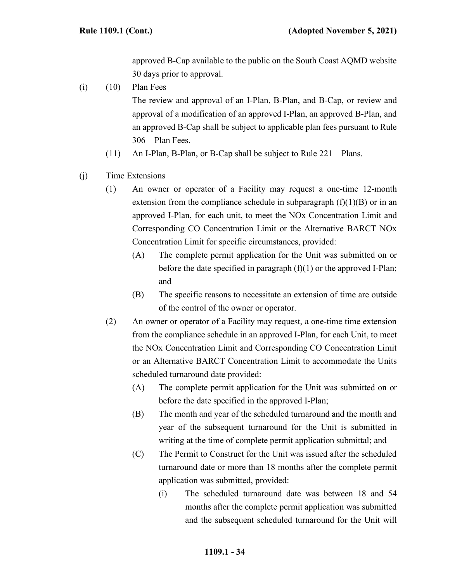approved B-Cap available to the public on the South Coast AQMD website 30 days prior to approval.

 $(i)$   $(10)$  Plan Fees

The review and approval of an I-Plan, B-Plan, and B-Cap, or review and approval of a modification of an approved I-Plan, an approved B-Plan, and an approved B-Cap shall be subject to applicable plan fees pursuant to Rule 306 – Plan Fees.

- (11) An I-Plan, B-Plan, or B-Cap shall be subject to Rule 221 Plans.
- (j) Time Extensions
	- (1) An owner or operator of a Facility may request a one-time 12-month extension from the compliance schedule in subparagraph  $(f)(1)(B)$  or in an approved I-Plan, for each unit, to meet the NOx Concentration Limit and Corresponding CO Concentration Limit or the Alternative BARCT NOx Concentration Limit for specific circumstances, provided:
		- (A) The complete permit application for the Unit was submitted on or before the date specified in paragraph  $(f)(1)$  or the approved I-Plan; and
		- (B) The specific reasons to necessitate an extension of time are outside of the control of the owner or operator.
	- (2) An owner or operator of a Facility may request, a one-time time extension from the compliance schedule in an approved I-Plan, for each Unit, to meet the NOx Concentration Limit and Corresponding CO Concentration Limit or an Alternative BARCT Concentration Limit to accommodate the Units scheduled turnaround date provided:
		- (A) The complete permit application for the Unit was submitted on or before the date specified in the approved I-Plan;
		- (B) The month and year of the scheduled turnaround and the month and year of the subsequent turnaround for the Unit is submitted in writing at the time of complete permit application submittal; and
		- (C) The Permit to Construct for the Unit was issued after the scheduled turnaround date or more than 18 months after the complete permit application was submitted, provided:
			- (i) The scheduled turnaround date was between 18 and 54 months after the complete permit application was submitted and the subsequent scheduled turnaround for the Unit will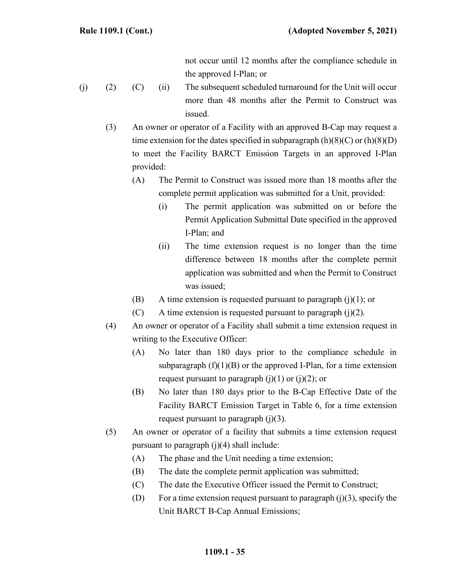not occur until 12 months after the compliance schedule in the approved I-Plan; or

- (j) (2) (C) (ii) The subsequent scheduled turnaround for the Unit will occur more than 48 months after the Permit to Construct was issued.
	- (3) An owner or operator of a Facility with an approved B-Cap may request a time extension for the dates specified in subparagraph  $(h)(8)(C)$  or  $(h)(8)(D)$ to meet the Facility BARCT Emission Targets in an approved I-Plan provided:
		- (A) The Permit to Construct was issued more than 18 months after the complete permit application was submitted for a Unit, provided:
			- (i) The permit application was submitted on or before the Permit Application Submittal Date specified in the approved I-Plan; and
			- (ii) The time extension request is no longer than the time difference between 18 months after the complete permit application was submitted and when the Permit to Construct was issued;
		- (B) A time extension is requested pursuant to paragraph  $(j)(1)$ ; or
		- $(C)$  A time extension is requested pursuant to paragraph  $(i)(2)$ .
	- (4) An owner or operator of a Facility shall submit a time extension request in writing to the Executive Officer:
		- (A) No later than 180 days prior to the compliance schedule in subparagraph  $(f)(1)(B)$  or the approved I-Plan, for a time extension request pursuant to paragraph  $(i)(1)$  or  $(i)(2)$ ; or
		- (B) No later than 180 days prior to the B-Cap Effective Date of the Facility BARCT Emission Target in Table 6, for a time extension request pursuant to paragraph  $(j)(3)$ .
	- (5) An owner or operator of a facility that submits a time extension request pursuant to paragraph  $(j)(4)$  shall include:
		- (A) The phase and the Unit needing a time extension;
		- (B) The date the complete permit application was submitted;
		- (C) The date the Executive Officer issued the Permit to Construct;
		- (D) For a time extension request pursuant to paragraph  $(j)(3)$ , specify the Unit BARCT B-Cap Annual Emissions;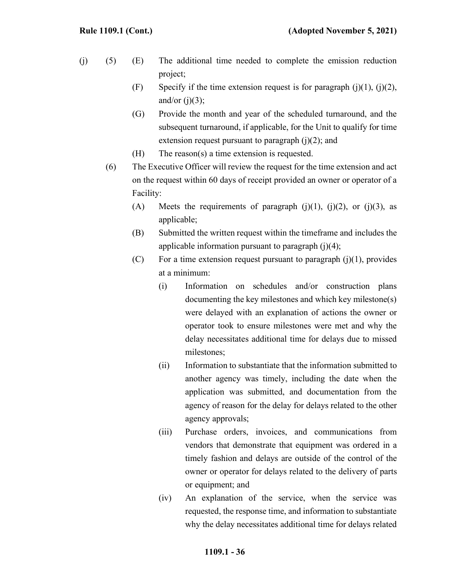- (j) (5) (E) The additional time needed to complete the emission reduction project;
	- (F) Specify if the time extension request is for paragraph  $(i)(1)$ ,  $(i)(2)$ , and/or  $(j)(3)$ ;
	- (G) Provide the month and year of the scheduled turnaround, and the subsequent turnaround, if applicable, for the Unit to qualify for time extension request pursuant to paragraph  $(i)(2)$ ; and
	- (H) The reason(s) a time extension is requested.
	- (6) The Executive Officer will review the request for the time extension and act on the request within 60 days of receipt provided an owner or operator of a Facility:
		- (A) Meets the requirements of paragraph  $(j)(1)$ ,  $(j)(2)$ , or  $(j)(3)$ , as applicable;
		- (B) Submitted the written request within the timeframe and includes the applicable information pursuant to paragraph  $(i)(4)$ ;
		- (C) For a time extension request pursuant to paragraph  $(j)(1)$ , provides at a minimum:
			- (i) Information on schedules and/or construction plans documenting the key milestones and which key milestone(s) were delayed with an explanation of actions the owner or operator took to ensure milestones were met and why the delay necessitates additional time for delays due to missed milestones;
			- (ii) Information to substantiate that the information submitted to another agency was timely, including the date when the application was submitted, and documentation from the agency of reason for the delay for delays related to the other agency approvals;
			- (iii) Purchase orders, invoices, and communications from vendors that demonstrate that equipment was ordered in a timely fashion and delays are outside of the control of the owner or operator for delays related to the delivery of parts or equipment; and
			- (iv) An explanation of the service, when the service was requested, the response time, and information to substantiate why the delay necessitates additional time for delays related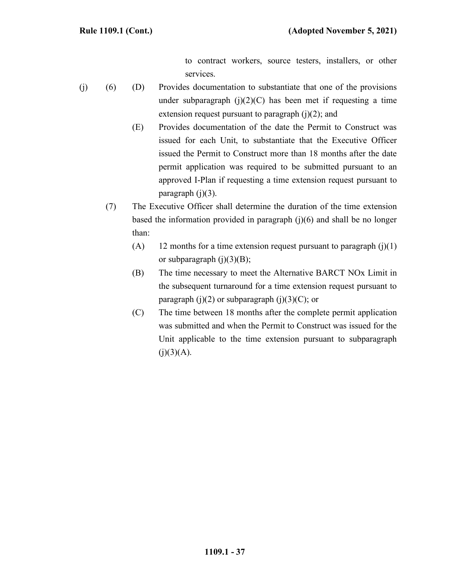to contract workers, source testers, installers, or other services.

- (j) (6) (D) Provides documentation to substantiate that one of the provisions under subparagraph  $(i)(2)(C)$  has been met if requesting a time extension request pursuant to paragraph  $(i)(2)$ ; and
	- (E) Provides documentation of the date the Permit to Construct was issued for each Unit, to substantiate that the Executive Officer issued the Permit to Construct more than 18 months after the date permit application was required to be submitted pursuant to an approved I-Plan if requesting a time extension request pursuant to paragraph  $(j)(3)$ .
	- (7) The Executive Officer shall determine the duration of the time extension based the information provided in paragraph (j)(6) and shall be no longer than:
		- (A) 12 months for a time extension request pursuant to paragraph  $(j)(1)$ or subparagraph  $(i)(3)(B)$ ;
		- (B) The time necessary to meet the Alternative BARCT NOx Limit in the subsequent turnaround for a time extension request pursuant to paragraph  $(j)(2)$  or subparagraph  $(j)(3)(C)$ ; or
		- (C) The time between 18 months after the complete permit application was submitted and when the Permit to Construct was issued for the Unit applicable to the time extension pursuant to subparagraph  $(j)(3)(A).$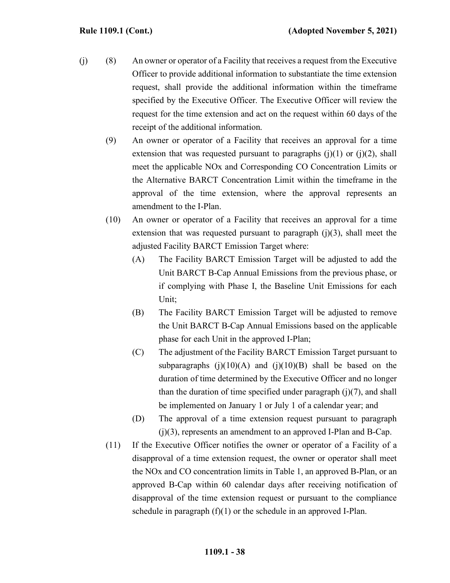- (j) (8) An owner or operator of a Facility that receives a request from the Executive Officer to provide additional information to substantiate the time extension request, shall provide the additional information within the timeframe specified by the Executive Officer. The Executive Officer will review the request for the time extension and act on the request within 60 days of the receipt of the additional information.
	- (9) An owner or operator of a Facility that receives an approval for a time extension that was requested pursuant to paragraphs  $(j)(1)$  or  $(j)(2)$ , shall meet the applicable NOx and Corresponding CO Concentration Limits or the Alternative BARCT Concentration Limit within the timeframe in the approval of the time extension, where the approval represents an amendment to the I-Plan.
	- (10) An owner or operator of a Facility that receives an approval for a time extension that was requested pursuant to paragraph  $(j)(3)$ , shall meet the adjusted Facility BARCT Emission Target where:
		- (A) The Facility BARCT Emission Target will be adjusted to add the Unit BARCT B-Cap Annual Emissions from the previous phase, or if complying with Phase I, the Baseline Unit Emissions for each Unit;
		- (B) The Facility BARCT Emission Target will be adjusted to remove the Unit BARCT B-Cap Annual Emissions based on the applicable phase for each Unit in the approved I-Plan;
		- (C) The adjustment of the Facility BARCT Emission Target pursuant to subparagraphs  $(j)(10)(A)$  and  $(j)(10)(B)$  shall be based on the duration of time determined by the Executive Officer and no longer than the duration of time specified under paragraph  $(j)(7)$ , and shall be implemented on January 1 or July 1 of a calendar year; and
		- (D) The approval of a time extension request pursuant to paragraph (j)(3), represents an amendment to an approved I-Plan and B-Cap.
	- (11) If the Executive Officer notifies the owner or operator of a Facility of a disapproval of a time extension request, the owner or operator shall meet the NOx and CO concentration limits in Table 1, an approved B-Plan, or an approved B-Cap within 60 calendar days after receiving notification of disapproval of the time extension request or pursuant to the compliance schedule in paragraph  $(f)(1)$  or the schedule in an approved I-Plan.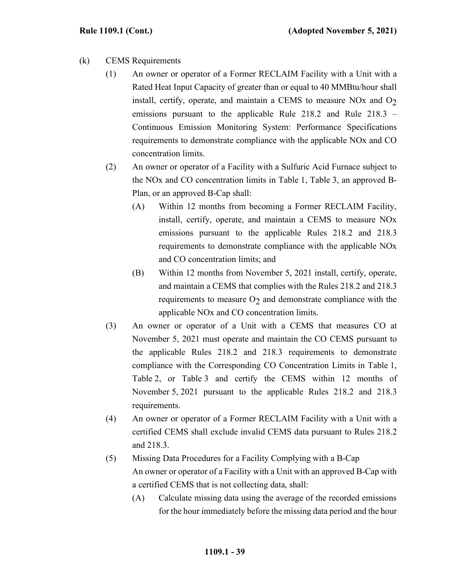- (k) CEMS Requirements
	- (1) An owner or operator of a Former RECLAIM Facility with a Unit with a Rated Heat Input Capacity of greater than or equal to 40 MMBtu/hour shall install, certify, operate, and maintain a CEMS to measure NO<sub>x</sub> and  $O<sub>2</sub>$ emissions pursuant to the applicable Rule 218.2 and Rule 218.3 – Continuous Emission Monitoring System: Performance Specifications requirements to demonstrate compliance with the applicable NOx and CO concentration limits.
	- (2) An owner or operator of a Facility with a Sulfuric Acid Furnace subject to the NOx and CO concentration limits in Table 1, Table 3, an approved B-Plan, or an approved B-Cap shall:
		- (A) Within 12 months from becoming a Former RECLAIM Facility, install, certify, operate, and maintain a CEMS to measure NOx emissions pursuant to the applicable Rules 218.2 and 218.3 requirements to demonstrate compliance with the applicable NOx and CO concentration limits; and
		- (B) Within 12 months from November 5, 2021 install, certify, operate, and maintain a CEMS that complies with the Rules 218.2 and 218.3 requirements to measure  $O<sub>2</sub>$  and demonstrate compliance with the applicable NOx and CO concentration limits.
	- (3) An owner or operator of a Unit with a CEMS that measures CO at November 5, 2021 must operate and maintain the CO CEMS pursuant to the applicable Rules 218.2 and 218.3 requirements to demonstrate compliance with the Corresponding CO Concentration Limits in Table 1, Table 2, or Table 3 and certify the CEMS within 12 months of November 5, 2021 pursuant to the applicable Rules 218.2 and 218.3 requirements.
	- (4) An owner or operator of a Former RECLAIM Facility with a Unit with a certified CEMS shall exclude invalid CEMS data pursuant to Rules 218.2 and 218.3.
	- (5) Missing Data Procedures for a Facility Complying with a B-Cap An owner or operator of a Facility with a Unit with an approved B-Cap with a certified CEMS that is not collecting data, shall:
		- (A) Calculate missing data using the average of the recorded emissions for the hour immediately before the missing data period and the hour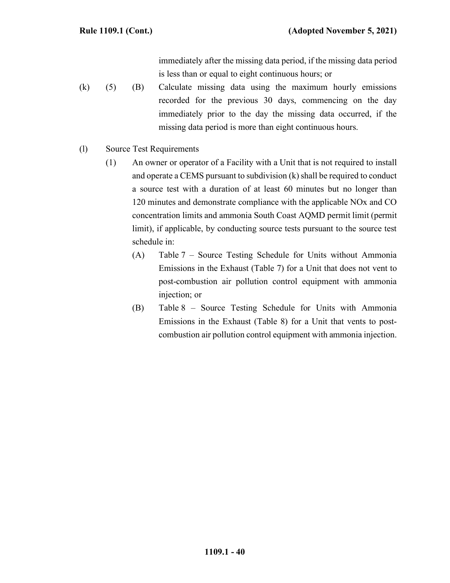immediately after the missing data period, if the missing data period is less than or equal to eight continuous hours; or

- (k) (5) (B) Calculate missing data using the maximum hourly emissions recorded for the previous 30 days, commencing on the day immediately prior to the day the missing data occurred, if the missing data period is more than eight continuous hours.
- (l) Source Test Requirements
	- (1) An owner or operator of a Facility with a Unit that is not required to install and operate a CEMS pursuant to subdivision  $(k)$  shall be required to conduct a source test with a duration of at least 60 minutes but no longer than 120 minutes and demonstrate compliance with the applicable NOx and CO concentration limits and ammonia South Coast AQMD permit limit (permit limit), if applicable, by conducting source tests pursuant to the source test schedule in:
		- (A) Table 7 Source Testing Schedule for Units without Ammonia Emissions in the Exhaust (Table 7) for a Unit that does not vent to post-combustion air pollution control equipment with ammonia injection; or
		- (B) Table 8 Source Testing Schedule for Units with Ammonia Emissions in the Exhaust (Table 8) for a Unit that vents to postcombustion air pollution control equipment with ammonia injection.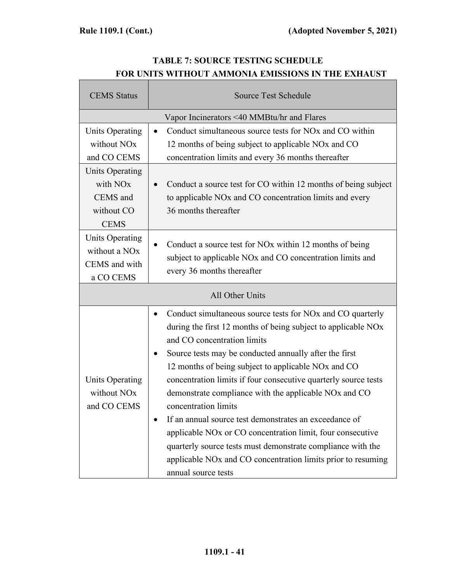# **TABLE 7: SOURCE TESTING SCHEDULE FOR UNITS WITHOUT AMMONIA EMISSIONS IN THE EXHAUST**

| <b>CEMS</b> Status                                                                      | <b>Source Test Schedule</b>                                                                                                                                                                                                                                                                                                                                                                                                                                                                                                                                                                                                                                                                                                                       |  |
|-----------------------------------------------------------------------------------------|---------------------------------------------------------------------------------------------------------------------------------------------------------------------------------------------------------------------------------------------------------------------------------------------------------------------------------------------------------------------------------------------------------------------------------------------------------------------------------------------------------------------------------------------------------------------------------------------------------------------------------------------------------------------------------------------------------------------------------------------------|--|
|                                                                                         | Vapor Incinerators <40 MMBtu/hr and Flares                                                                                                                                                                                                                                                                                                                                                                                                                                                                                                                                                                                                                                                                                                        |  |
| <b>Units Operating</b><br>without NO <sub>x</sub><br>and CO CEMS                        | Conduct simultaneous source tests for NO <sub>x</sub> and CO within<br>12 months of being subject to applicable NOx and CO<br>concentration limits and every 36 months thereafter                                                                                                                                                                                                                                                                                                                                                                                                                                                                                                                                                                 |  |
| <b>Units Operating</b><br>with NO <sub>x</sub><br>CEMS and<br>without CO<br><b>CEMS</b> | Conduct a source test for CO within 12 months of being subject<br>to applicable NO <sub>x</sub> and CO concentration limits and every<br>36 months thereafter                                                                                                                                                                                                                                                                                                                                                                                                                                                                                                                                                                                     |  |
| Units Operating<br>without a NO <sub>x</sub><br>CEMS and with<br>a CO CEMS              | Conduct a source test for NO <sub>x</sub> within 12 months of being<br>subject to applicable NOx and CO concentration limits and<br>every 36 months thereafter                                                                                                                                                                                                                                                                                                                                                                                                                                                                                                                                                                                    |  |
| All Other Units                                                                         |                                                                                                                                                                                                                                                                                                                                                                                                                                                                                                                                                                                                                                                                                                                                                   |  |
| <b>Units Operating</b><br>without NO <sub>x</sub><br>and CO CEMS                        | Conduct simultaneous source tests for NO <sub>x</sub> and CO quarterly<br>during the first 12 months of being subject to applicable NOx<br>and CO concentration limits<br>Source tests may be conducted annually after the first<br>12 months of being subject to applicable NO <sub>x</sub> and CO<br>concentration limits if four consecutive quarterly source tests<br>demonstrate compliance with the applicable NOx and CO<br>concentration limits<br>If an annual source test demonstrates an exceedance of<br>applicable NO <sub>x</sub> or CO concentration limit, four consecutive<br>quarterly source tests must demonstrate compliance with the<br>applicable NOx and CO concentration limits prior to resuming<br>annual source tests |  |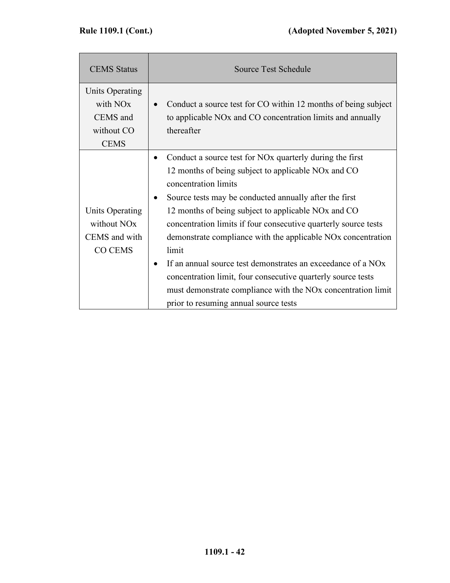| <b>CEMS</b> Status                                                               | <b>Source Test Schedule</b>                                                                                                                                                                                                                                                                                                                                                                                                                                                               |
|----------------------------------------------------------------------------------|-------------------------------------------------------------------------------------------------------------------------------------------------------------------------------------------------------------------------------------------------------------------------------------------------------------------------------------------------------------------------------------------------------------------------------------------------------------------------------------------|
| Units Operating<br>with NO <sub>x</sub><br>CEMS and<br>without CO<br><b>CEMS</b> | Conduct a source test for CO within 12 months of being subject<br>to applicable NOx and CO concentration limits and annually<br>thereafter                                                                                                                                                                                                                                                                                                                                                |
|                                                                                  | Conduct a source test for NO <sub>x</sub> quarterly during the first<br>12 months of being subject to applicable NOx and CO<br>concentration limits<br>Source tests may be conducted annually after the first<br>٠                                                                                                                                                                                                                                                                        |
| <b>Units Operating</b><br>without NO <sub>x</sub><br>CEMS and with<br>CO CEMS    | 12 months of being subject to applicable NO <sub>x</sub> and CO<br>concentration limits if four consecutive quarterly source tests<br>demonstrate compliance with the applicable NO <sub>x</sub> concentration<br>limit<br>If an annual source test demonstrates an exceedance of a NO <sub>x</sub><br>$\bullet$<br>concentration limit, four consecutive quarterly source tests<br>must demonstrate compliance with the NOx concentration limit<br>prior to resuming annual source tests |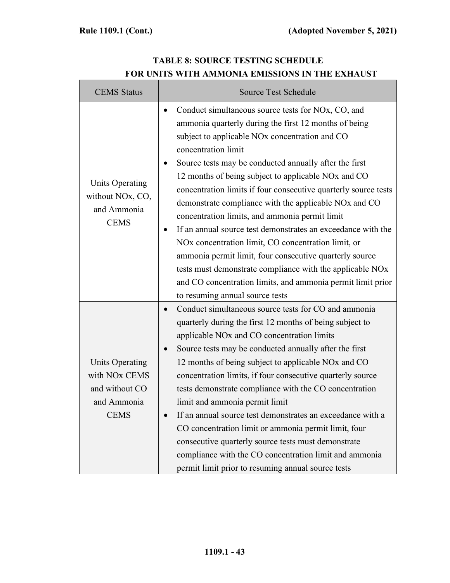Г

| <b>CEMS</b> Status                                                                                  | <b>Source Test Schedule</b>                                                                                                                                                                                                                                                                                                                                                                                                                                                                                                                                                                                                                                                                                                                                                                                                                                                           |  |
|-----------------------------------------------------------------------------------------------------|---------------------------------------------------------------------------------------------------------------------------------------------------------------------------------------------------------------------------------------------------------------------------------------------------------------------------------------------------------------------------------------------------------------------------------------------------------------------------------------------------------------------------------------------------------------------------------------------------------------------------------------------------------------------------------------------------------------------------------------------------------------------------------------------------------------------------------------------------------------------------------------|--|
| Units Operating<br>without NO <sub>x</sub> , CO <sub>2</sub><br>and Ammonia<br><b>CEMS</b>          | Conduct simultaneous source tests for NOx, CO, and<br>$\bullet$<br>ammonia quarterly during the first 12 months of being<br>subject to applicable NO <sub>x</sub> concentration and CO<br>concentration limit<br>Source tests may be conducted annually after the first<br>12 months of being subject to applicable NO <sub>x</sub> and CO<br>concentration limits if four consecutive quarterly source tests<br>demonstrate compliance with the applicable NOx and CO<br>concentration limits, and ammonia permit limit<br>If an annual source test demonstrates an exceedance with the<br>NO <sub>x</sub> concentration limit, CO concentration limit, or<br>ammonia permit limit, four consecutive quarterly source<br>tests must demonstrate compliance with the applicable NOx<br>and CO concentration limits, and ammonia permit limit prior<br>to resuming annual source tests |  |
| <b>Units Operating</b><br>with NO <sub>x</sub> CEMS<br>and without CO<br>and Ammonia<br><b>CEMS</b> | Conduct simultaneous source tests for CO and ammonia<br>quarterly during the first 12 months of being subject to<br>applicable NO <sub>x</sub> and CO concentration limits<br>Source tests may be conducted annually after the first<br>12 months of being subject to applicable NO <sub>x</sub> and CO<br>concentration limits, if four consecutive quarterly source<br>tests demonstrate compliance with the CO concentration<br>limit and ammonia permit limit<br>If an annual source test demonstrates an exceedance with a<br>CO concentration limit or ammonia permit limit, four<br>consecutive quarterly source tests must demonstrate<br>compliance with the CO concentration limit and ammonia<br>permit limit prior to resuming annual source tests                                                                                                                        |  |

# **TABLE 8: SOURCE TESTING SCHEDULE FOR UNITS WITH AMMONIA EMISSIONS IN THE EXHAUST**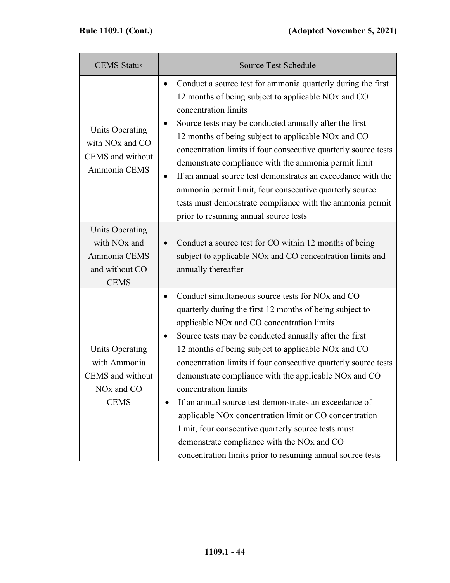| <b>CEMS</b> Status                                                                                  | <b>Source Test Schedule</b>                                                                                                                                                                                                                                                                                                                                                                                                                                                                                                                                                                                                                                                                                                                                                                      |
|-----------------------------------------------------------------------------------------------------|--------------------------------------------------------------------------------------------------------------------------------------------------------------------------------------------------------------------------------------------------------------------------------------------------------------------------------------------------------------------------------------------------------------------------------------------------------------------------------------------------------------------------------------------------------------------------------------------------------------------------------------------------------------------------------------------------------------------------------------------------------------------------------------------------|
| Units Operating<br>with NO <sub>x</sub> and CO<br>CEMS and without<br>Ammonia CEMS                  | Conduct a source test for ammonia quarterly during the first<br>$\bullet$<br>12 months of being subject to applicable NO <sub>x</sub> and CO<br>concentration limits<br>Source tests may be conducted annually after the first<br>12 months of being subject to applicable NO <sub>x</sub> and CO<br>concentration limits if four consecutive quarterly source tests<br>demonstrate compliance with the ammonia permit limit<br>If an annual source test demonstrates an exceedance with the<br>٠<br>ammonia permit limit, four consecutive quarterly source<br>tests must demonstrate compliance with the ammonia permit<br>prior to resuming annual source tests                                                                                                                               |
| <b>Units Operating</b><br>with NO <sub>x</sub> and<br>Ammonia CEMS<br>and without CO<br><b>CEMS</b> | Conduct a source test for CO within 12 months of being<br>subject to applicable NO <sub>x</sub> and CO concentration limits and<br>annually thereafter                                                                                                                                                                                                                                                                                                                                                                                                                                                                                                                                                                                                                                           |
| <b>Units Operating</b><br>with Ammonia<br>CEMS and without<br>NO <sub>x</sub> and CO<br><b>CEMS</b> | Conduct simultaneous source tests for NO <sub>x</sub> and CO<br>$\bullet$<br>quarterly during the first 12 months of being subject to<br>applicable NO <sub>x</sub> and CO concentration limits<br>Source tests may be conducted annually after the first<br>12 months of being subject to applicable NO <sub>x</sub> and CO<br>concentration limits if four consecutive quarterly source tests<br>demonstrate compliance with the applicable NO <sub>x</sub> and CO<br>concentration limits<br>If an annual source test demonstrates an exceedance of<br>$\bullet$<br>applicable NOx concentration limit or CO concentration<br>limit, four consecutive quarterly source tests must<br>demonstrate compliance with the NOx and CO<br>concentration limits prior to resuming annual source tests |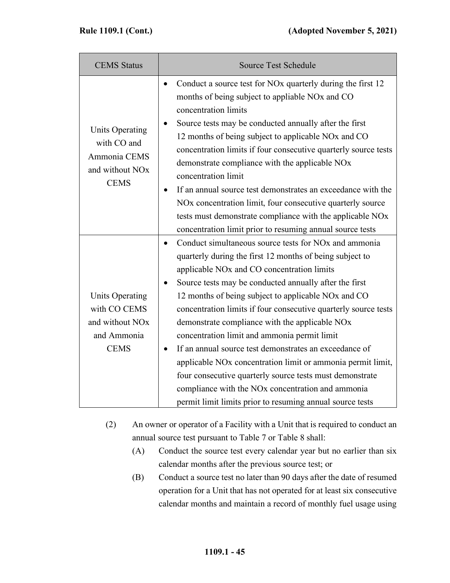| <b>CEMS</b> Status                                                                                  | <b>Source Test Schedule</b>                                                                                                                                                                                                                                                                                                                                                                                                                                                                                                                                                                                                                                                                                                                                                                                                            |
|-----------------------------------------------------------------------------------------------------|----------------------------------------------------------------------------------------------------------------------------------------------------------------------------------------------------------------------------------------------------------------------------------------------------------------------------------------------------------------------------------------------------------------------------------------------------------------------------------------------------------------------------------------------------------------------------------------------------------------------------------------------------------------------------------------------------------------------------------------------------------------------------------------------------------------------------------------|
| <b>Units Operating</b><br>with CO and<br>Ammonia CEMS<br>and without NO <sub>x</sub><br><b>CEMS</b> | Conduct a source test for NO <sub>x</sub> quarterly during the first 12<br>$\bullet$<br>months of being subject to appliable NO <sub>x</sub> and CO<br>concentration limits<br>Source tests may be conducted annually after the first<br>$\bullet$<br>12 months of being subject to applicable NOx and CO<br>concentration limits if four consecutive quarterly source tests<br>demonstrate compliance with the applicable NOx<br>concentration limit<br>If an annual source test demonstrates an exceedance with the<br>٠<br>NO <sub>x</sub> concentration limit, four consecutive quarterly source<br>tests must demonstrate compliance with the applicable NOx<br>concentration limit prior to resuming annual source tests                                                                                                         |
| <b>Units Operating</b><br>with CO CEMS<br>and without NO <sub>x</sub><br>and Ammonia<br><b>CEMS</b> | Conduct simultaneous source tests for NO <sub>x</sub> and ammonia<br>$\bullet$<br>quarterly during the first 12 months of being subject to<br>applicable NO <sub>x</sub> and CO concentration limits<br>Source tests may be conducted annually after the first<br>12 months of being subject to applicable NOx and CO<br>concentration limits if four consecutive quarterly source tests<br>demonstrate compliance with the applicable NOx<br>concentration limit and ammonia permit limit<br>If an annual source test demonstrates an exceedance of<br>$\bullet$<br>applicable NO <sub>x</sub> concentration limit or ammonia permit limit,<br>four consecutive quarterly source tests must demonstrate<br>compliance with the NO <sub>x</sub> concentration and ammonia<br>permit limit limits prior to resuming annual source tests |

- (2) An owner or operator of a Facility with a Unit that is required to conduct an annual source test pursuant to Table 7 or Table 8 shall:
	- (A) Conduct the source test every calendar year but no earlier than six calendar months after the previous source test; or
	- (B) Conduct a source test no later than 90 days after the date of resumed operation for a Unit that has not operated for at least six consecutive calendar months and maintain a record of monthly fuel usage using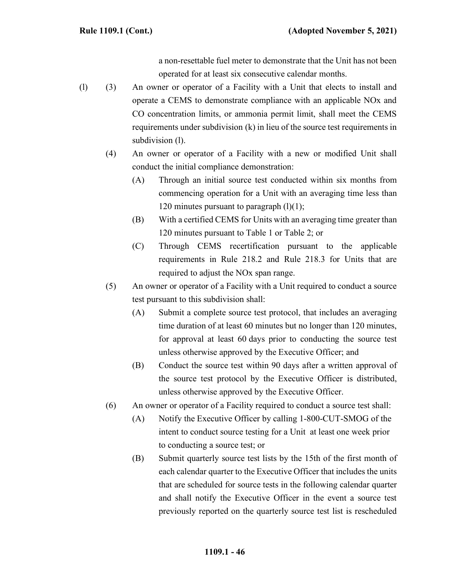a non-resettable fuel meter to demonstrate that the Unit has not been operated for at least six consecutive calendar months.

- (l) (3) An owner or operator of a Facility with a Unit that elects to install and operate a CEMS to demonstrate compliance with an applicable NOx and CO concentration limits, or ammonia permit limit, shall meet the CEMS requirements under subdivision (k) in lieu of the source test requirements in subdivision (1).
	- (4) An owner or operator of a Facility with a new or modified Unit shall conduct the initial compliance demonstration:
		- (A) Through an initial source test conducted within six months from commencing operation for a Unit with an averaging time less than 120 minutes pursuant to paragraph  $(l)(1)$ ;
		- (B) With a certified CEMS for Units with an averaging time greater than 120 minutes pursuant to Table 1 or Table 2; or
		- (C) Through CEMS recertification pursuant to the applicable requirements in Rule 218.2 and Rule 218.3 for Units that are required to adjust the NOx span range.
	- (5) An owner or operator of a Facility with a Unit required to conduct a source test pursuant to this subdivision shall:
		- (A) Submit a complete source test protocol, that includes an averaging time duration of at least 60 minutes but no longer than 120 minutes, for approval at least 60 days prior to conducting the source test unless otherwise approved by the Executive Officer; and
		- (B) Conduct the source test within 90 days after a written approval of the source test protocol by the Executive Officer is distributed, unless otherwise approved by the Executive Officer.
	- (6) An owner or operator of a Facility required to conduct a source test shall:
		- (A) Notify the Executive Officer by calling 1-800-CUT-SMOG of the intent to conduct source testing for a Unit at least one week prior to conducting a source test; or
		- (B) Submit quarterly source test lists by the 15th of the first month of each calendar quarter to the Executive Officer that includes the units that are scheduled for source tests in the following calendar quarter and shall notify the Executive Officer in the event a source test previously reported on the quarterly source test list is rescheduled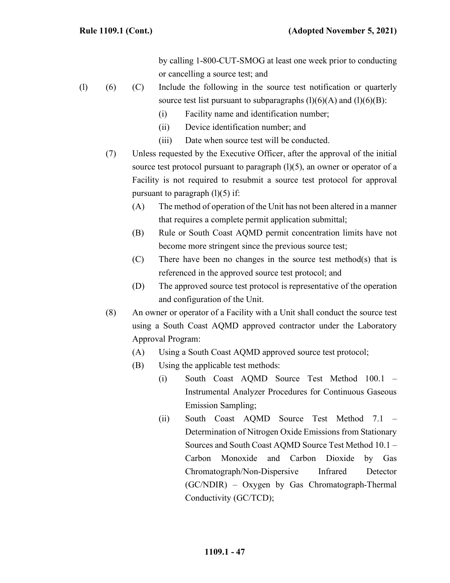by calling 1-800-CUT-SMOG at least one week prior to conducting or cancelling a source test; and

- (l) (6) (C) Include the following in the source test notification or quarterly source test list pursuant to subparagraphs  $(l)(6)(A)$  and  $(l)(6)(B)$ :
	- (i) Facility name and identification number;
	- (ii) Device identification number; and
	- (iii) Date when source test will be conducted.
	- (7) Unless requested by the Executive Officer, after the approval of the initial source test protocol pursuant to paragraph  $(l)(5)$ , an owner or operator of a Facility is not required to resubmit a source test protocol for approval pursuant to paragraph  $(l)(5)$  if:
		- (A) The method of operation of the Unit has not been altered in a manner that requires a complete permit application submittal;
		- (B) Rule or South Coast AQMD permit concentration limits have not become more stringent since the previous source test;
		- (C) There have been no changes in the source test method(s) that is referenced in the approved source test protocol; and
		- (D) The approved source test protocol is representative of the operation and configuration of the Unit.
	- (8) An owner or operator of a Facility with a Unit shall conduct the source test using a South Coast AQMD approved contractor under the Laboratory Approval Program:
		- (A) Using a South Coast AQMD approved source test protocol;
		- (B) Using the applicable test methods:
			- (i) South Coast AQMD Source Test Method 100.1 Instrumental Analyzer Procedures for Continuous Gaseous Emission Sampling;
			- (ii) South Coast AQMD Source Test Method 7.1 Determination of Nitrogen Oxide Emissions from Stationary Sources and South Coast AQMD Source Test Method 10.1 – Carbon Monoxide and Carbon Dioxide by Gas Chromatograph/Non-Dispersive Infrared Detector (GC/NDIR) – Oxygen by Gas Chromatograph-Thermal Conductivity (GC/TCD);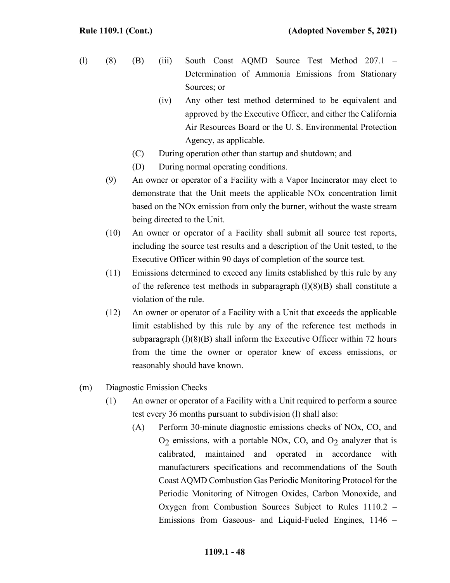- (l) (8) (B) (iii) South Coast AQMD Source Test Method 207.1 Determination of Ammonia Emissions from Stationary Sources; or
	- (iv) Any other test method determined to be equivalent and approved by the Executive Officer, and either the California Air Resources Board or the U. S. Environmental Protection Agency, as applicable.
	- (C) During operation other than startup and shutdown; and
	- (D) During normal operating conditions.
	- (9) An owner or operator of a Facility with a Vapor Incinerator may elect to demonstrate that the Unit meets the applicable NOx concentration limit based on the NOx emission from only the burner, without the waste stream being directed to the Unit.
	- (10) An owner or operator of a Facility shall submit all source test reports, including the source test results and a description of the Unit tested, to the Executive Officer within 90 days of completion of the source test.
	- (11) Emissions determined to exceed any limits established by this rule by any of the reference test methods in subparagraph  $(1)(8)(B)$  shall constitute a violation of the rule.
	- (12) An owner or operator of a Facility with a Unit that exceeds the applicable limit established by this rule by any of the reference test methods in subparagraph  $(1)(8)(B)$  shall inform the Executive Officer within 72 hours from the time the owner or operator knew of excess emissions, or reasonably should have known.
- (m) Diagnostic Emission Checks
	- (1) An owner or operator of a Facility with a Unit required to perform a source test every 36 months pursuant to subdivision (l) shall also:
		- (A) Perform 30-minute diagnostic emissions checks of NOx, CO, and  $O<sub>2</sub>$  emissions, with a portable NOx, CO, and  $O<sub>2</sub>$  analyzer that is calibrated, maintained and operated in accordance with manufacturers specifications and recommendations of the South Coast AQMD Combustion Gas Periodic Monitoring Protocol for the Periodic Monitoring of Nitrogen Oxides, Carbon Monoxide, and Oxygen from Combustion Sources Subject to Rules 1110.2 – Emissions from Gaseous- and Liquid-Fueled Engines, 1146 –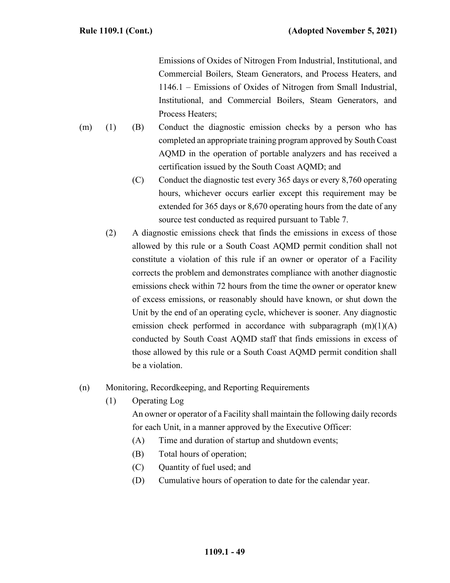Emissions of Oxides of Nitrogen From Industrial, Institutional, and Commercial Boilers, Steam Generators, and Process Heaters, and 1146.1 – Emissions of Oxides of Nitrogen from Small Industrial, Institutional, and Commercial Boilers, Steam Generators, and Process Heaters;

- (m) (1) (B) Conduct the diagnostic emission checks by a person who has completed an appropriate training program approved by South Coast AQMD in the operation of portable analyzers and has received a certification issued by the South Coast AQMD; and
	- (C) Conduct the diagnostic test every 365 days or every 8,760 operating hours, whichever occurs earlier except this requirement may be extended for 365 days or 8,670 operating hours from the date of any source test conducted as required pursuant to Table 7.
	- (2) A diagnostic emissions check that finds the emissions in excess of those allowed by this rule or a South Coast AQMD permit condition shall not constitute a violation of this rule if an owner or operator of a Facility corrects the problem and demonstrates compliance with another diagnostic emissions check within 72 hours from the time the owner or operator knew of excess emissions, or reasonably should have known, or shut down the Unit by the end of an operating cycle, whichever is sooner. Any diagnostic emission check performed in accordance with subparagraph  $(m)(1)(A)$ conducted by South Coast AQMD staff that finds emissions in excess of those allowed by this rule or a South Coast AQMD permit condition shall be a violation.
- (n) Monitoring, Recordkeeping, and Reporting Requirements
	- (1) Operating Log

An owner or operator of a Facility shall maintain the following daily records for each Unit, in a manner approved by the Executive Officer:

- (A) Time and duration of startup and shutdown events;
- (B) Total hours of operation;
- (C) Quantity of fuel used; and
- (D) Cumulative hours of operation to date for the calendar year.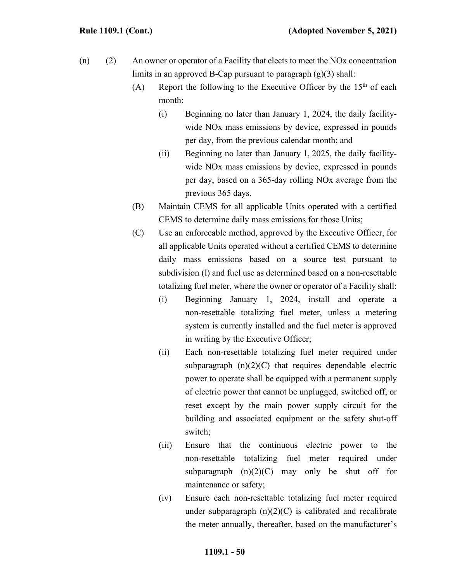- (n) (2) An owner or operator of a Facility that elects to meet the NOx concentration limits in an approved B-Cap pursuant to paragraph  $(g)(3)$  shall:
	- (A) Report the following to the Executive Officer by the  $15<sup>th</sup>$  of each month:
		- (i) Beginning no later than January 1, 2024, the daily facilitywide NOx mass emissions by device, expressed in pounds per day, from the previous calendar month; and
		- (ii) Beginning no later than January 1, 2025, the daily facilitywide NOx mass emissions by device, expressed in pounds per day, based on a 365-day rolling NOx average from the previous 365 days.
	- (B) Maintain CEMS for all applicable Units operated with a certified CEMS to determine daily mass emissions for those Units;
	- (C) Use an enforceable method, approved by the Executive Officer, for all applicable Units operated without a certified CEMS to determine daily mass emissions based on a source test pursuant to subdivision (l) and fuel use as determined based on a non-resettable totalizing fuel meter, where the owner or operator of a Facility shall:
		- (i) Beginning January 1, 2024, install and operate a non-resettable totalizing fuel meter, unless a metering system is currently installed and the fuel meter is approved in writing by the Executive Officer;
		- (ii) Each non-resettable totalizing fuel meter required under subparagraph  $(n)(2)(C)$  that requires dependable electric power to operate shall be equipped with a permanent supply of electric power that cannot be unplugged, switched off, or reset except by the main power supply circuit for the building and associated equipment or the safety shut-off switch;
		- (iii) Ensure that the continuous electric power to the non-resettable totalizing fuel meter required under subparagraph  $(n)(2)(C)$  may only be shut off for maintenance or safety;
		- (iv) Ensure each non-resettable totalizing fuel meter required under subparagraph  $(n)(2)(C)$  is calibrated and recalibrate the meter annually, thereafter, based on the manufacturer's

#### **1109.1 - 50**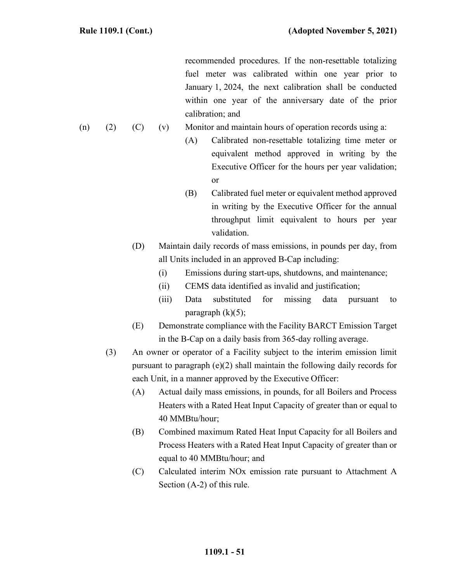recommended procedures. If the non-resettable totalizing fuel meter was calibrated within one year prior to January 1, 2024, the next calibration shall be conducted within one year of the anniversary date of the prior calibration; and

- (n) (2) (C) (v) Monitor and maintain hours of operation records using a:
	- (A) Calibrated non-resettable totalizing time meter or equivalent method approved in writing by the Executive Officer for the hours per year validation; or
	- (B) Calibrated fuel meter or equivalent method approved in writing by the Executive Officer for the annual throughput limit equivalent to hours per year validation.
	- (D) Maintain daily records of mass emissions, in pounds per day, from all Units included in an approved B-Cap including:
		- (i) Emissions during start-ups, shutdowns, and maintenance;
		- (ii) CEMS data identified as invalid and justification;
		- (iii) Data substituted for missing data pursuant to paragraph  $(k)(5)$ ;
	- (E) Demonstrate compliance with the Facility BARCT Emission Target in the B-Cap on a daily basis from 365-day rolling average.
	- (3) An owner or operator of a Facility subject to the interim emission limit pursuant to paragraph (e)(2) shall maintain the following daily records for each Unit, in a manner approved by the Executive Officer:
		- (A) Actual daily mass emissions, in pounds, for all Boilers and Process Heaters with a Rated Heat Input Capacity of greater than or equal to 40 MMBtu/hour;
		- (B) Combined maximum Rated Heat Input Capacity for all Boilers and Process Heaters with a Rated Heat Input Capacity of greater than or equal to 40 MMBtu/hour; and
		- (C) Calculated interim NOx emission rate pursuant to Attachment A Section (A-2) of this rule.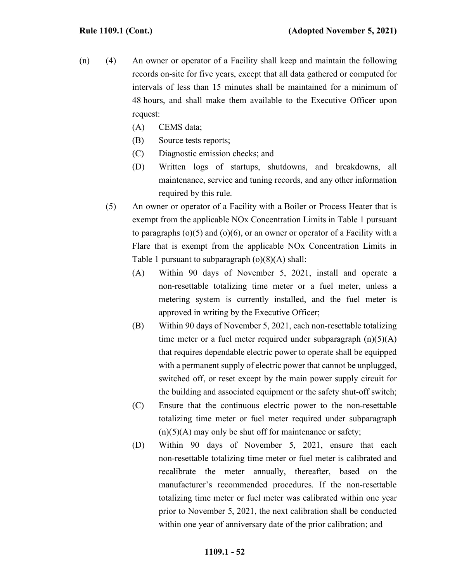- (n) (4) An owner or operator of a Facility shall keep and maintain the following records on-site for five years, except that all data gathered or computed for intervals of less than 15 minutes shall be maintained for a minimum of 48 hours, and shall make them available to the Executive Officer upon request:
	- (A) CEMS data;
	- (B) Source tests reports;
	- (C) Diagnostic emission checks; and
	- (D) Written logs of startups, shutdowns, and breakdowns, all maintenance, service and tuning records, and any other information required by this rule.
	- (5) An owner or operator of a Facility with a Boiler or Process Heater that is exempt from the applicable NOx Concentration Limits in Table 1 pursuant to paragraphs  $(o)(5)$  and  $(o)(6)$ , or an owner or operator of a Facility with a Flare that is exempt from the applicable NOx Concentration Limits in Table 1 pursuant to subparagraph  $(o)(8)(A)$  shall:
		- (A) Within 90 days of November 5, 2021, install and operate a non-resettable totalizing time meter or a fuel meter, unless a metering system is currently installed, and the fuel meter is approved in writing by the Executive Officer;
		- (B) Within 90 days of November 5, 2021, each non-resettable totalizing time meter or a fuel meter required under subparagraph  $(n)(5)(A)$ that requires dependable electric power to operate shall be equipped with a permanent supply of electric power that cannot be unplugged, switched off, or reset except by the main power supply circuit for the building and associated equipment or the safety shut-off switch;
		- (C) Ensure that the continuous electric power to the non-resettable totalizing time meter or fuel meter required under subparagraph  $(n)(5)(A)$  may only be shut off for maintenance or safety;
		- (D) Within 90 days of November 5, 2021, ensure that each non-resettable totalizing time meter or fuel meter is calibrated and recalibrate the meter annually, thereafter, based on the manufacturer's recommended procedures. If the non-resettable totalizing time meter or fuel meter was calibrated within one year prior to November 5, 2021, the next calibration shall be conducted within one year of anniversary date of the prior calibration; and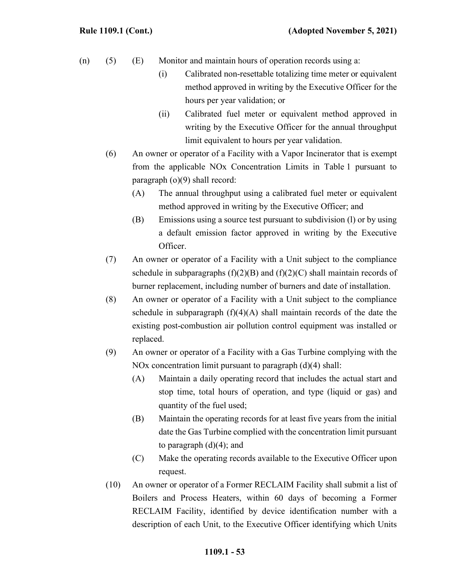- (n) (5) (E) Monitor and maintain hours of operation records using a:
	- (i) Calibrated non-resettable totalizing time meter or equivalent method approved in writing by the Executive Officer for the hours per year validation; or
	- (ii) Calibrated fuel meter or equivalent method approved in writing by the Executive Officer for the annual throughput limit equivalent to hours per year validation.
	- (6) An owner or operator of a Facility with a Vapor Incinerator that is exempt from the applicable NOx Concentration Limits in Table 1 pursuant to paragraph (o)(9) shall record:
		- (A) The annual throughput using a calibrated fuel meter or equivalent method approved in writing by the Executive Officer; and
		- (B) Emissions using a source test pursuant to subdivision (l) or by using a default emission factor approved in writing by the Executive Officer.
	- (7) An owner or operator of a Facility with a Unit subject to the compliance schedule in subparagraphs  $(f)(2)(B)$  and  $(f)(2)(C)$  shall maintain records of burner replacement, including number of burners and date of installation.
	- (8) An owner or operator of a Facility with a Unit subject to the compliance schedule in subparagraph  $(f)(4)(A)$  shall maintain records of the date the existing post-combustion air pollution control equipment was installed or replaced.
	- (9) An owner or operator of a Facility with a Gas Turbine complying with the NOx concentration limit pursuant to paragraph (d)(4) shall:
		- (A) Maintain a daily operating record that includes the actual start and stop time, total hours of operation, and type (liquid or gas) and quantity of the fuel used;
		- (B) Maintain the operating records for at least five years from the initial date the Gas Turbine complied with the concentration limit pursuant to paragraph  $(d)(4)$ ; and
		- (C) Make the operating records available to the Executive Officer upon request.
	- (10) An owner or operator of a Former RECLAIM Facility shall submit a list of Boilers and Process Heaters, within 60 days of becoming a Former RECLAIM Facility, identified by device identification number with a description of each Unit, to the Executive Officer identifying which Units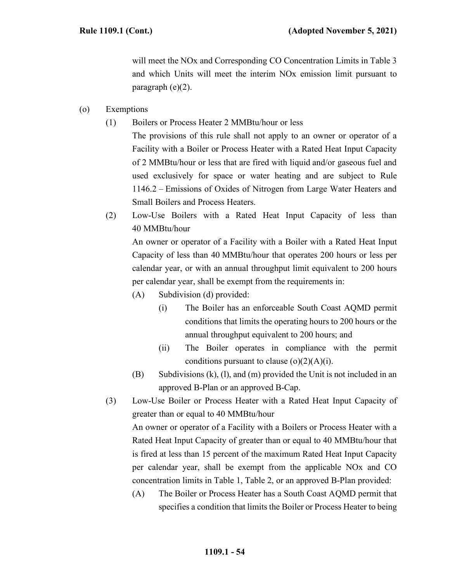will meet the NO<sub>x</sub> and Corresponding CO Concentration Limits in Table 3 and which Units will meet the interim NOx emission limit pursuant to paragraph (e)(2).

- (o) Exemptions
	- (1) Boilers or Process Heater 2 MMBtu/hour or less
		- The provisions of this rule shall not apply to an owner or operator of a Facility with a Boiler or Process Heater with a Rated Heat Input Capacity of 2 MMBtu/hour or less that are fired with liquid and/or gaseous fuel and used exclusively for space or water heating and are subject to Rule 1146.2 – Emissions of Oxides of Nitrogen from Large Water Heaters and Small Boilers and Process Heaters.
	- (2) Low-Use Boilers with a Rated Heat Input Capacity of less than 40 MMBtu/hour

An owner or operator of a Facility with a Boiler with a Rated Heat Input Capacity of less than 40 MMBtu/hour that operates 200 hours or less per calendar year, or with an annual throughput limit equivalent to 200 hours per calendar year, shall be exempt from the requirements in:

- (A) Subdivision (d) provided:
	- (i) The Boiler has an enforceable South Coast AQMD permit conditions that limits the operating hours to 200 hours or the annual throughput equivalent to 200 hours; and
	- (ii) The Boiler operates in compliance with the permit conditions pursuant to clause  $(o)(2)(A)(i)$ .
- (B) Subdivisions (k), (l), and (m) provided the Unit is not included in an approved B-Plan or an approved B-Cap.
- (3) Low-Use Boiler or Process Heater with a Rated Heat Input Capacity of greater than or equal to 40 MMBtu/hour

An owner or operator of a Facility with a Boilers or Process Heater with a Rated Heat Input Capacity of greater than or equal to 40 MMBtu/hour that is fired at less than 15 percent of the maximum Rated Heat Input Capacity per calendar year, shall be exempt from the applicable NOx and CO concentration limits in Table 1, Table 2, or an approved B-Plan provided:

(A) The Boiler or Process Heater has a South Coast AQMD permit that specifies a condition that limits the Boiler or Process Heater to being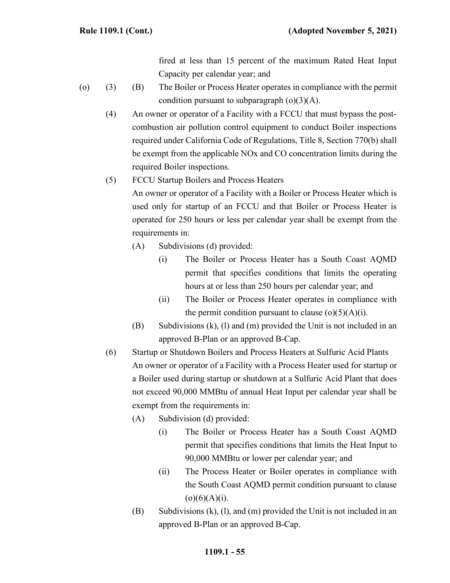fired at less than 15 percent of the maximum Rated Heat Input Capacity per calendar year; and

- (o) (3) (B) The Boiler or Process Heater operates in compliance with the permit condition pursuant to subparagraph  $(o)(3)(A)$ .
	- (4) An owner or operator of a Facility with a FCCU that must bypass the postcombustion air pollution control equipment to conduct Boiler inspections required under California Code of Regulations, Title 8, Section 770(b) shall be exempt from the applicable NOx and CO concentration limits during the required Boiler inspections.
	- (5) FCCU Startup Boilers and Process Heaters An owner or operator of a Facility with a Boiler or Process Heater which is used only for startup of an FCCU and that Boiler or Process Heater is operated for 250 hours or less per calendar year shall be exempt from the requirements in:
		- (A) Subdivisions (d) provided:
			- (i) The Boiler or Process Heater has a South Coast AQMD permit that specifies conditions that limits the operating hours at or less than 250 hours per calendar year; and
			- (ii) The Boiler or Process Heater operates in compliance with the permit condition pursuant to clause  $(o)(5)(A)(i)$ .
		- (B) Subdivisions (k), (l) and (m) provided the Unit is not included in an approved B-Plan or an approved B-Cap.
	- (6) Startup or Shutdown Boilers and Process Heaters at Sulfuric Acid Plants An owner or operator of a Facility with a Process Heater used for startup or a Boiler used during startup or shutdown at a Sulfuric Acid Plant that does not exceed 90,000 MMBtu of annual Heat Input per calendar year shall be exempt from the requirements in:
		- (A) Subdivision (d) provided:
			- (i) The Boiler or Process Heater has a South Coast AQMD permit that specifies conditions that limits the Heat Input to 90,000 MMBtu or lower per calendar year; and
			- (ii) The Process Heater or Boiler operates in compliance with the South Coast AQMD permit condition pursuant to clause  $(o)(6)(A)(i)$ .
		- (B) Subdivisions (k), (l), and (m) provided the Unit is not included in an approved B-Plan or an approved B-Cap.

#### **1109.1 - 55**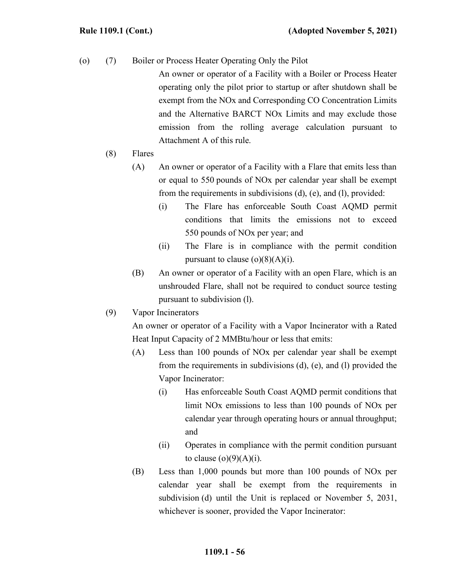(o) (7) Boiler or Process Heater Operating Only the Pilot

An owner or operator of a Facility with a Boiler or Process Heater operating only the pilot prior to startup or after shutdown shall be exempt from the NOx and Corresponding CO Concentration Limits and the Alternative BARCT NOx Limits and may exclude those emission from the rolling average calculation pursuant to Attachment A of this rule.

- (8) Flares
	- (A) An owner or operator of a Facility with a Flare that emits less than or equal to 550 pounds of NOx per calendar year shall be exempt from the requirements in subdivisions (d), (e), and (l), provided:
		- (i) The Flare has enforceable South Coast AQMD permit conditions that limits the emissions not to exceed 550 pounds of NOx per year; and
		- (ii) The Flare is in compliance with the permit condition pursuant to clause  $(o)(8)(A)(i)$ .
	- (B) An owner or operator of a Facility with an open Flare, which is an unshrouded Flare, shall not be required to conduct source testing pursuant to subdivision (l).
- (9) Vapor Incinerators

An owner or operator of a Facility with a Vapor Incinerator with a Rated Heat Input Capacity of 2 MMBtu/hour or less that emits:

- (A) Less than 100 pounds of NOx per calendar year shall be exempt from the requirements in subdivisions (d), (e), and (l) provided the Vapor Incinerator:
	- (i) Has enforceable South Coast AQMD permit conditions that limit NOx emissions to less than 100 pounds of NOx per calendar year through operating hours or annual throughput; and
	- (ii) Operates in compliance with the permit condition pursuant to clause  $(o)(9)(A)(i)$ .
- (B) Less than 1,000 pounds but more than 100 pounds of NOx per calendar year shall be exempt from the requirements in subdivision (d) until the Unit is replaced or November 5, 2031, whichever is sooner, provided the Vapor Incinerator: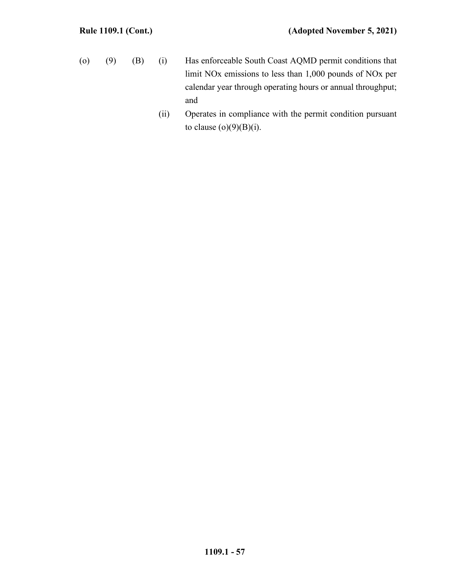- (o) (9) (B) (i) Has enforceable South Coast AQMD permit conditions that limit NOx emissions to less than 1,000 pounds of NOx per calendar year through operating hours or annual throughput; and
	- (ii) Operates in compliance with the permit condition pursuant to clause  $(o)(9)(B)(i)$ .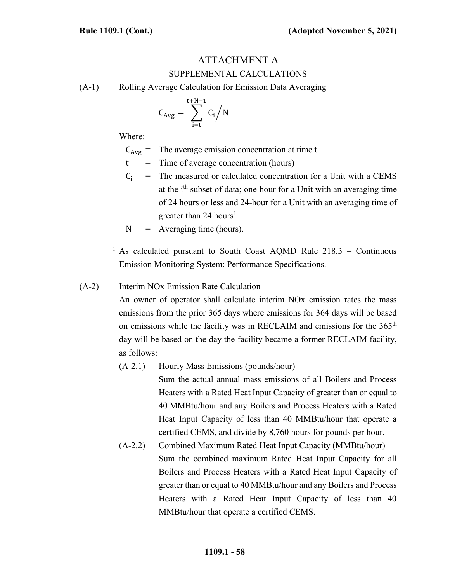# ATTACHMENT A SUPPLEMENTAL CALCULATIONS

(A-1) Rolling Average Calculation for Emission Data Averaging

$$
C_{Avg} = \sum_{i=t}^{t+N-1} C_i \Big/ N
$$

Where:

 $C_{Avg}$  = The average emission concentration at time t

 $t =$  Time of average concentration (hours)

- $C_i$  = The measured or calculated concentration for a Unit with a CEMS at the  $i<sup>th</sup>$  subset of data; one-hour for a Unit with an averaging time of 24 hours or less and 24-hour for a Unit with an averaging time of greater than 24 hours<sup>1</sup>
- $N =$  Averaging time (hours).

<sup>1</sup> As calculated pursuant to South Coast AQMD Rule  $218.3$  – Continuous Emission Monitoring System: Performance Specifications.

### (A-2) Interim NOx Emission Rate Calculation

An owner of operator shall calculate interim NOx emission rates the mass emissions from the prior 365 days where emissions for 364 days will be based on emissions while the facility was in RECLAIM and emissions for the  $365<sup>th</sup>$ day will be based on the day the facility became a former RECLAIM facility, as follows:

#### (A-2.1) Hourly Mass Emissions (pounds/hour)

Sum the actual annual mass emissions of all Boilers and Process Heaters with a Rated Heat Input Capacity of greater than or equal to 40 MMBtu/hour and any Boilers and Process Heaters with a Rated Heat Input Capacity of less than 40 MMBtu/hour that operate a certified CEMS, and divide by 8,760 hours for pounds per hour.

(A-2.2) Combined Maximum Rated Heat Input Capacity (MMBtu/hour) Sum the combined maximum Rated Heat Input Capacity for all Boilers and Process Heaters with a Rated Heat Input Capacity of greater than or equal to 40 MMBtu/hour and any Boilers and Process Heaters with a Rated Heat Input Capacity of less than 40 MMBtu/hour that operate a certified CEMS.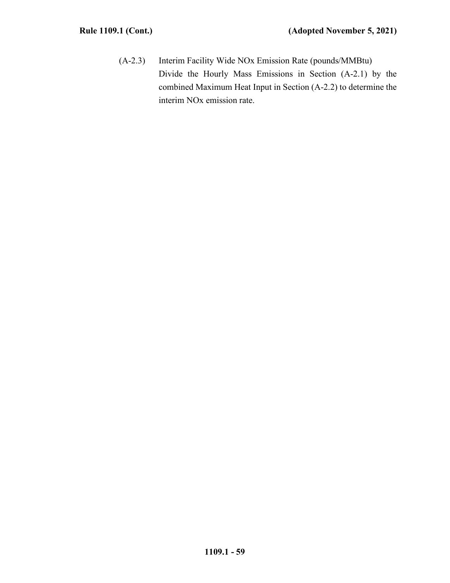(A-2.3) Interim Facility Wide NOx Emission Rate (pounds/MMBtu) Divide the Hourly Mass Emissions in Section (A-2.1) by the combined Maximum Heat Input in Section (A-2.2) to determine the interim NOx emission rate.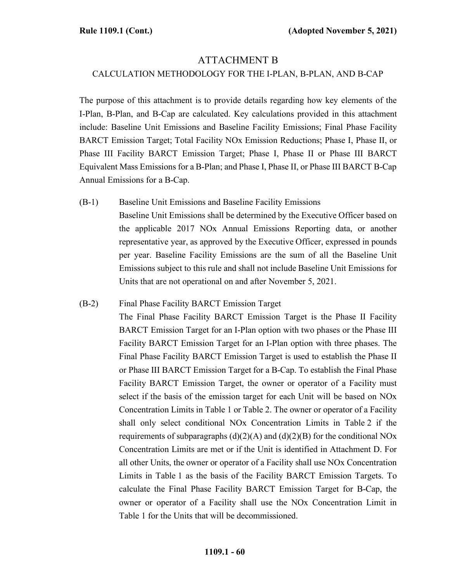### ATTACHMENT B

#### CALCULATION METHODOLOGY FOR THE I-PLAN, B-PLAN, AND B-CAP

The purpose of this attachment is to provide details regarding how key elements of the I-Plan, B-Plan, and B-Cap are calculated. Key calculations provided in this attachment include: Baseline Unit Emissions and Baseline Facility Emissions; Final Phase Facility BARCT Emission Target; Total Facility NOx Emission Reductions; Phase I, Phase II, or Phase III Facility BARCT Emission Target; Phase I, Phase II or Phase III BARCT Equivalent Mass Emissions for a B-Plan; and Phase I, Phase II, or Phase III BARCT B-Cap Annual Emissions for a B-Cap.

(B-1) Baseline Unit Emissions and Baseline Facility Emissions Baseline Unit Emissions shall be determined by the Executive Officer based on the applicable 2017 NOx Annual Emissions Reporting data, or another representative year, as approved by the Executive Officer, expressed in pounds per year. Baseline Facility Emissions are the sum of all the Baseline Unit Emissions subject to this rule and shall not include Baseline Unit Emissions for Units that are not operational on and after November 5, 2021.

### (B-2) Final Phase Facility BARCT Emission Target

The Final Phase Facility BARCT Emission Target is the Phase II Facility BARCT Emission Target for an I-Plan option with two phases or the Phase III Facility BARCT Emission Target for an I-Plan option with three phases. The Final Phase Facility BARCT Emission Target is used to establish the Phase II or Phase III BARCT Emission Target for a B-Cap. To establish the Final Phase Facility BARCT Emission Target, the owner or operator of a Facility must select if the basis of the emission target for each Unit will be based on NOx Concentration Limits in Table 1 or Table 2. The owner or operator of a Facility shall only select conditional NOx Concentration Limits in Table 2 if the requirements of subparagraphs  $(d)(2)(A)$  and  $(d)(2)(B)$  for the conditional NOx Concentration Limits are met or if the Unit is identified in Attachment D. For all other Units, the owner or operator of a Facility shall use NOx Concentration Limits in Table 1 as the basis of the Facility BARCT Emission Targets. To calculate the Final Phase Facility BARCT Emission Target for B-Cap, the owner or operator of a Facility shall use the NOx Concentration Limit in Table 1 for the Units that will be decommissioned.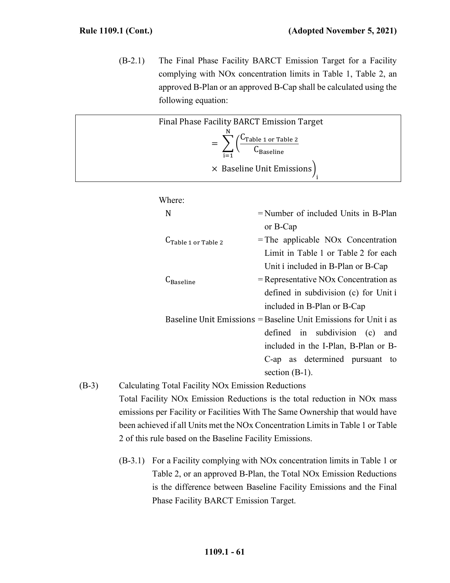(B-2.1) The Final Phase Facility BARCT Emission Target for a Facility complying with NOx concentration limits in Table 1, Table 2, an approved B-Plan or an approved B-Cap shall be calculated using the following equation:

|         | Final Phase Facility BARCT Emission Target         |                                                                                             |
|---------|----------------------------------------------------|---------------------------------------------------------------------------------------------|
|         |                                                    |                                                                                             |
|         |                                                    | $= \sum_{n=2}^{N} \left( \frac{C_{\text{Table 1 or Table 2}}}{C_{\text{Baseline}}} \right)$ |
|         |                                                    |                                                                                             |
|         |                                                    | × Baseline Unit Emissions)                                                                  |
|         |                                                    |                                                                                             |
|         | Where:                                             |                                                                                             |
|         | N                                                  | $=$ Number of included Units in B-Plan                                                      |
|         |                                                    | or B-Cap                                                                                    |
|         | $C_{Table 1}$ or Table 2                           | $=$ The applicable NO <sub>x</sub> Concentration                                            |
|         |                                                    | Limit in Table 1 or Table 2 for each                                                        |
|         |                                                    | Unit i included in B-Plan or B-Cap                                                          |
|         |                                                    |                                                                                             |
|         | $C_{\rm Baseline}$                                 | $=$ Representative NOx Concentration as                                                     |
|         |                                                    | defined in subdivision (c) for Unit i                                                       |
|         |                                                    | included in B-Plan or B-Cap                                                                 |
|         |                                                    | Baseline Unit Emissions = Baseline Unit Emissions for Unit i as                             |
|         |                                                    | defined in subdivision (c)<br>and                                                           |
|         |                                                    | included in the I-Plan, B-Plan or B-                                                        |
|         |                                                    | C-ap as determined pursuant to                                                              |
|         |                                                    | section $(B-1)$ .                                                                           |
| $(B-3)$ | Calculating Total Facility NOx Emission Reductions |                                                                                             |
|         |                                                    |                                                                                             |

Total Facility NOx Emission Reductions is the total reduction in NOx mass emissions per Facility or Facilities With The Same Ownership that would have been achieved if all Units met the NOx Concentration Limits in Table 1 or Table 2 of this rule based on the Baseline Facility Emissions.

(B-3.1) For a Facility complying with NOx concentration limits in Table 1 or Table 2, or an approved B-Plan, the Total NOx Emission Reductions is the difference between Baseline Facility Emissions and the Final Phase Facility BARCT Emission Target.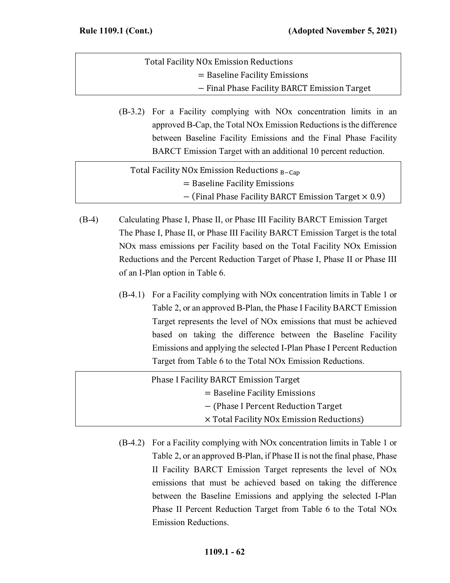| <b>Total Facility NO<sub>x</sub></b> Emission Reductions |  |
|----------------------------------------------------------|--|
| $=$ Baseline Facility Emissions                          |  |
| - Final Phase Facility BARCT Emission Target             |  |

(B-3.2) For a Facility complying with NOx concentration limits in an approved B-Cap, the Total NOx Emission Reductions is the difference between Baseline Facility Emissions and the Final Phase Facility BARCT Emission Target with an additional 10 percent reduction.

| Total Facility NO <sub>x</sub> Emission Reductions $_{B-Cap}$ |  |
|---------------------------------------------------------------|--|
| $=$ Baseline Facility Emissions                               |  |
| $-$ (Final Phase Facility BARCT Emission Target $\times$ 0.9) |  |

- (B-4) Calculating Phase I, Phase II, or Phase III Facility BARCT Emission Target The Phase I, Phase II, or Phase III Facility BARCT Emission Target is the total NOx mass emissions per Facility based on the Total Facility NOx Emission Reductions and the Percent Reduction Target of Phase I, Phase II or Phase III of an I-Plan option in Table 6.
	- (B-4.1) For a Facility complying with NOx concentration limits in Table 1 or Table 2, or an approved B-Plan, the Phase I Facility BARCT Emission Target represents the level of NOx emissions that must be achieved based on taking the difference between the Baseline Facility Emissions and applying the selected I-Plan Phase I Percent Reduction Target from Table 6 to the Total NOx Emission Reductions.

| <b>Phase I Facility BARCT Emission Target</b>    |
|--------------------------------------------------|
| $=$ Baseline Facility Emissions                  |
| - (Phase I Percent Reduction Target)             |
| $\times$ Total Facility NOx Emission Reductions) |

(B-4.2) For a Facility complying with NOx concentration limits in Table 1 or Table 2, or an approved B-Plan, if Phase II is not the final phase, Phase II Facility BARCT Emission Target represents the level of NOx emissions that must be achieved based on taking the difference between the Baseline Emissions and applying the selected I-Plan Phase II Percent Reduction Target from Table 6 to the Total NOx Emission Reductions.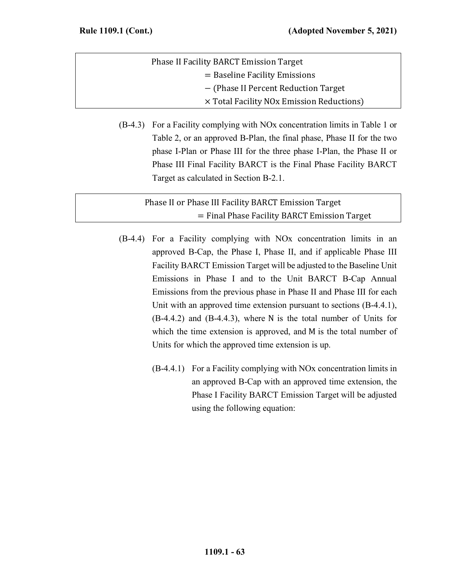| <b>Phase II Facility BARCT Emission Target</b>        |  |
|-------------------------------------------------------|--|
| $=$ Baseline Facility Emissions                       |  |
| - (Phase II Percent Reduction Target)                 |  |
| × Total Facility NO <sub>x</sub> Emission Reductions) |  |

(B-4.3) For a Facility complying with NOx concentration limits in Table 1 or Table 2, or an approved B-Plan, the final phase, Phase II for the two phase I-Plan or Phase III for the three phase I-Plan, the Phase II or Phase III Final Facility BARCT is the Final Phase Facility BARCT Target as calculated in Section B-2.1.

Phase II or Phase III Facility BARCT Emission Target = Final Phase Facility BARCT Emission Target

- (B-4.4) For a Facility complying with NOx concentration limits in an approved B-Cap, the Phase I, Phase II, and if applicable Phase III Facility BARCT Emission Target will be adjusted to the Baseline Unit Emissions in Phase I and to the Unit BARCT B-Cap Annual Emissions from the previous phase in Phase II and Phase III for each Unit with an approved time extension pursuant to sections (B-4.4.1), (B-4.4.2) and (B-4.4.3), where N is the total number of Units for which the time extension is approved, and M is the total number of Units for which the approved time extension is up.
	- (B-4.4.1) For a Facility complying with NOx concentration limits in an approved B-Cap with an approved time extension, the Phase I Facility BARCT Emission Target will be adjusted using the following equation: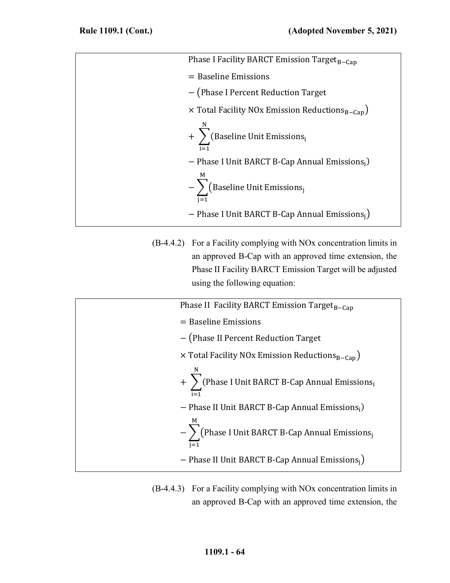| Phase I Facility BARCT Emission Target <sub>B-Cap</sub>            |
|--------------------------------------------------------------------|
| $=$ Baseline Emissions                                             |
| - (Phase I Percent Reduction Target                                |
| $\times$ Total Facility NOx Emission Reductions <sub>B-Can</sub> ) |
| + $\sum$ (Baseline Unit Emissions <sub>i</sub>                     |
| - Phase I Unit BARCT B-Cap Annual Emissions,                       |
| M<br>$-\sum$ (Baseline Unit Emissions <sub>j</sub>                 |
| - Phase I Unit BARCT B-Cap Annual Emissions $_i$ )                 |
|                                                                    |

(B-4.4.2) For a Facility complying with NOx concentration limits in an approved B-Cap with an approved time extension, the Phase II Facility BARCT Emission Target will be adjusted using the following equation:

| Phase II Facility BARCT Emission Target <sub>B-Cap</sub>               |
|------------------------------------------------------------------------|
| $=$ Baseline Emissions                                                 |
| - (Phase II Percent Reduction Target                                   |
| $\times$ Total Facility NOx Emission Reductions <sub>B-Cap</sub> )     |
| + $\sum_{i=1}$ (Phase I Unit BARCT B-Cap Annual Emissions <sub>i</sub> |
| - Phase II Unit BARCT B-Cap Annual Emissions,                          |
| $-\sum$ (Phase I Unit BARCT B-Cap Annual Emissions <sub>j</sub>        |
| - Phase II Unit BARCT B-Cap Annual Emissions <sub>i</sub> )            |

(B-4.4.3) For a Facility complying with NOx concentration limits in an approved B-Cap with an approved time extension, the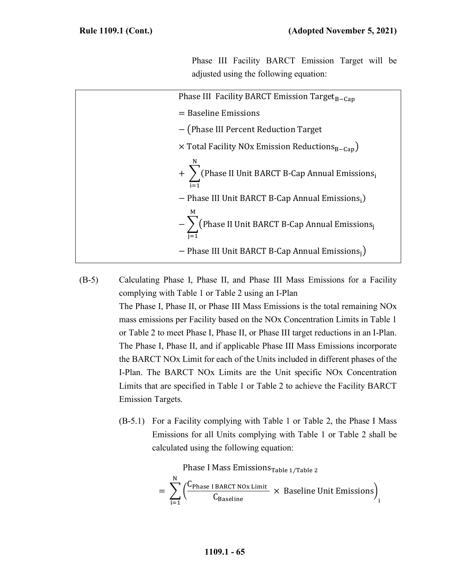Phase III Facility BARCT Emission Target will be adjusted using the following equation:

| Phase III Facility BARCT Emission Target <sub>B-Cap</sub>                   |
|-----------------------------------------------------------------------------|
| $=$ Baseline Emissions                                                      |
| - (Phase III Percent Reduction Target                                       |
| $\times$ Total Facility NOx Emission Reductions <sub>B-Cap</sub> )          |
| $+$ $\sum$ (Phase II Unit BARCT B-Cap Annual Emissions <sub>i</sub>         |
| - Phase III Unit BARCT B-Cap Annual Emissions;)                             |
| M<br>$-\sum_{i=1}$ (Phase II Unit BARCT B-Cap Annual Emissions <sub>j</sub> |
| - Phase III Unit BARCT B-Cap Annual Emissions $_i$ )                        |
|                                                                             |

- (B-5) Calculating Phase I, Phase II, and Phase III Mass Emissions for a Facility complying with Table 1 or Table 2 using an I-Plan The Phase I, Phase II, or Phase III Mass Emissions is the total remaining NOx mass emissions per Facility based on the NOx Concentration Limits in Table 1 or Table 2 to meet Phase I, Phase II, or Phase III target reductions in an I-Plan. The Phase I, Phase II, and if applicable Phase III Mass Emissions incorporate the BARCT NOx Limit for each of the Units included in different phases of the I-Plan. The BARCT NOx Limits are the Unit specific NOx Concentration Limits that are specified in Table 1 or Table 2 to achieve the Facility BARCT Emission Targets.
	- (B-5.1) For a Facility complying with Table 1 or Table 2, the Phase I Mass Emissions for all Units complying with Table 1 or Table 2 shall be calculated using the following equation:

Phase I Mass Emissions<sub>Table 1/Table 2</sub>  
= 
$$
\sum_{i=1}^{N} \left( \frac{C_{Phase I BART NOx Limit}}{C_{Baseline}} \times Baseline Unit Emissions \right)_i
$$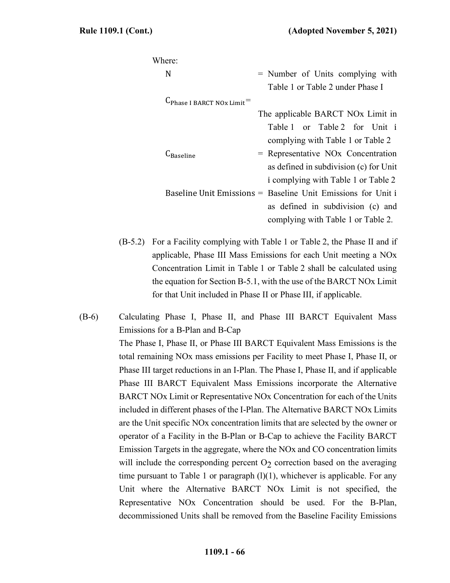| Where:                        |                                                              |
|-------------------------------|--------------------------------------------------------------|
| N                             | = Number of Units complying with                             |
|                               | Table 1 or Table 2 under Phase I                             |
| $C_{Phase~I~BARCT~NOx~Limit}$ |                                                              |
|                               | The applicable BARCT NO <sub>x</sub> Limit in                |
|                               | Table 1 or Table 2 for Unit i                                |
|                               | complying with Table 1 or Table 2                            |
| <br>∽Baseline                 | $=$ Representative NO <sub>x</sub> Concentration             |
|                               | as defined in subdivision (c) for Unit                       |
|                               | i complying with Table 1 or Table 2                          |
|                               | Baseline Unit Emissions = Baseline Unit Emissions for Unit i |
|                               | as defined in subdivision (c) and                            |
|                               | complying with Table 1 or Table 2.                           |

(B-5.2) For a Facility complying with Table 1 or Table 2, the Phase II and if applicable, Phase III Mass Emissions for each Unit meeting a NOx Concentration Limit in Table 1 or Table 2 shall be calculated using the equation for Section B-5.1, with the use of the BARCT NOx Limit for that Unit included in Phase II or Phase III, if applicable.

(B-6) Calculating Phase I, Phase II, and Phase III BARCT Equivalent Mass Emissions for a B-Plan and B-Cap The Phase I, Phase II, or Phase III BARCT Equivalent Mass Emissions is the total remaining NOx mass emissions per Facility to meet Phase I, Phase II, or Phase III target reductions in an I-Plan. The Phase I, Phase II, and if applicable Phase III BARCT Equivalent Mass Emissions incorporate the Alternative BARCT NOx Limit or Representative NOx Concentration for each of the Units included in different phases of the I-Plan. The Alternative BARCT NOx Limits are the Unit specific NOx concentration limits that are selected by the owner or operator of a Facility in the B-Plan or B-Cap to achieve the Facility BARCT Emission Targets in the aggregate, where the NOx and CO concentration limits will include the corresponding percent  $O<sub>2</sub>$  correction based on the averaging time pursuant to Table 1 or paragraph  $(l)(1)$ , whichever is applicable. For any Unit where the Alternative BARCT NOx Limit is not specified, the Representative NOx Concentration should be used. For the B-Plan, decommissioned Units shall be removed from the Baseline Facility Emissions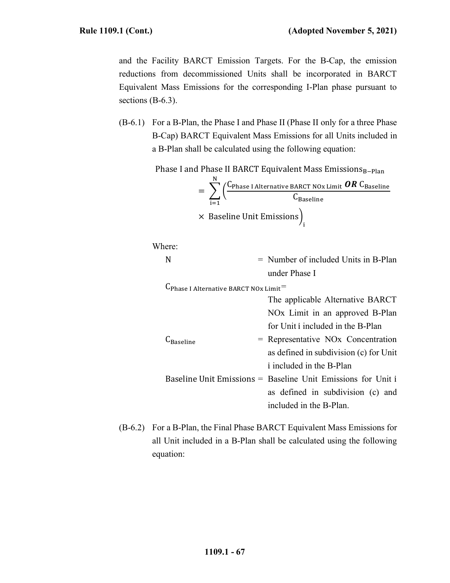and the Facility BARCT Emission Targets. For the B-Cap, the emission reductions from decommissioned Units shall be incorporated in BARCT Equivalent Mass Emissions for the corresponding I-Plan phase pursuant to sections (B-6.3).

(B-6.1) For a B-Plan, the Phase I and Phase II (Phase II only for a three Phase B-Cap) BARCT Equivalent Mass Emissions for all Units included in a B-Plan shall be calculated using the following equation:

Phase I and Phase II BARCT Equivalent Mass EmissionsB-Plan

$$
= \sum_{i=1}^{N} \left( \frac{C_{\text{Phase I Alternative BARCH NOx Limit}} \textbf{OR} C_{\text{Baseline}}}{C_{\text{Baseline}}} \right)
$$
  
× Baseline Unit Emissions $)_{i}$ 

Where:

$$
N = Number of included Units in B-Plan
$$
  
under Phase I

 $C_{\text{Phase I Alternative BARCH NOx Limit}} =$ 

The applicable Alternative BARCT NOx Limit in an approved B-Plan for Unit i included in the B-Plan

included in the B-Plan.

- $C_{\text{Baseline}}$  = Representative NOx Concentration as defined in subdivision (c) for Unit i included in the B-Plan Baseline Unit Emissions = Baseline Unit Emissions for Unit i as defined in subdivision (c) and
- (B-6.2) For a B-Plan, the Final Phase BARCT Equivalent Mass Emissions for all Unit included in a B-Plan shall be calculated using the following equation: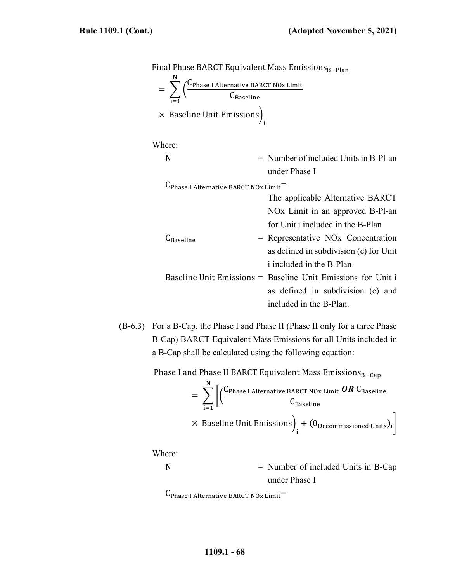Final Phase BARCT Equivalent Mass EmissionsB-Plan

$$
= \sum_{i=1}^{N} \left( \frac{C_{\text{Phase I Alternative BART NOx Limit}}}{C_{\text{Baseline}}} \right)
$$
  
× Baseline Unit Emissions $)_{i}$ 

Where:

N = Number of included Units in B-Pl-an under Phase I

 $C_{\text{Phase I Alternative BARCH NOx Limit}} =$ 

- The applicable Alternative BARCT NOx Limit in an approved B-Pl-an for Unit i included in the B-Plan  $C_{\text{Baseline}}$  = Representative NOx Concentration as defined in subdivision (c) for Unit i included in the B-Plan Baseline Unit Emissions = Baseline Unit Emissions for Unit i as defined in subdivision (c) and included in the B-Plan.
- (B-6.3) For a B-Cap, the Phase I and Phase II (Phase II only for a three Phase B-Cap) BARCT Equivalent Mass Emissions for all Units included in a B-Cap shall be calculated using the following equation:

Phase I and Phase II BARCT Equivalent Mass Emissions<sub>B−Cap</sub>

$$
= \sum_{i=1}^{N} \left[ \left( \frac{C_{\text{Phase I Alternative BART NOx Limit}} \textbf{OR} C_{\text{Baseline}}}{C_{\text{Baseline}}} \right) \times \text{ Baseline Unit Emissions} \right)_{i} + (0_{\text{Decommissioned Units}})_{i}
$$

Where:

N = Number of included Units in B-Cap under Phase I

 $C_{\text{Phase I Alternative BARCH NOx Limit}} =$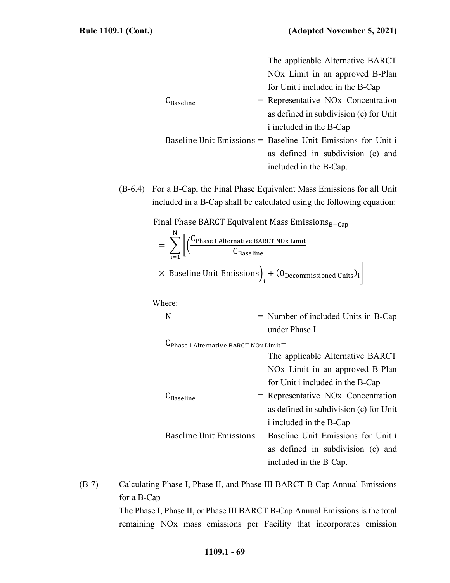|                 | The applicable Alternative BARCT                             |
|-----------------|--------------------------------------------------------------|
|                 | NO <sub>x</sub> Limit in an approved B-Plan                  |
|                 | for Unit i included in the B-Cap                             |
| <b>Raseline</b> | $=$ Representative NO <sub>x</sub> Concentration             |
|                 | as defined in subdivision (c) for Unit                       |
|                 | i included in the B-Cap                                      |
|                 | Baseline Unit Emissions = Baseline Unit Emissions for Unit i |
|                 | as defined in subdivision (c) and                            |
|                 | included in the B-Cap.                                       |
|                 |                                                              |

(B-6.4) For a B-Cap, the Final Phase Equivalent Mass Emissions for all Unit included in a B-Cap shall be calculated using the following equation:

Final Phase BARCT Equivalent Mass EmissionsB-Cap

$$
= \sum_{i=1}^{N} \left[ \left( \frac{C_{\text{Phase I Alternative BARCH NOx Limit}}}{C_{\text{Baseline}}} \right) + \left( 0_{\text{Decommissioned Units}} \right)_i \right]
$$
  
× Baseline Unit Emissions $\Big|_i + \left( 0_{\text{Decommissioned Units}} \right)_i \Big|$ 

Where:

$$
N = Number of included Units in B-Cap under Phase I
$$

 $C_{\text{Phase I Alternative BARCH NOx Limit}} =$ 

The applicable Alternative BARCT NOx Limit in an approved B-Plan for Unit i included in the B-Cap

- $C_{\text{Baseline}}$  = Representative NOx Concentration as defined in subdivision (c) for Unit i included in the B-Cap
- Baseline Unit Emissions = Baseline Unit Emissions for Unit i as defined in subdivision (c) and included in the B-Cap.

(B-7) Calculating Phase I, Phase II, and Phase III BARCT B-Cap Annual Emissions for a B-Cap The Phase I, Phase II, or Phase III BARCT B-Cap Annual Emissions is the total

remaining NOx mass emissions per Facility that incorporates emission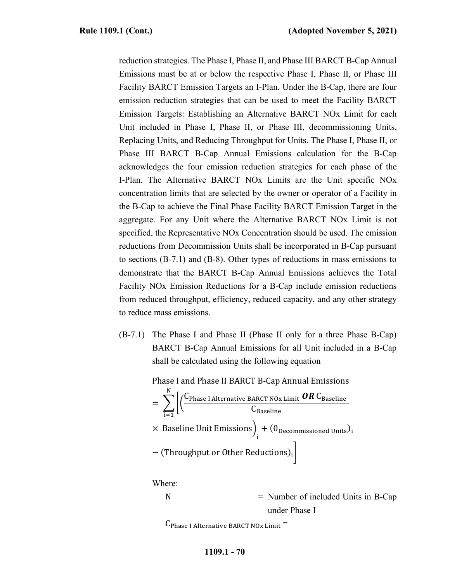reduction strategies. The Phase I, Phase II, and Phase III BARCT B-Cap Annual Emissions must be at or below the respective Phase I, Phase II, or Phase III Facility BARCT Emission Targets an I-Plan. Under the B-Cap, there are four emission reduction strategies that can be used to meet the Facility BARCT Emission Targets: Establishing an Alternative BARCT NOx Limit for each Unit included in Phase I, Phase II, or Phase III, decommissioning Units, Replacing Units, and Reducing Throughput for Units. The Phase I, Phase II, or Phase III BARCT B-Cap Annual Emissions calculation for the B-Cap acknowledges the four emission reduction strategies for each phase of the I-Plan. The Alternative BARCT NOx Limits are the Unit specific NOx concentration limits that are selected by the owner or operator of a Facility in the B-Cap to achieve the Final Phase Facility BARCT Emission Target in the aggregate. For any Unit where the Alternative BARCT NOx Limit is not specified, the Representative NOx Concentration should be used. The emission reductions from Decommission Units shall be incorporated in B-Cap pursuant to sections (B-7.1) and (B-8). Other types of reductions in mass emissions to demonstrate that the BARCT B-Cap Annual Emissions achieves the Total Facility NOx Emission Reductions for a B-Cap include emission reductions from reduced throughput, efficiency, reduced capacity, and any other strategy to reduce mass emissions.

(B-7.1) The Phase I and Phase II (Phase II only for a three Phase B-Cap) BARCT B-Cap Annual Emissions for all Unit included in a B-Cap shall be calculated using the following equation

Phase I and Phase II BARCT B-Cap Annual Emissions

$$
= \sum_{i=1}^{N} \left[ \left( \frac{C_{\text{Phase I Alternative BARCH NOx Limit}} \textbf{OR} C_{\text{Baseline}}}{C_{\text{Baseline}}} \right) \times \text{Baseline Unit Emissions} \right)_{i} + (0_{\text{Decommissioned Units}})_{i}
$$

$$
-(\text{Throughout or Other Reductions})_{i} \right]
$$

Where:

 $N =$  Number of included Units in B-Cap under Phase I

 $C_{\text{Phase I Alternative BARCH NOx Limit}} =$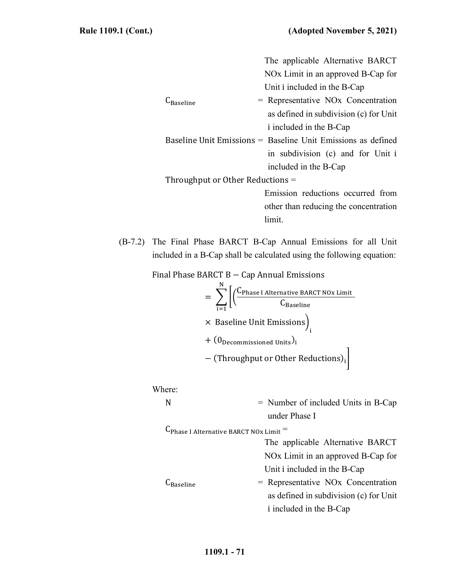| The applicable Alternative BARCT                                    |  |  |  |  |
|---------------------------------------------------------------------|--|--|--|--|
| NO <sub>x</sub> Limit in an approved B-Cap for                      |  |  |  |  |
| Unit i included in the B-Cap                                        |  |  |  |  |
| $=$ Representative NO <sub>x</sub> Concentration<br><b>Baseline</b> |  |  |  |  |
| as defined in subdivision (c) for Unit                              |  |  |  |  |
| i included in the B-Cap                                             |  |  |  |  |
| Baseline Unit Emissions = Baseline Unit Emissions as defined        |  |  |  |  |
| in subdivision (c) and for Unit i                                   |  |  |  |  |
| included in the B-Cap                                               |  |  |  |  |
| Throughput or Other Reductions $=$                                  |  |  |  |  |
| Emission reductions occurred from                                   |  |  |  |  |
| other than reducing the concentration                               |  |  |  |  |
| limit.                                                              |  |  |  |  |

(B-7.2) The Final Phase BARCT B-Cap Annual Emissions for all Unit included in a B-Cap shall be calculated using the following equation:

Final Phase BARCT B − Cap Annual Emissions

$$
= \sum_{i=1}^{N} \left[ \left( \frac{C_{Phase\ I \ Alternative\ BART\ No\ z \ Limit}}{C_{Baseline}} \right) + (0_{Decommissioned\ Units})_i + (0_{Decommissioned\ Units})_i \right]
$$

Where:

N = Number of included Units in B-Cap under Phase I

 $C_{\text{Phase I Alternative BARCH NOx Limit}} =$ 

The applicable Alternative BARCT NOx Limit in an approved B-Cap for Unit i included in the B-Cap

```
C_{\text{Baseline}} = Representative NOx Concentration
              as defined in subdivision (c) for Unit
              i included in the B-Cap
```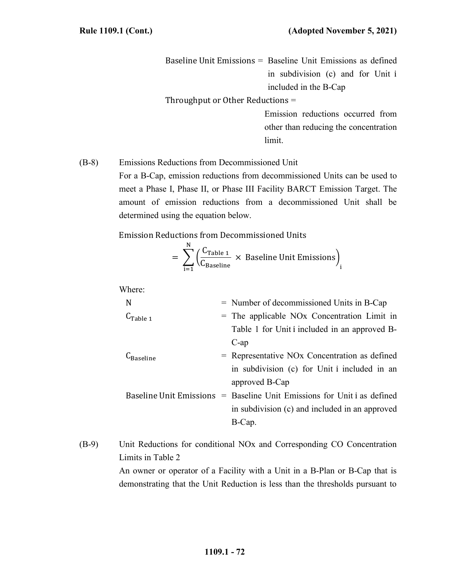Baseline Unit Emissions = Baseline Unit Emissions as defined in subdivision (c) and for Unit i included in the B-Cap

Throughput or Other Reductions =

Emission reductions occurred from other than reducing the concentration limit.

(B-8) Emissions Reductions from Decommissioned Unit For a B-Cap, emission reductions from decommissioned Units can be used to meet a Phase I, Phase II, or Phase III Facility BARCT Emission Target. The amount of emission reductions from a decommissioned Unit shall be determined using the equation below.

Emission Reductions from Decommissioned Units

$$
= \sum_{i=1}^{N} \left( \frac{C_{Table 1}}{C_{Baseline}} \times \text{ Baseline Unit Emissions} \right)_i
$$

Where:

| N             | $=$ Number of decommissioned Units in B-Cap                             |
|---------------|-------------------------------------------------------------------------|
| $C_{Table 1}$ | $=$ The applicable NO <sub>x</sub> Concentration Limit in               |
|               | Table 1 for Unit i included in an approved B-                           |
|               | $C$ -ap                                                                 |
| -Baseline     | $=$ Representative NO <sub>x</sub> Concentration as defined             |
|               | in subdivision (c) for Unit i included in an                            |
|               | approved B-Cap                                                          |
|               | Baseline Unit Emissions = Baseline Unit Emissions for Unit i as defined |
|               | in subdivision (c) and included in an approved                          |
|               | B-Cap.                                                                  |

(B-9) Unit Reductions for conditional NOx and Corresponding CO Concentration Limits in Table 2

An owner or operator of a Facility with a Unit in a B-Plan or B-Cap that is demonstrating that the Unit Reduction is less than the thresholds pursuant to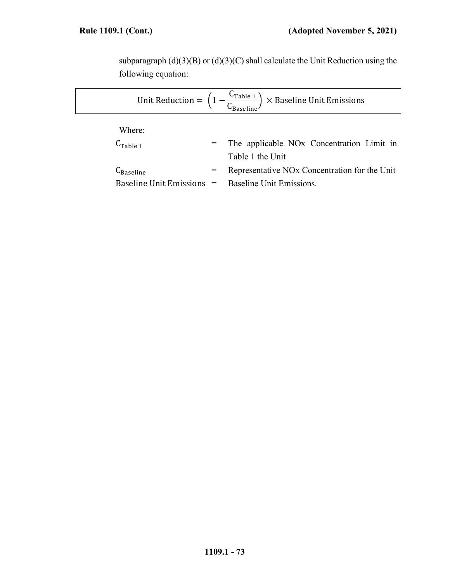subparagraph  $(d)(3)(B)$  or  $(d)(3)(C)$  shall calculate the Unit Reduction using the following equation:

|                       | Unit Reduction = $\left(1 - \frac{C_{\text{Table 1}}}{C_{\text{Reselling}}}\right) \times$ Baseline Unit Emissions |
|-----------------------|--------------------------------------------------------------------------------------------------------------------|
| Where:                |                                                                                                                    |
| $C_{Table 1}$         | = The applicable NO <sub>x</sub> Concentration Limit in                                                            |
|                       | Table 1 the Unit                                                                                                   |
| $C_{\text{Baseline}}$ | Representative NO <sub>x</sub> Concentration for the Unit                                                          |
|                       | Baseline Unit Emissions $=$ Baseline Unit Emissions.                                                               |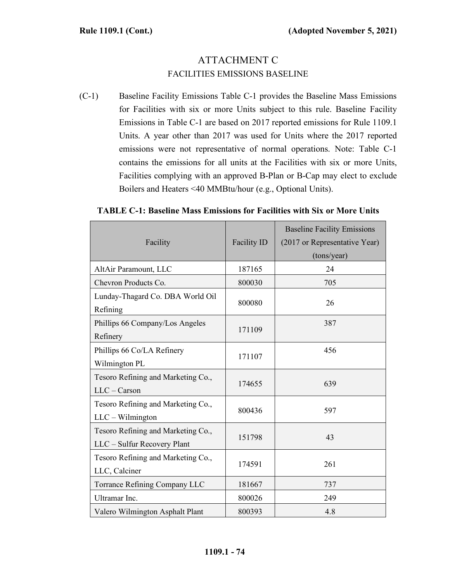# ATTACHMENT C FACILITIES EMISSIONS BASELINE

(C-1) Baseline Facility Emissions Table C-1 provides the Baseline Mass Emissions for Facilities with six or more Units subject to this rule. Baseline Facility Emissions in Table C-1 are based on 2017 reported emissions for Rule 1109.1 Units. A year other than 2017 was used for Units where the 2017 reported emissions were not representative of normal operations. Note: Table C-1 contains the emissions for all units at the Facilities with six or more Units, Facilities complying with an approved B-Plan or B-Cap may elect to exclude Boilers and Heaters <40 MMBtu/hour (e.g., Optional Units).

#### **TABLE C-1: Baseline Mass Emissions for Facilities with Six or More Units**

| Facility                                                          | Facility ID | <b>Baseline Facility Emissions</b><br>(2017 or Representative Year)<br>(tons/year) |
|-------------------------------------------------------------------|-------------|------------------------------------------------------------------------------------|
| AltAir Paramount, LLC                                             | 187165      | 24                                                                                 |
| Chevron Products Co.                                              | 800030      | 705                                                                                |
| Lunday-Thagard Co. DBA World Oil<br>Refining                      | 800080      | 26                                                                                 |
| Phillips 66 Company/Los Angeles<br>Refinery                       | 171109      | 387                                                                                |
| Phillips 66 Co/LA Refinery<br>Wilmington PL                       | 171107      | 456                                                                                |
| Tesoro Refining and Marketing Co.,<br>$LLC - Carson$              | 174655      | 639                                                                                |
| Tesoro Refining and Marketing Co.,<br>$LLC - Wilmington$          | 800436      | 597                                                                                |
| Tesoro Refining and Marketing Co.,<br>LLC - Sulfur Recovery Plant | 151798      | 43                                                                                 |
| Tesoro Refining and Marketing Co.,<br>LLC, Calciner               | 174591      | 261                                                                                |
| Torrance Refining Company LLC                                     | 181667      | 737                                                                                |
| Ultramar Inc.                                                     | 800026      | 249                                                                                |
| Valero Wilmington Asphalt Plant                                   | 800393      | 4.8                                                                                |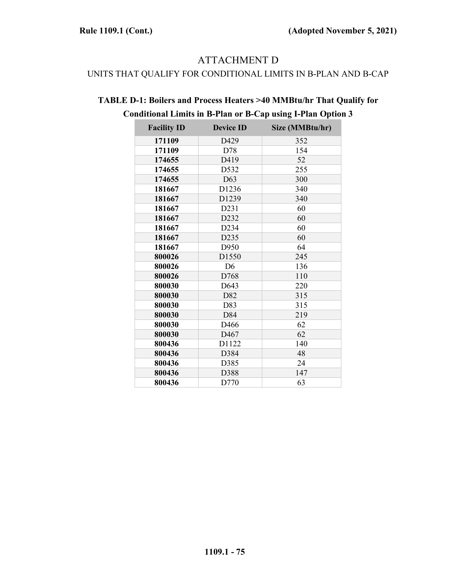### ATTACHMENT D

#### UNITS THAT QUALIFY FOR CONDITIONAL LIMITS IN B-PLAN AND B-CAP

| <b>Facility ID</b> | <b>Device ID</b>  | Size (MMBtu/hr) |
|--------------------|-------------------|-----------------|
| 171109             | D429              | 352             |
| 171109             | D78               | 154             |
| 174655             | D419              | 52              |
| 174655             | D532              | 255             |
| 174655             | D63               | 300             |
| 181667             | D <sub>1236</sub> | 340             |
| 181667             | D1239             | 340             |
| 181667             | D231              | 60              |
| 181667             | D232              | 60              |
| 181667             | D234              | 60              |
| 181667             | D <sub>2</sub> 35 | 60              |
| 181667             | D950              | 64              |
| 800026             | D1550             | 245             |
| 800026             | D <sub>6</sub>    | 136             |
| 800026             | D768              | 110             |
| 800030             | D643              | 220             |
| 800030             | D82               | 315             |
| 800030             | D83               | 315             |
| 800030             | D84               | 219             |
| 800030             | D466              | 62              |
| 800030             | D <sub>467</sub>  | 62              |
| 800436             | D1122             | 140             |
| 800436             | D384              | 48              |
| 800436             | D385              | 24              |
| 800436             | D388              | 147             |
| 800436             | D770              | 63              |

## **TABLE D-1: Boilers and Process Heaters >40 MMBtu/hr That Qualify for Conditional Limits in B-Plan or B-Cap using I-Plan Option 3**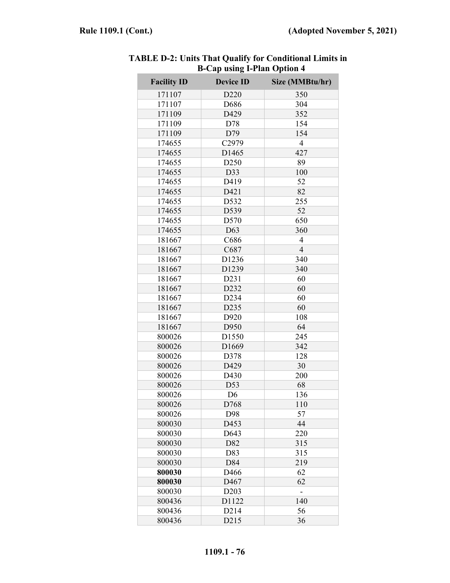| <b>Facility ID</b> | <b>Device ID</b>  | Size (MMBtu/hr) |
|--------------------|-------------------|-----------------|
| 171107             | D <sub>220</sub>  | 350             |
| 171107             | D686              | 304             |
| 171109             | D429              | 352             |
| 171109             | D78               | 154             |
| 171109             | D79               | 154             |
| 174655             | C2979             | $\overline{4}$  |
| 174655             | D1465             | 427             |
| 174655             | D <sub>250</sub>  | 89              |
| 174655             | D33               | 100             |
| 174655             | D419              | 52              |
| 174655             | D421              | 82              |
| 174655             | D532              | 255             |
| 174655             | D539              | 52              |
| 174655             | D570              | 650             |
| 174655             | D63               | 360             |
| 181667             | C686              | 4               |
| 181667             | C687              | $\overline{4}$  |
| 181667             | D1236             | 340             |
| 181667             | D1239             | 340             |
| 181667             | D231              | 60              |
| 181667             | D232              | 60              |
| 181667             | D <sub>2</sub> 34 | 60              |
| 181667             | D235              | 60              |
| 181667             | D920              | 108             |
| 181667             | D950              | 64              |
| 800026             | D1550             | 245             |
| 800026             | D1669             | 342             |
| 800026             | D378              | 128             |
| 800026             | D429              | 30              |
| 800026             | D430              | 200             |
| 800026             | D53               | 68              |
| 800026             | D <sub>6</sub>    | 136             |
| 800026             | D768              | 110             |
| 800026             | D98               | 57              |
| 800030             | D453              | 44              |
| 800030             | D643              | 220             |
| 800030             | D82               | 315             |
| 800030             | D83               | 315             |
| 800030             | D84               | 219             |
| 800030             | D466              | 62              |
| 800030             | D467              | 62              |
| 800030             | D <sub>2</sub> 03 |                 |
| 800436             | D1122             | 140             |
| 800436             | D <sub>2</sub> 14 | 56              |
| 800436             | D215              | 36              |

**TABLE D-2: Units That Qualify for Conditional Limits in B-Cap using I-Plan Option 4**